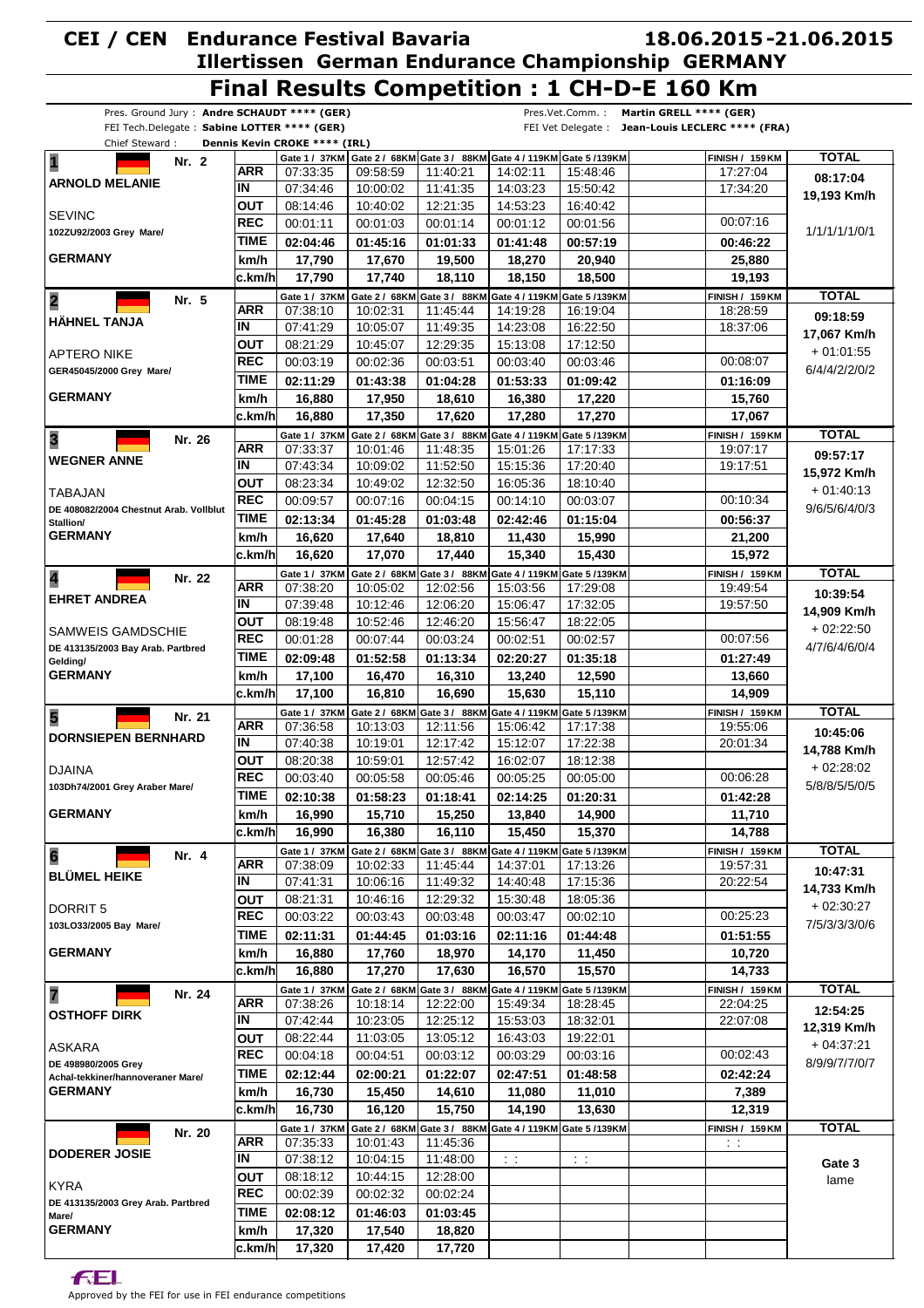# **CEI / CEN Endurance Festival Bavaria Illertissen German Endurance Championship GERMANY 18.06.2015 21.06.2015 - Final Results Competition : 1 CH-D-E 160 Km**

| Pres. Ground Jury: Andre SCHAUDT **** (GER)<br>FEI Tech.Delegate: Sabine LOTTER **** (GER)<br>Chief Steward:                                                                                                                                                                                                                                                                                                                                   |             | Dennis Kevin CROKE **** (IRL) |          |                      |                                                                      | Pres.Vet.Comm.: | Martin GRELL **** (GER)<br>FEI Vet Delegate : Jean-Louis LECLERC **** (FRA) |               |
|------------------------------------------------------------------------------------------------------------------------------------------------------------------------------------------------------------------------------------------------------------------------------------------------------------------------------------------------------------------------------------------------------------------------------------------------|-------------|-------------------------------|----------|----------------------|----------------------------------------------------------------------|-----------------|-----------------------------------------------------------------------------|---------------|
|                                                                                                                                                                                                                                                                                                                                                                                                                                                |             | Gate 1 / 37KM                 |          |                      | Gate 2 / 68KM Gate 3 / 88KM Gate 4 / 119KM Gate 5 /139KM             |                 | <b>FINISH / 159 KM</b>                                                      | <b>TOTAL</b>  |
| $\overline{\mathbf{1}}$<br>Nr. 2                                                                                                                                                                                                                                                                                                                                                                                                               | <b>ARR</b>  | 07:33:35                      | 09:58:59 | 11:40:21             | 14:02:11                                                             | 15:48:46        | 17:27:04                                                                    |               |
| <b>ARNOLD MELANIE</b>                                                                                                                                                                                                                                                                                                                                                                                                                          | ΙN          | 07:34:46                      | 10:00:02 | 11:41:35             | 14:03:23                                                             | 15:50:42        | 17:34:20                                                                    | 08:17:04      |
|                                                                                                                                                                                                                                                                                                                                                                                                                                                | <b>OUT</b>  | 08:14:46                      | 10:40:02 | 12:21:35             | 14:53:23                                                             | 16:40:42        |                                                                             | 19,193 Km/h   |
| <b>SEVINC</b>                                                                                                                                                                                                                                                                                                                                                                                                                                  | <b>REC</b>  | 00:01:11                      | 00:01:03 | 00:01:14             | 00:01:12                                                             | 00:01:56        | 00:07:16                                                                    |               |
| 102ZU92/2003 Grey Mare/                                                                                                                                                                                                                                                                                                                                                                                                                        |             |                               |          |                      |                                                                      |                 |                                                                             | 1/1/1/1/1/0/1 |
|                                                                                                                                                                                                                                                                                                                                                                                                                                                | <b>TIME</b> | 02:04:46                      | 01:45:16 | 01:01:33             | 01:41:48                                                             | 00:57:19        | 00:46:22                                                                    |               |
| <b>GERMANY</b>                                                                                                                                                                                                                                                                                                                                                                                                                                 | km/h        | 17,790                        | 17,670   | 19.500               | 18,270                                                               | 20,940          | 25.880                                                                      |               |
|                                                                                                                                                                                                                                                                                                                                                                                                                                                | c.km/h      | 17,790                        | 17,740   | 18.110               | 18,150                                                               | 18,500          | 19,193                                                                      |               |
| $\overline{\mathbf{2}}$<br>Nr. 5                                                                                                                                                                                                                                                                                                                                                                                                               |             | Gate 1 / 37KM                 |          |                      | Gate 2 / 68KM Gate 3 / 88KM Gate 4 / 119KM Gate 5 /139KM             |                 | <b>FINISH / 159 KM</b>                                                      | <b>TOTAL</b>  |
| <b>HÄHNEL TANJA</b>                                                                                                                                                                                                                                                                                                                                                                                                                            | <b>ARR</b>  | 07:38:10                      | 10:02:31 | 11:45:44             | 14:19:28                                                             | 16:19:04        | 18:28:59                                                                    | 09:18:59      |
|                                                                                                                                                                                                                                                                                                                                                                                                                                                | IN          | 07:41:29                      | 10:05:07 | 11:49:35             | 14:23:08                                                             | 16:22:50        | 18:37:06                                                                    | 17,067 Km/h   |
|                                                                                                                                                                                                                                                                                                                                                                                                                                                | <b>OUT</b>  | 08:21:29                      | 10:45:07 | 12:29:35             | 15:13:08                                                             | 17:12:50        |                                                                             | $+01:01:55$   |
| <b>APTERO NIKE</b>                                                                                                                                                                                                                                                                                                                                                                                                                             | <b>REC</b>  | 00:03:19                      | 00:02:36 | 00:03:51             | 00:03:40                                                             | 00:03:46        | 00:08:07                                                                    |               |
| GER45045/2000 Grey Mare/                                                                                                                                                                                                                                                                                                                                                                                                                       | <b>TIME</b> | 02:11:29                      | 01:43:38 | 01:04:28             | 01:53:33                                                             | 01:09:42        | 01:16:09                                                                    | 6/4/4/2/2/0/2 |
| <b>GERMANY</b>                                                                                                                                                                                                                                                                                                                                                                                                                                 | km/h        | 16,880                        | 17,950   | 18,610               | 16,380                                                               | 17,220          | 15,760                                                                      |               |
|                                                                                                                                                                                                                                                                                                                                                                                                                                                | c.km/hl     | 16,880                        | 17,350   | 17,620               | 17,280                                                               | 17,270          | 17.067                                                                      |               |
|                                                                                                                                                                                                                                                                                                                                                                                                                                                |             |                               |          |                      |                                                                      |                 |                                                                             |               |
| $\overline{\mathbf{3}}$<br>Nr. 26                                                                                                                                                                                                                                                                                                                                                                                                              | <b>ARR</b>  | Gate 1 / 37KM<br>07:33:37     | 10:01:46 | 11:48:35             | Gate 2 / 68KM Gate 3 / 88KM Gate 4 / 119KM Gate 5 /139KM<br>15:01:26 | 17:17:33        | <b>FINISH / 159 KM</b><br>19:07:17                                          | <b>TOTAL</b>  |
| <b>WEGNER ANNE</b>                                                                                                                                                                                                                                                                                                                                                                                                                             | ΙN          | 07:43:34                      | 10:09:02 | 11:52:50             | 15:15:36                                                             | 17:20:40        | 19:17:51                                                                    | 09:57:17      |
|                                                                                                                                                                                                                                                                                                                                                                                                                                                | OUT         | 08:23:34                      |          |                      |                                                                      |                 |                                                                             | 15,972 Km/h   |
| TABAJAN                                                                                                                                                                                                                                                                                                                                                                                                                                        |             |                               | 10:49:02 | 12:32:50             | 16:05:36                                                             | 18:10:40        |                                                                             | $+01:40:13$   |
| DE 408082/2004 Chestnut Arab. Vollblut                                                                                                                                                                                                                                                                                                                                                                                                         | <b>REC</b>  | 00:09:57                      | 00:07:16 | 00:04:15             | 00:14:10                                                             | 00:03:07        | 00:10:34                                                                    | 9/6/5/6/4/0/3 |
| Stallion/                                                                                                                                                                                                                                                                                                                                                                                                                                      | <b>TIME</b> | 02:13:34                      | 01:45:28 | 01:03:48             | 02:42:46                                                             | 01:15:04        | 00:56:37                                                                    |               |
| <b>GERMANY</b>                                                                                                                                                                                                                                                                                                                                                                                                                                 | km/h        | 16,620                        | 17,640   | 18,810               | 11,430                                                               | 15,990          | 21,200                                                                      |               |
|                                                                                                                                                                                                                                                                                                                                                                                                                                                | c.km/hl     | 16,620                        | 17,070   | 17,440               | 15,340                                                               | 15,430          | 15,972                                                                      |               |
| $\overline{\mathbf{4}}$<br>Nr. 22                                                                                                                                                                                                                                                                                                                                                                                                              |             | Gate 1 / 37KM                 |          |                      | Gate 2 / 68KM Gate 3 / 88KM Gate 4 / 119KM Gate 5 / 139KM            |                 | <b>FINISH / 159 KM</b>                                                      | <b>TOTAL</b>  |
|                                                                                                                                                                                                                                                                                                                                                                                                                                                | <b>ARR</b>  | 07:38:20                      | 10:05:02 | 12:02:56             | 15:03:56                                                             | 17:29:08        | 19:49:54                                                                    | 10:39:54      |
| <b>EHRET ANDREA</b>                                                                                                                                                                                                                                                                                                                                                                                                                            | ΙN          | 07:39:48                      | 10:12:46 | 12:06:20             | 15:06:47                                                             | 17:32:05        | 19:57:50                                                                    | 14,909 Km/h   |
|                                                                                                                                                                                                                                                                                                                                                                                                                                                | OUT         | 08:19:48                      | 10:52:46 | 12:46:20             | 15:56:47                                                             | 18:22:05        |                                                                             |               |
| SAMWEIS GAMDSCHIE                                                                                                                                                                                                                                                                                                                                                                                                                              | <b>REC</b>  | 00:01:28                      | 00:07:44 | 00:03:24             | 00:02:51                                                             | 00:02:57        | 00:07:56                                                                    | $+02:22:50$   |
| DE 413135/2003 Bay Arab. Partbred                                                                                                                                                                                                                                                                                                                                                                                                              | <b>TIME</b> | 02:09:48                      | 01:52:58 | 01:13:34             | 02:20:27                                                             | 01:35:18        | 01:27:49                                                                    | 4/7/6/4/6/0/4 |
| Gelding/<br><b>GERMANY</b>                                                                                                                                                                                                                                                                                                                                                                                                                     | km/h        | 17,100                        | 16,470   | 16,310               | 13,240                                                               | 12,590          | 13,660                                                                      |               |
|                                                                                                                                                                                                                                                                                                                                                                                                                                                | c.km/h      | 17,100                        | 16,810   | 16,690               | 15,630                                                               | 15,110          | 14,909                                                                      |               |
|                                                                                                                                                                                                                                                                                                                                                                                                                                                |             |                               |          |                      |                                                                      |                 |                                                                             |               |
|                                                                                                                                                                                                                                                                                                                                                                                                                                                |             |                               |          |                      |                                                                      |                 |                                                                             |               |
| Nr. 21                                                                                                                                                                                                                                                                                                                                                                                                                                         |             | Gate 1 / 37KM                 |          |                      | Gate 2 / 68KM Gate 3 / 88KM Gate 4 / 119KM Gate 5 /139KM             |                 | <b>FINISH / 159 KM</b>                                                      | <b>TOTAL</b>  |
|                                                                                                                                                                                                                                                                                                                                                                                                                                                | <b>ARR</b>  | 07:36:58                      | 10:13:03 | 12:11:56             | 15:06:42                                                             | 17:17:38        | 19:55:06                                                                    | 10:45:06      |
|                                                                                                                                                                                                                                                                                                                                                                                                                                                | IN          | 07:40:38                      | 10:19:01 | 12:17:42             | 15:12:07                                                             | 17:22:38        | 20:01:34                                                                    | 14,788 Km/h   |
|                                                                                                                                                                                                                                                                                                                                                                                                                                                | ΟUΤ         | 08:20:38                      | 10:59:01 | 12:57:42             | 16:02:07                                                             | 18:12:38        |                                                                             | $+02:28:02$   |
|                                                                                                                                                                                                                                                                                                                                                                                                                                                | <b>REC</b>  | 00:03:40                      | 00:05:58 | 00:05:46             | 00:05:25                                                             | 00:05:00        | 00:06:28                                                                    |               |
|                                                                                                                                                                                                                                                                                                                                                                                                                                                | <b>TIME</b> | 02:10:38                      | 01:58:23 | 01:18:41             | 02:14:25                                                             | 01:20:31        | 01:42:28                                                                    | 5/8/8/5/5/0/5 |
|                                                                                                                                                                                                                                                                                                                                                                                                                                                | km/h        | 16,990                        | 15,710   | 15,250               | 13,840                                                               | 14,900          | 11,710                                                                      |               |
|                                                                                                                                                                                                                                                                                                                                                                                                                                                | c.km/h      | 16,990                        | 16,380   | 16,110               | 15.450                                                               | 15,370          | 14,788                                                                      |               |
|                                                                                                                                                                                                                                                                                                                                                                                                                                                |             |                               |          |                      |                                                                      |                 |                                                                             |               |
| Nr. 4                                                                                                                                                                                                                                                                                                                                                                                                                                          | <b>ARR</b>  | Gate 1 / 37KM                 | 10:02:33 |                      | Gate 2 / 68KM Gate 3 / 88KM Gate 4 / 119KM Gate 5 /139KM             | 17:13:26        | <b>FINISH / 159 KM</b><br>19:57:31                                          | <b>TOTAL</b>  |
|                                                                                                                                                                                                                                                                                                                                                                                                                                                | ΙN          | 07:38:09<br>07:41:31          | 10:06:16 | 11:45:44<br>11:49:32 | 14:37:01<br>14:40:48                                                 | 17:15:36        | 20:22:54                                                                    | 10:47:31      |
|                                                                                                                                                                                                                                                                                                                                                                                                                                                |             |                               |          |                      |                                                                      |                 |                                                                             | 14,733 Km/h   |
|                                                                                                                                                                                                                                                                                                                                                                                                                                                | OUT         | 08:21:31                      | 10:46:16 | 12:29:32             | 15:30:48                                                             | 18:05:36        |                                                                             | $+02:30:27$   |
|                                                                                                                                                                                                                                                                                                                                                                                                                                                | <b>REC</b>  | 00:03:22                      | 00:03:43 | 00:03:48             | 00:03:47                                                             | 00:02:10        | 00:25:23                                                                    | 7/5/3/3/3/0/6 |
|                                                                                                                                                                                                                                                                                                                                                                                                                                                | <b>TIME</b> | 02:11:31                      | 01:44:45 | 01:03:16             | 02:11:16                                                             | 01:44:48        | 01:51:55                                                                    |               |
|                                                                                                                                                                                                                                                                                                                                                                                                                                                | km/h        | 16,880                        | 17,760   | 18,970               | 14,170                                                               | 11,450          | 10,720                                                                      |               |
|                                                                                                                                                                                                                                                                                                                                                                                                                                                | c.km/h      | 16,880                        | 17,270   | 17,630               | 16,570                                                               | 15,570          | 14.733                                                                      |               |
| Nr. 24                                                                                                                                                                                                                                                                                                                                                                                                                                         |             | Gate 1 / 37KM                 |          |                      | Gate 2 / 68KM Gate 3 / 88KM Gate 4 / 119KM Gate 5 /139KM             |                 | <b>FINISH / 159 KM</b>                                                      | <b>TOTAL</b>  |
|                                                                                                                                                                                                                                                                                                                                                                                                                                                | <b>ARR</b>  | 07:38:26                      | 10:18:14 | 12:22:00             | 15:49:34                                                             | 18:28:45        | 22:04:25                                                                    | 12:54:25      |
|                                                                                                                                                                                                                                                                                                                                                                                                                                                | ΙN          | 07:42:44                      | 10:23:05 | 12:25:12             | 15:53:03                                                             | 18:32:01        | 22:07:08                                                                    |               |
|                                                                                                                                                                                                                                                                                                                                                                                                                                                | OUT         | 08:22:44                      | 11:03:05 | 13:05:12             | 16:43:03                                                             | 19:22:01        |                                                                             | 12,319 Km/h   |
|                                                                                                                                                                                                                                                                                                                                                                                                                                                | <b>REC</b>  | 00:04:18                      | 00:04:51 | 00:03:12             | 00:03:29                                                             | 00:03:16        | 00:02:43                                                                    | $+04:37:21$   |
|                                                                                                                                                                                                                                                                                                                                                                                                                                                | TIME        |                               |          |                      |                                                                      |                 | 02:42:24                                                                    | 8/9/9/7/7/0/7 |
|                                                                                                                                                                                                                                                                                                                                                                                                                                                |             | 02:12:44                      | 02:00:21 | 01:22:07             | 02:47:51                                                             | 01:48:58        |                                                                             |               |
|                                                                                                                                                                                                                                                                                                                                                                                                                                                | km/h        | 16,730                        | 15,450   | 14,610               | 11,080                                                               | 11,010          | 7,389                                                                       |               |
|                                                                                                                                                                                                                                                                                                                                                                                                                                                | c.km/h      | 16,730                        | 16,120   | 15,750               | 14,190                                                               | 13,630          | 12,319                                                                      |               |
| Nr. 20                                                                                                                                                                                                                                                                                                                                                                                                                                         |             | Gate 1 / 37KM                 |          |                      | Gate 2 / 68KM Gate 3 / 88KM Gate 4 / 119KM Gate 5 /139KM             |                 | <b>FINISH / 159 KM</b>                                                      | <b>TOTAL</b>  |
|                                                                                                                                                                                                                                                                                                                                                                                                                                                | <b>ARR</b>  | 07:35:33                      | 10:01:43 | 11:45:36             |                                                                      |                 | $\sim$                                                                      |               |
|                                                                                                                                                                                                                                                                                                                                                                                                                                                | IN          | 07:38:12                      | 10:04:15 | 11:48:00             | $\sim 10$                                                            | $\sim 10$       |                                                                             | Gate 3        |
|                                                                                                                                                                                                                                                                                                                                                                                                                                                | OUT         | 08:18:12                      | 10:44:15 | 12:28:00             |                                                                      |                 |                                                                             | lame          |
|                                                                                                                                                                                                                                                                                                                                                                                                                                                | <b>REC</b>  | 00:02:39                      | 00:02:32 | 00:02:24             |                                                                      |                 |                                                                             |               |
|                                                                                                                                                                                                                                                                                                                                                                                                                                                | <b>TIME</b> | 02:08:12                      | 01:46:03 | 01:03:45             |                                                                      |                 |                                                                             |               |
| 5<br><b>DORNSIEPEN BERNHARD</b><br>DJAINA<br>103Dh74/2001 Grey Araber Mare/<br><b>GERMANY</b><br>$6\phantom{a}$<br><b>BLÜMEL HEIKE</b><br><b>DORRIT 5</b><br>103LO33/2005 Bay Mare/<br><b>GERMANY</b><br>$\overline{z}$<br><b>OSTHOFF DIRK</b><br>ASKARA<br>DE 498980/2005 Grey<br>Achal-tekkiner/hannoveraner Mare/<br><b>GERMANY</b><br><b>DODERER JOSIE</b><br><b>KYRA</b><br>DE 413135/2003 Grey Arab. Partbred<br>Mare/<br><b>GERMANY</b> | km/h        | 17,320                        | 17,540   | 18,820               |                                                                      |                 |                                                                             |               |

**FEL**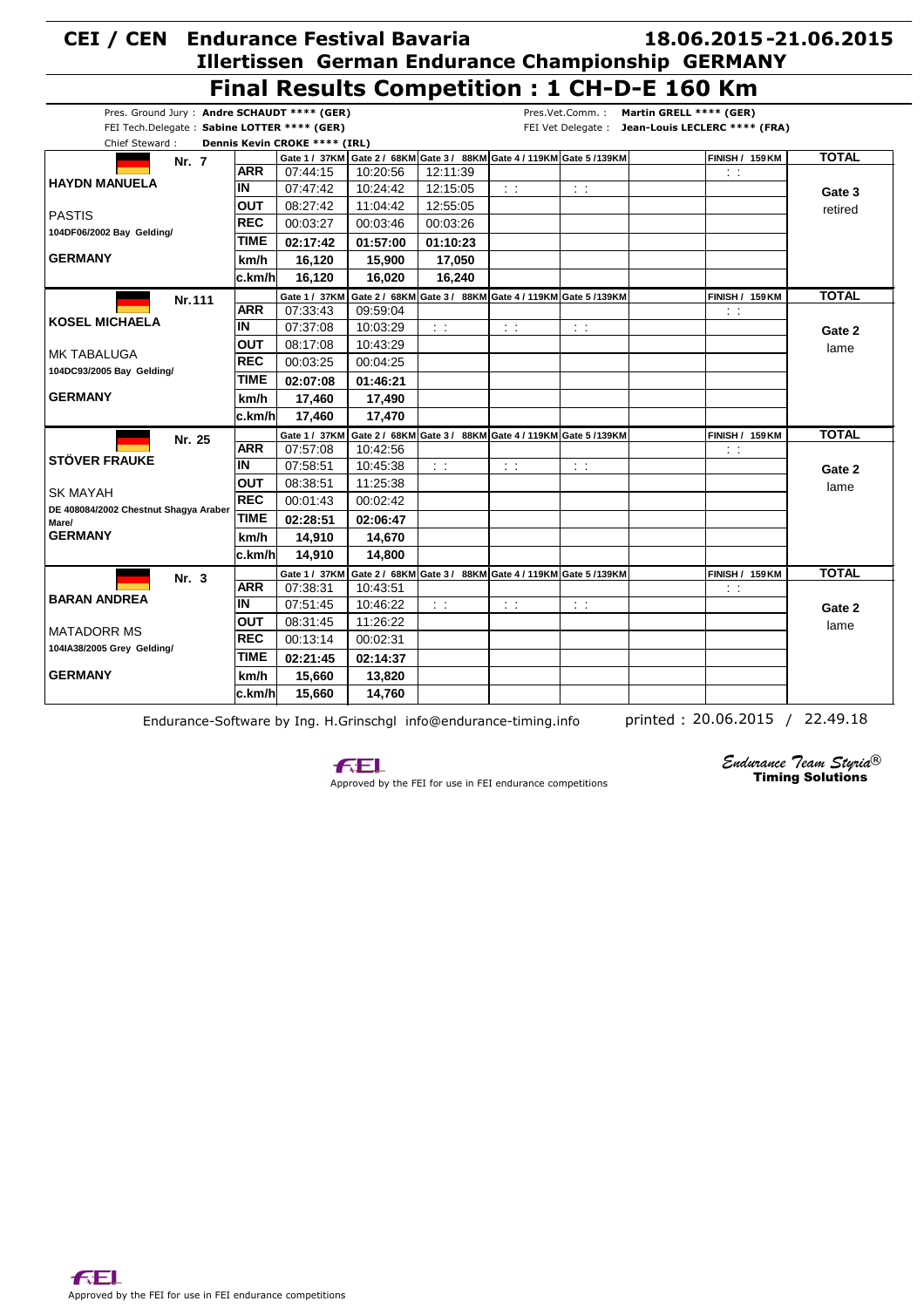### **CEI / CEN Endurance Festival Bavaria Illertissen German Endurance Championship GERMANY 18.06.2015 21.06.2015 - Final Results Competition : 1 CH-D-E 160 Km**

| Pres. Ground Jury: Andre SCHAUDT **** (GER) |                          |                               |          |                                                                         |           | Pres.Vet.Comm.: | Martin GRELL **** (GER)                          |              |
|---------------------------------------------|--------------------------|-------------------------------|----------|-------------------------------------------------------------------------|-----------|-----------------|--------------------------------------------------|--------------|
| FEI Tech.Delegate: Sabine LOTTER **** (GER) |                          |                               |          |                                                                         |           |                 | FEI Vet Delegate : Jean-Louis LECLERC **** (FRA) |              |
| Chief Steward:                              |                          | Dennis Kevin CROKE **** (IRL) |          |                                                                         |           |                 |                                                  |              |
| Nr. 7                                       |                          |                               |          | Gate 1 / 37KM Gate 2 / 68KM Gate 3 / 88KM Gate 4 / 119KM Gate 5 / 139KM |           |                 | <b>FINISH / 159 KM</b>                           | <b>TOTAL</b> |
|                                             | <b>ARR</b>               | 07:44:15                      | 10:20:56 | 12:11:39                                                                |           |                 | $\sim 10$                                        |              |
| <b>HAYDN MANUELA</b>                        | İΝ                       | 07:47:42                      | 10:24:42 | 12:15:05                                                                | $\sim 10$ | $\sim 10$       |                                                  | Gate 3       |
| <b>PASTIS</b>                               | <b>OUT</b>               | 08:27:42                      | 11:04:42 | 12:55:05                                                                |           |                 |                                                  | retired      |
| 104DF06/2002 Bay Gelding/                   | <b>REC</b>               | 00:03:27                      | 00:03:46 | 00:03:26                                                                |           |                 |                                                  |              |
|                                             | <b>TIME</b>              | 02:17:42                      | 01:57:00 | 01:10:23                                                                |           |                 |                                                  |              |
| <b>GERMANY</b>                              | km/h                     | 16,120                        | 15.900   | 17,050                                                                  |           |                 |                                                  |              |
|                                             | c.km/h                   | 16,120                        | 16.020   | 16.240                                                                  |           |                 |                                                  |              |
| Nr. 111                                     |                          | Gate 1 / 37KM                 |          | Gate 2 / 68KM Gate 3 / 88KM Gate 4 / 119KM Gate 5 /139KM                |           |                 | <b>FINISH / 159 KM</b>                           | <b>TOTAL</b> |
|                                             | <b>ARR</b>               | 07:33:43                      | 09:59:04 |                                                                         |           |                 | $\sim$ $\sim$                                    |              |
| <b>KOSEL MICHAELA</b>                       | IN                       | 07:37:08                      | 10:03:29 | $\sim 10$                                                               | $\sim 10$ | $\sim 10$       |                                                  | Gate 2       |
| <b>MK TABALUGA</b>                          | <b>OUT</b>               | 08:17:08                      | 10:43:29 |                                                                         |           |                 |                                                  | lame         |
| 104DC93/2005 Bay Gelding/                   | <b>REC</b>               | 00:03:25                      | 00:04:25 |                                                                         |           |                 |                                                  |              |
|                                             | <b>TIME</b>              | 02:07:08                      | 01:46:21 |                                                                         |           |                 |                                                  |              |
| <b>GERMANY</b>                              | km/h                     | 17,460                        | 17,490   |                                                                         |           |                 |                                                  |              |
|                                             | lc.km/hl                 | 17,460                        | 17.470   |                                                                         |           |                 |                                                  |              |
| Nr. 25                                      |                          | Gate 1 / 37KM                 |          | Gate 2 / 68KM Gate 3 / 88KM Gate 4 / 119KM Gate 5 /139KM                |           |                 | <b>FINISH / 159 KM</b>                           | <b>TOTAL</b> |
| <b>STÖVER FRAUKE</b>                        | <b>ARR</b>               | 07:57:08                      | 10:42:56 |                                                                         |           |                 | $\sim$ $\sim$                                    |              |
|                                             | IN                       | 07:58:51                      | 10:45:38 | $\sim 10$                                                               | $\sim 10$ | $\sim$ $\sim$   |                                                  | Gate 2       |
| <b>SK MAYAH</b>                             | <b>OUT</b>               | 08:38:51                      | 11:25:38 |                                                                         |           |                 |                                                  | lame         |
| DE 408084/2002 Chestnut Shagya Araber       | <b>REC</b>               | 00:01:43                      | 00:02:42 |                                                                         |           |                 |                                                  |              |
| Mare/                                       | <b>TIME</b>              | 02:28:51                      | 02:06:47 |                                                                         |           |                 |                                                  |              |
| <b>GERMANY</b>                              | km/h                     | 14,910                        | 14,670   |                                                                         |           |                 |                                                  |              |
|                                             | c.km/h                   | 14,910                        | 14,800   |                                                                         |           |                 |                                                  |              |
| Nr.3                                        |                          | Gate 1 / 37KM                 |          | Gate 2 / 68KM Gate 3 / 88KM Gate 4 / 119KM Gate 5 /139KM                |           |                 | <b>FINISH / 159 KM</b>                           | <b>TOTAL</b> |
| <b>BARAN ANDREA</b>                         | <b>ARR</b>               | 07:38:31                      | 10:43:51 |                                                                         |           |                 | $\sim$ $\sim$                                    |              |
|                                             | $\overline{\mathsf{IN}}$ | 07:51:45                      | 10:46:22 | $\sim 10$                                                               | $\sim 10$ | $\sim 10$       |                                                  | Gate 2       |
| <b>MATADORR MS</b>                          | <b>OUT</b>               | 08:31:45                      | 11:26:22 |                                                                         |           |                 |                                                  | lame         |
| 104IA38/2005 Grey Gelding/                  | <b>REC</b>               | 00:13:14                      | 00:02:31 |                                                                         |           |                 |                                                  |              |
|                                             | <b>TIME</b>              | 02:21:45                      | 02:14:37 |                                                                         |           |                 |                                                  |              |
| <b>GERMANY</b>                              | km/h                     | 15,660                        | 13,820   |                                                                         |           |                 |                                                  |              |
|                                             | c.km/h                   | 15,660                        | 14,760   |                                                                         |           |                 |                                                  |              |

Endurance-Software by Ing. H.Grinschgl info@endurance-timing.info printed : 20.06.2015 / 22.49.18

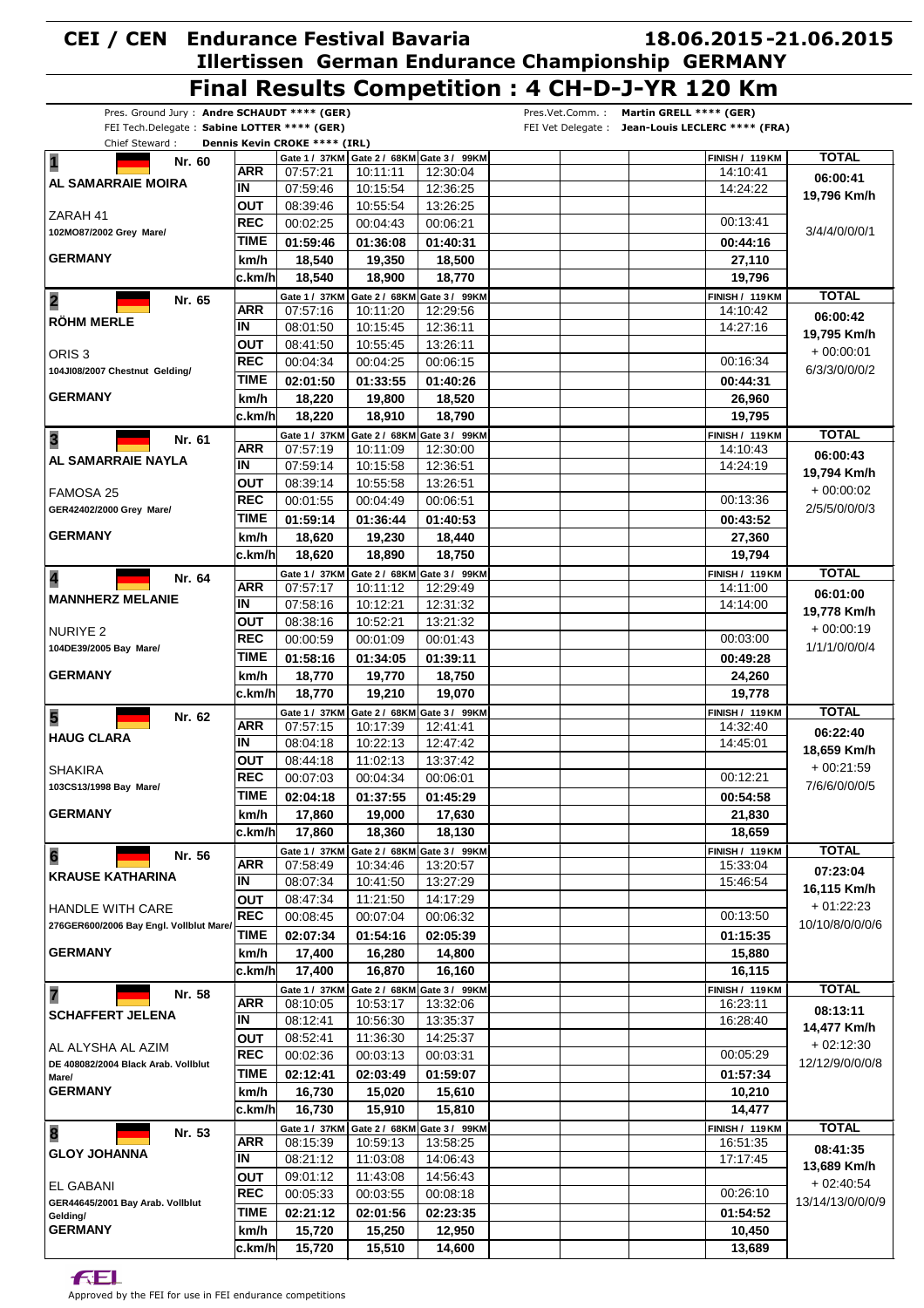# **CEI / CEN Endurance Festival Bavaria Illertissen German Endurance Championship GERMANY 18.06.2015 21.06.2015 - Final Results Competition : 4 CH-D-J-YR 120 Km**

| Pres. Ground Jury: Andre SCHAUDT **** (GER)  |                   |                               |                      |                                                       | Pres.Vet.Comm.: Martin GRELL **** (GER)          |                                    |                  |
|----------------------------------------------|-------------------|-------------------------------|----------------------|-------------------------------------------------------|--------------------------------------------------|------------------------------------|------------------|
| FEI Tech.Delegate: Sabine LOTTER **** (GER)  |                   |                               |                      |                                                       | FEI Vet Delegate : Jean-Louis LECLERC **** (FRA) |                                    |                  |
| Chief Steward:                               |                   | Dennis Kevin CROKE **** (IRL) |                      |                                                       |                                                  |                                    |                  |
| $\overline{\mathbf{1}}$<br>Nr. 60            | <b>ARR</b>        | 07:57:21                      | 10:11:11             | Gate 1 / 37KM Gate 2 / 68KM Gate 3 / 99KM<br>12:30:04 |                                                  | <b>FINISH / 119 KM</b><br>14:10:41 | <b>TOTAL</b>     |
| <b>AL SAMARRAIE MOIRA</b>                    | IN                | 07:59:46                      | 10:15:54             | 12:36:25                                              |                                                  | 14:24:22                           | 06:00:41         |
|                                              | <b>OUT</b>        | 08:39:46                      | 10:55:54             | 13:26:25                                              |                                                  |                                    | 19,796 Km/h      |
| IZARAH 41                                    | <b>REC</b>        | 00:02:25                      | 00:04:43             | 00:06:21                                              |                                                  | 00:13:41                           |                  |
| 102MO87/2002 Grey Mare/                      | TIME              | 01:59:46                      | 01:36:08             | 01:40:31                                              |                                                  | 00:44:16                           | 3/4/4/0/0/0/1    |
| <b>GERMANY</b>                               | km/h              | 18,540                        | 19,350               | 18,500                                                |                                                  | 27,110                             |                  |
|                                              | c.km/hl           | 18,540                        | 18,900               | 18,770                                                |                                                  | 19,796                             |                  |
| $\overline{\mathbf{2}}$<br>Nr. 65            |                   |                               |                      | Gate 1 / 37KM Gate 2 / 68KM Gate 3 / 99KM             |                                                  | <b>FINISH / 119 KM</b>             | <b>TOTAL</b>     |
|                                              | <b>ARR</b>        | 07:57:16                      | 10:11:20             | 12:29:56                                              |                                                  | 14:10:42                           | 06:00:42         |
| <b>RÖHM MERLE</b>                            | IN                | 08:01:50                      | 10:15:45             | 12:36:11                                              |                                                  | 14:27:16                           | 19,795 Km/h      |
| ORIS 3                                       | OUT               | 08:41:50                      | 10:55:45             | 13:26:11                                              |                                                  |                                    | $+00:00:01$      |
| 104JI08/2007 Chestnut Gelding/               | <b>REC</b>        | 00:04:34                      | 00:04:25             | 00:06:15                                              |                                                  | 00:16:34                           | 6/3/3/0/0/0/2    |
|                                              | TIME              | 02:01:50                      | 01:33:55             | 01:40:26                                              |                                                  | 00:44:31                           |                  |
| GERMANY                                      | km/h              | 18,220                        | 19,800               | 18,520                                                |                                                  | 26,960                             |                  |
|                                              | c.km/h            | 18,220                        | 18.910               | 18,790                                                |                                                  | 19,795                             |                  |
| 3<br>Nr. 61                                  |                   |                               |                      | Gate 1 / 37KM Gate 2 / 68KM Gate 3 / 99KM             |                                                  | <b>FINISH / 119 KM</b>             | <b>TOTAL</b>     |
| AL SAMARRAIE NAYLA                           | <b>ARR</b>        | 07:57:19                      | 10:11:09             | 12:30:00                                              |                                                  | 14:10:43                           | 06:00:43         |
|                                              | IN                | 07:59:14                      | 10:15:58             | 12:36:51                                              |                                                  | 14:24:19                           | 19,794 Km/h      |
| l FAMOSA 25                                  | OUT<br><b>REC</b> | 08:39:14                      | 10:55:58             | 13:26:51<br>00:06:51                                  |                                                  | 00:13:36                           | $+00:00:02$      |
| GER42402/2000 Grey Mare/                     | <b>TIME</b>       | 00:01:55                      | 00:04:49             |                                                       |                                                  |                                    | 2/5/5/0/0/0/3    |
| <b>GERMANY</b>                               |                   | 01:59:14<br>18,620            | 01:36:44             | 01:40:53                                              |                                                  | 00:43:52<br>27,360                 |                  |
|                                              | km/h<br>c.km/h    | 18,620                        | 19,230<br>18,890     | 18,440<br>18,750                                      |                                                  | 19,794                             |                  |
|                                              |                   |                               |                      |                                                       |                                                  |                                    | <b>TOTAL</b>     |
| $\overline{\mathbf{4}}$<br>Nr. 64            | <b>ARR</b>        | 07:57:17                      | 10:11:12             | Gate 1 / 37KM Gate 2 / 68KM Gate 3 / 99KM<br>12:29:49 |                                                  | <b>FINISH / 119 KM</b><br>14:11:00 |                  |
| <b>MANNHERZ MELANIE</b>                      | IN                | 07:58:16                      | 10:12:21             | 12:31:32                                              |                                                  | 14:14:00                           | 06:01:00         |
|                                              | <b>OUT</b>        | 08:38:16                      | 10:52:21             | 13:21:32                                              |                                                  |                                    | 19,778 Km/h      |
| NURIYE 2                                     | <b>REC</b>        | 00:00:59                      | 00:01:09             | 00:01:43                                              |                                                  | 00:03:00                           | $+00:00:19$      |
| 104DE39/2005 Bay Mare/                       | <b>TIME</b>       | 01:58:16                      | 01:34:05             | 01:39:11                                              |                                                  | 00:49:28                           | 1/1/1/0/0/0/4    |
| <b>GERMANY</b>                               | km/h              | 18,770                        | 19,770               | 18,750                                                |                                                  | 24,260                             |                  |
|                                              | c.km/h            | 18,770                        | 19,210               | 19,070                                                |                                                  | 19,778                             |                  |
| 5<br>Nr. 62                                  |                   | Gate 1 / 37KM                 |                      | Gate 2 / 68KM Gate 3 / 99KM                           |                                                  | <b>FINISH / 119 KM</b>             | <b>TOTAL</b>     |
|                                              | ARR               | 07:57:15                      | 10:17:39             | 12:41:41                                              |                                                  | 14:32:40                           | 06:22:40         |
| <b>HAUG CLARA</b>                            | IN                | 08:04:18                      | 10:22:13             | 12:47:42                                              |                                                  | 14:45:01                           | 18,659 Km/h      |
| l SHAKIRA                                    | <b>OUT</b>        | 08:44:18                      | 11:02:13             | 13:37:42                                              |                                                  |                                    | $+00:21:59$      |
| 103CS13/1998 Bay Mare/                       | <b>REC</b>        | 00:07:03                      | 00:04:34             | 00:06:01                                              |                                                  | 00:12:21                           | 7/6/6/0/0/0/5    |
|                                              |                   | TIME 02:04:18                 | 01:37:55             | 01:45:29                                              |                                                  | 00:54:58                           |                  |
| <b>GERMANY</b>                               | km/h              | 17,860                        | 19,000               | 17,630                                                |                                                  | 21,830                             |                  |
|                                              | c.km/h            | 17,860                        | 18,360               | 18.130                                                |                                                  | 18,659                             |                  |
| $\overline{6}$<br>Nr. 56                     |                   | Gate 1 / 37KM                 |                      | Gate 2 / 68KM Gate 3 / 99KM                           |                                                  | <b>FINISH / 119 KM</b>             | <b>TOTAL</b>     |
| <b>KRAUSE KATHARINA</b>                      | ARR<br>IN         | 07:58:49                      | 10:34:46             | 13:20:57                                              |                                                  | 15:33:04                           | 07:23:04         |
|                                              |                   | 08:07:34                      | 10:41:50             | 13:27:29                                              |                                                  | 15:46:54                           | 16,115 Km/h      |
| HANDLE WITH CARE                             | OUT<br><b>REC</b> | 08:47:34<br>00:08:45          | 11:21:50<br>00:07:04 | 14:17:29<br>00:06:32                                  |                                                  | 00:13:50                           | $+01:22:23$      |
| 276GER600/2006 Bay Engl. Vollblut Mare       | <b>TIME</b>       |                               |                      |                                                       |                                                  |                                    | 10/10/8/0/0/0/6  |
| GERMANY                                      |                   | 02:07:34                      | 01:54:16             | 02:05:39                                              |                                                  | 01:15:35                           |                  |
|                                              | km/h<br>c.km/h    | 17,400<br>17,400              | 16,280<br>16,870     | 14,800<br>16,160                                      |                                                  | 15,880<br>16,115                   |                  |
|                                              |                   | Gate 1 / 37KM                 |                      | Gate 2 / 68KM Gate 3 / 99KM                           |                                                  | FINISH / 119 KM                    | <b>TOTAL</b>     |
| $\overline{\mathbf{z}}$<br>Nr. 58            | ARR               | 08:10:05                      | 10:53:17             | 13:32:06                                              |                                                  | 16:23:11                           |                  |
| <b>SCHAFFERT JELENA</b>                      | IN                | 08:12:41                      | 10:56:30             | 13:35:37                                              |                                                  | 16:28:40                           | 08:13:11         |
|                                              | OUT               | 08:52:41                      | 11:36:30             | 14:25:37                                              |                                                  |                                    | 14,477 Km/h      |
| AL ALYSHA AL AZIM                            | <b>REC</b>        | 00:02:36                      | 00:03:13             | 00:03:31                                              |                                                  | 00:05:29                           | $+02:12:30$      |
| DE 408082/2004 Black Arab. Vollblut<br>Mare/ | <b>TIME</b>       | 02:12:41                      | 02:03:49             | 01:59:07                                              |                                                  | 01:57:34                           | 12/12/9/0/0/0/8  |
| <b>GERMANY</b>                               | km/h              | 16,730                        | 15,020               | 15,610                                                |                                                  | 10,210                             |                  |
|                                              | c.km/h            | 16,730                        | 15,910               | 15,810                                                |                                                  | 14,477                             |                  |
| 8<br>Nr. 53                                  |                   | Gate 1 / 37KM                 |                      | Gate 2 / 68KM Gate 3 / 99KM                           |                                                  | <b>FINISH / 119 KM</b>             | <b>TOTAL</b>     |
|                                              | ARR               | 08:15:39                      | 10:59:13             | 13:58:25                                              |                                                  | 16:51:35                           | 08:41:35         |
| <b>GLOY JOHANNA</b>                          | IN                | 08:21:12                      | 11:03:08             | 14:06:43                                              |                                                  | 17:17:45                           | 13,689 Km/h      |
| EL GABANI                                    | <b>OUT</b>        | 09:01:12                      | 11:43:08             | 14:56:43                                              |                                                  |                                    | + 02:40:54       |
| GER44645/2001 Bay Arab. Vollblut             | <b>REC</b>        | 00:05:33                      | 00:03:55             | 00:08:18                                              |                                                  | 00:26:10                           | 13/14/13/0/0/0/9 |
| Gelding/                                     | <b>TIME</b>       | 02:21:12                      | 02:01:56             | 02:23:35                                              |                                                  | 01:54:52                           |                  |
| <b>GERMANY</b>                               | km/h              | 15,720                        | 15,250               | 12,950                                                |                                                  | 10,450                             |                  |
|                                              | c.km/h            | 15,720                        | 15,510               | 14,600                                                |                                                  | 13,689                             |                  |

**FEL**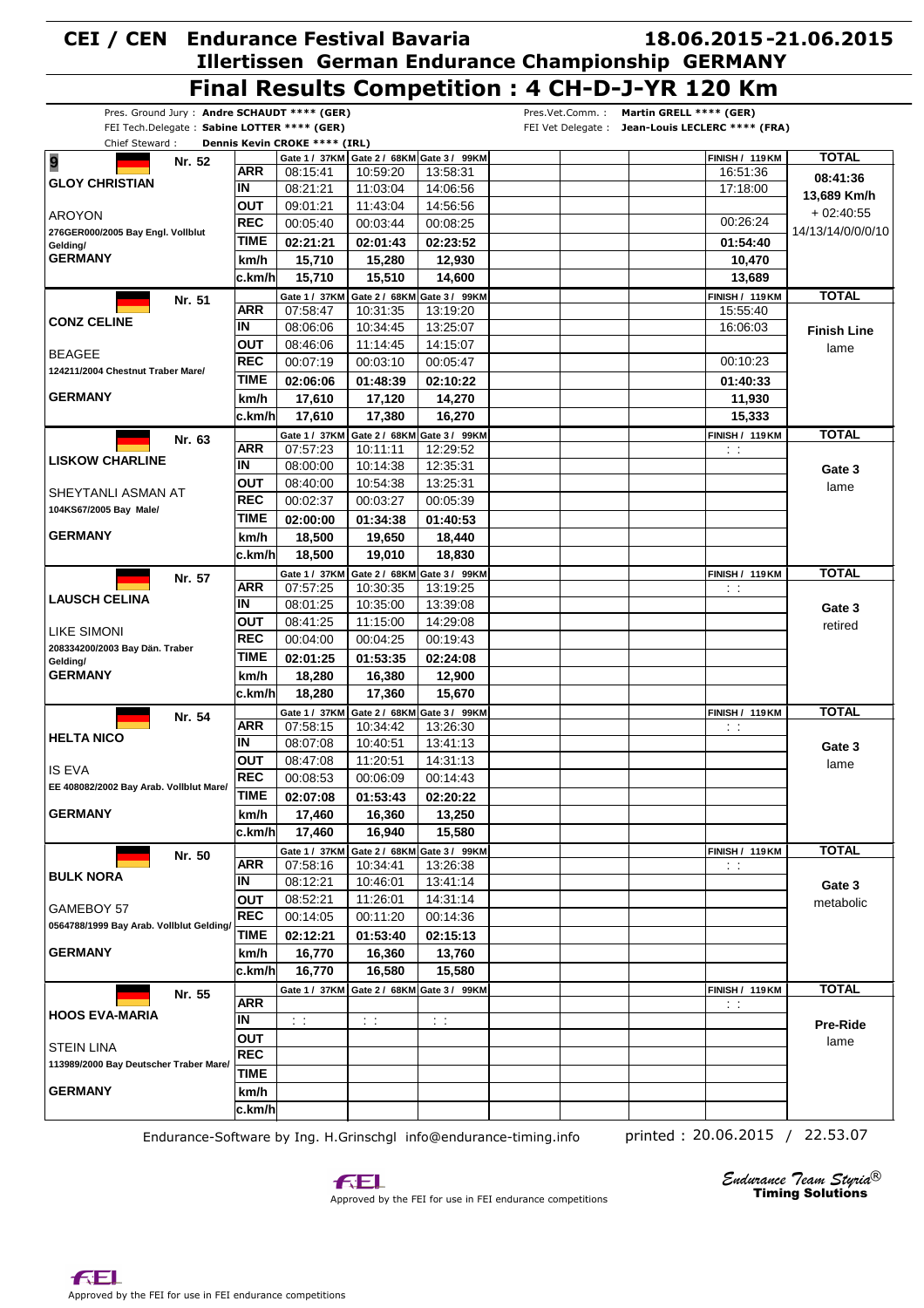### **CEI / CEN Endurance Festival Bavaria Illertissen German Endurance Championship GERMANY 18.06.2015 21.06.2015 - Final Results Competition : 4 CH-D-J-YR 120 Km**

| Pres. Ground Jury: Andre SCHAUDT **** (GER)<br>FEI Tech.Delegate: Sabine LOTTER **** (GER) |             |                               |          |                                               | Pres.Vet.Comm.:<br>FEI Vet Delegate: | Martin GRELL **** (GER)<br>Jean-Louis LECLERC **** (FRA) |                    |
|--------------------------------------------------------------------------------------------|-------------|-------------------------------|----------|-----------------------------------------------|--------------------------------------|----------------------------------------------------------|--------------------|
| Chief Steward:                                                                             |             | Dennis Kevin CROKE **** (IRL) |          |                                               |                                      |                                                          |                    |
| 9<br>Nr. 52                                                                                |             |                               |          | Gate 1 / 37KM   Gate 2 / 68KM   Gate 3 / 99KM |                                      | <b>FINISH / 119 KM</b>                                   | <b>TOTAL</b>       |
|                                                                                            | <b>ARR</b>  | 08:15:41                      | 10:59:20 | 13:58:31                                      |                                      | 16:51:36                                                 | 08:41:36           |
| <b>GLOY CHRISTIAN</b>                                                                      | IN          | 08:21:21                      | 11:03:04 | 14:06:56                                      |                                      | 17:18:00                                                 |                    |
|                                                                                            | OUT         | 09:01:21                      | 11:43:04 | 14:56:56                                      |                                      |                                                          | 13,689 Km/h        |
| AROYON                                                                                     | <b>REC</b>  | 00:05:40                      | 00:03:44 | 00:08:25                                      |                                      | 00:26:24                                                 | $+02:40:55$        |
| 276GER000/2005 Bay Engl. Vollblut                                                          | <b>TIME</b> | 02:21:21                      | 02:01:43 | 02:23:52                                      |                                      | 01:54:40                                                 | 14/13/14/0/0/0/10  |
| Gelding/<br><b>GERMANY</b>                                                                 | km/h        | 15,710                        | 15,280   | 12,930                                        |                                      | 10,470                                                   |                    |
|                                                                                            |             |                               |          |                                               |                                      |                                                          |                    |
|                                                                                            | c.km/h      | 15,710                        | 15,510   | 14,600                                        |                                      | 13,689                                                   |                    |
| Nr. 51                                                                                     | ARR         | Gate 1 / 37KM<br>07:58:47     | 10:31:35 | Gate 2 / 68KM Gate 3 / 99KM<br>13:19:20       |                                      | <b>FINISH / 119 KM</b><br>15:55:40                       | <b>TOTAL</b>       |
| <b>CONZ CELINE</b>                                                                         | IN          | 08:06:06                      | 10:34:45 | 13:25:07                                      |                                      | 16:06:03                                                 |                    |
|                                                                                            |             |                               |          |                                               |                                      |                                                          | <b>Finish Line</b> |
| BEAGEE                                                                                     | OUT         | 08:46:06                      | 11:14:45 | 14:15:07                                      |                                      |                                                          | lame               |
| 124211/2004 Chestnut Traber Mare/                                                          | <b>REC</b>  | 00:07:19                      | 00:03:10 | 00:05:47                                      |                                      | 00:10:23                                                 |                    |
|                                                                                            | <b>TIME</b> | 02:06:06                      | 01:48:39 | 02:10:22                                      |                                      | 01:40:33                                                 |                    |
| <b>GERMANY</b>                                                                             | km/h        | 17,610                        | 17.120   | 14,270                                        |                                      | 11,930                                                   |                    |
|                                                                                            | c.km/h      | 17,610                        | 17,380   | 16,270                                        |                                      | 15,333                                                   |                    |
| Nr. 63                                                                                     |             | Gate 1 / 37KM                 |          | Gate 2 / 68KM Gate 3 / 99KM                   |                                      | <b>FINISH / 119 KM</b>                                   | <b>TOTAL</b>       |
| <b>LISKOW CHARLINE</b>                                                                     | <b>ARR</b>  | 07:57:23                      | 10:11:11 | 12:29:52                                      |                                      | $\mathcal{L}^{\mathcal{L}}$                              |                    |
|                                                                                            | IN          | 08:00:00                      | 10:14:38 | 12:35:31                                      |                                      |                                                          | Gate 3             |
| SHEYTANLI ASMAN AT                                                                         | <b>OUT</b>  | 08:40:00                      | 10:54:38 | 13:25:31                                      |                                      |                                                          | lame               |
| 104KS67/2005 Bay Male/                                                                     | <b>REC</b>  | 00:02:37                      | 00:03:27 | 00:05:39                                      |                                      |                                                          |                    |
|                                                                                            | <b>TIME</b> | 02:00:00                      | 01:34:38 | 01:40:53                                      |                                      |                                                          |                    |
| <b>GERMANY</b>                                                                             | km/h        | 18,500                        | 19,650   | 18,440                                        |                                      |                                                          |                    |
|                                                                                            | c.km/hl     | 18,500                        | 19,010   | 18,830                                        |                                      |                                                          |                    |
|                                                                                            |             | Gate 1 / 37KM                 |          | Gate 2 / 68KM Gate 3 / 99KM                   |                                      | <b>FINISH / 119 KM</b>                                   | <b>TOTAL</b>       |
| Nr. 57                                                                                     | <b>ARR</b>  | 07:57:25                      | 10:30:35 | 13:19:25                                      |                                      | $\sim$ 1                                                 |                    |
| <b>LAUSCH CELINA</b>                                                                       | IN          | 08:01:25                      | 10:35:00 | 13:39:08                                      |                                      |                                                          | Gate 3             |
|                                                                                            | <b>OUT</b>  | 08:41:25                      | 11:15:00 | 14:29:08                                      |                                      |                                                          | retired            |
| LIKE SIMONI                                                                                | <b>REC</b>  | 00:04:00                      | 00:04:25 | 00:19:43                                      |                                      |                                                          |                    |
| 208334200/2003 Bay Dän. Traber                                                             | TIME        | 02:01:25                      | 01:53:35 | 02:24:08                                      |                                      |                                                          |                    |
| Gelding/<br><b>GERMANY</b>                                                                 | km/h        | 18,280                        | 16,380   | 12,900                                        |                                      |                                                          |                    |
|                                                                                            | c.km/hl     | 18,280                        | 17,360   | 15,670                                        |                                      |                                                          |                    |
|                                                                                            |             |                               |          |                                               |                                      |                                                          |                    |
| Nr. 54                                                                                     | ARR         | Gate 1 / 37KM<br>07:58:15     | 10:34:42 | Gate 2 / 68KM Gate 3 / 99KM<br>13:26:30       |                                      | <b>FINISH / 119 KM</b>                                   | <b>TOTAL</b>       |
| <b>HELTA NICO</b>                                                                          | IN          | 08:07:08                      | 10:40:51 | 13 41:13                                      |                                      | $\sim$ 1                                                 |                    |
|                                                                                            | <b>OUT</b>  | 08:47:08                      | 11:20:51 | 14:31:13                                      |                                      |                                                          | Gate 3             |
| IS EVA                                                                                     | <b>REC</b>  |                               |          |                                               |                                      |                                                          | lame               |
| EE 408082/2002 Bay Arab. Vollblut Mare/                                                    |             | 00:08:53                      | 00:06:09 | 00:14:43                                      |                                      |                                                          |                    |
|                                                                                            | <b>TIME</b> | 02:07:08                      | 01:53:43 | 02:20:22                                      |                                      |                                                          |                    |
| <b>GERMANY</b>                                                                             | km/h        | 17,460                        | 16,360   | 13,250                                        |                                      |                                                          |                    |
|                                                                                            | c.km/h      | 17,460                        | 16,940   | 15,580                                        |                                      |                                                          |                    |
| Nr. 50                                                                                     |             | Gate 1 / 37KM                 |          | Gate 2 / 68KM Gate 3 / 99KM                   |                                      | <b>FINISH / 119 KM</b>                                   | <b>TOTAL</b>       |
| <b>BULK NORA</b>                                                                           | ARR         | 07:58:16                      | 10:34:41 | 13:26:38                                      |                                      | $\sim$ $\sim$                                            |                    |
|                                                                                            | IN          | 08:12:21                      | 10:46:01 | 13:41:14                                      |                                      |                                                          | Gate 3             |
| <b>GAMEBOY 57</b>                                                                          | OUT         | 08:52:21                      | 11:26:01 | 14:31:14                                      |                                      |                                                          | metabolic          |
| 0564788/1999 Bay Arab. Vollblut Gelding/                                                   | <b>REC</b>  | 00:14:05                      | 00:11:20 | 00:14:36                                      |                                      |                                                          |                    |
|                                                                                            | <b>TIME</b> | 02:12:21                      | 01:53:40 | 02:15:13                                      |                                      |                                                          |                    |
| <b>GERMANY</b>                                                                             | km/h        | 16,770                        | 16,360   | 13,760                                        |                                      |                                                          |                    |
|                                                                                            | c.km/h      | 16,770                        | 16,580   | 15,580                                        |                                      |                                                          |                    |
| Nr. 55                                                                                     |             | Gate 1 / 37KM                 |          | Gate 2 / 68KM Gate 3 / 99KM                   |                                      | <b>FINISH / 119 KM</b>                                   | <b>TOTAL</b>       |
|                                                                                            | ARR         |                               |          |                                               |                                      | $\sim$ 1                                                 |                    |
| HOOS EVA-MARIA                                                                             | IN          | $\sim 1$                      | $\sim 1$ | $\mathcal{L}(\mathcal{A})$                    |                                      |                                                          | <b>Pre-Ride</b>    |
|                                                                                            | ΟUΤ         |                               |          |                                               |                                      |                                                          | lame               |
| STEIN LINA                                                                                 | <b>REC</b>  |                               |          |                                               |                                      |                                                          |                    |
| 113989/2000 Bay Deutscher Traber Mare/                                                     | <b>TIME</b> |                               |          |                                               |                                      |                                                          |                    |
| <b>GERMANY</b>                                                                             | km/h        |                               |          |                                               |                                      |                                                          |                    |
|                                                                                            | ∣c.km/h     |                               |          |                                               |                                      |                                                          |                    |
|                                                                                            |             |                               |          |                                               |                                      |                                                          |                    |

Endurance-Software by Ing. H.Grinschgl info@endurance-timing.info printed : 20.06.2015 / 22.53.07

®

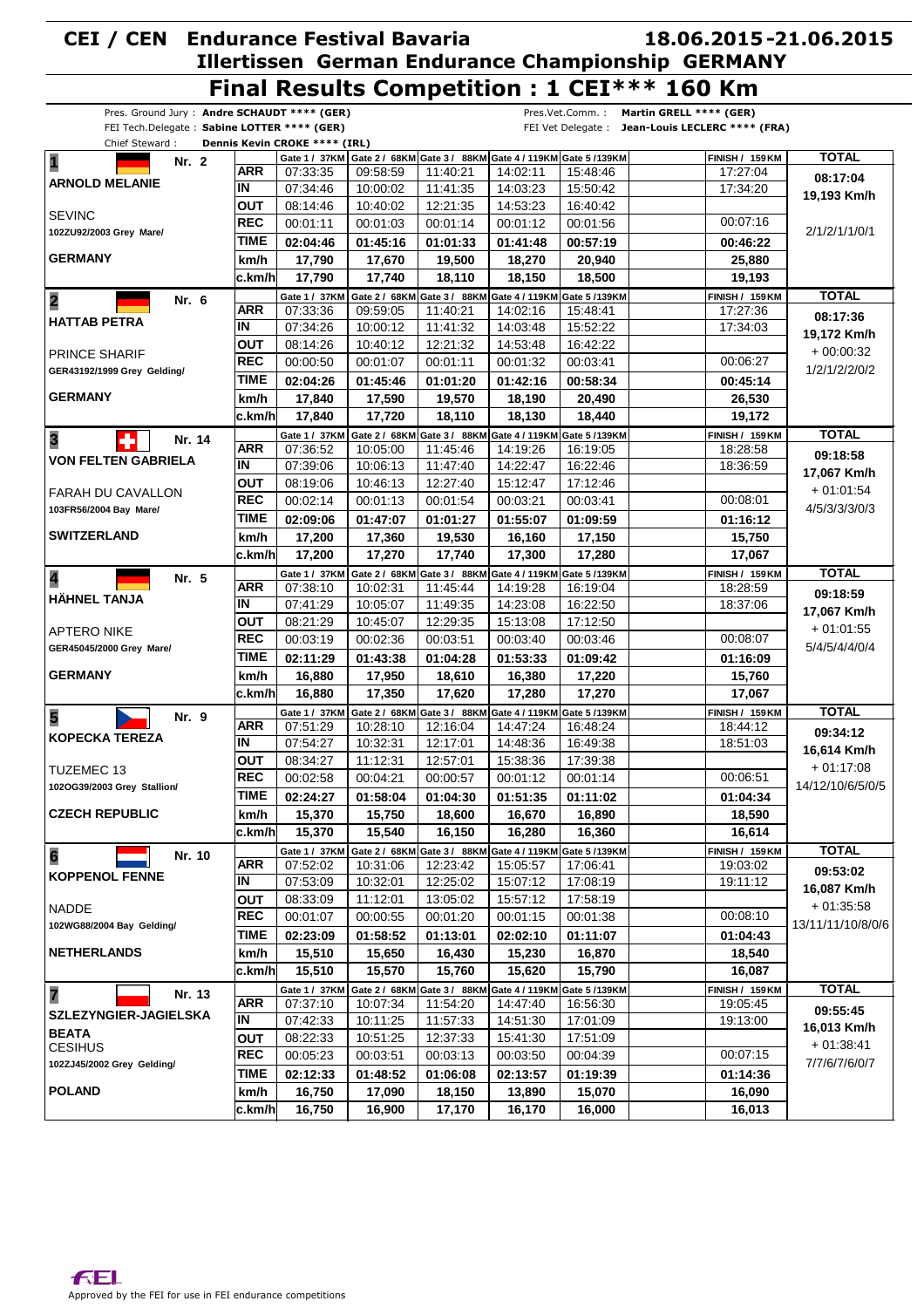#### **CEI / CEN Endurance Festival Bavaria Illertissen German Endurance Championship GERMANY 18.06.2015 21.06.2015 - Final Results Competition : 1 CEI\*\*\* 160 Km**

| Pres. Ground Jury: Andre SCHAUDT **** (GER)<br>FEI Tech.Delegate: Sabine LOTTER **** (GER) |                          |                               |                      |                             |                                                                         | Pres.Vet.Comm.:      | Martin GRELL **** (GER)<br>FEI Vet Delegate : Jean-Louis LECLERC **** (FRA) |                                    |                            |
|--------------------------------------------------------------------------------------------|--------------------------|-------------------------------|----------------------|-----------------------------|-------------------------------------------------------------------------|----------------------|-----------------------------------------------------------------------------|------------------------------------|----------------------------|
| Chief Steward:                                                                             |                          | Dennis Kevin CROKE **** (IRL) |                      |                             |                                                                         |                      |                                                                             |                                    |                            |
| $\overline{\mathbf{1}}$<br>Nr. 2                                                           |                          |                               |                      |                             | Gate 1 / 37KM Gate 2 / 68KM Gate 3 / 88KM Gate 4 / 119KM Gate 5 / 139KM |                      |                                                                             | <b>FINISH / 159 KM</b>             | <b>TOTAL</b>               |
| <b>ARNOLD MELANIE</b>                                                                      | <b>ARR</b>               | 07:33:35                      | 09:58:59             | 11:40:21                    | 14:02:11                                                                | 15:48:46             |                                                                             | 17:27:04                           | 08:17:04                   |
|                                                                                            | IN                       | 07:34:46                      | 10:00:02             | 11:41:35                    | 14:03:23                                                                | 15:50:42             |                                                                             | 17:34:20                           | 19,193 Km/h                |
| <b>SEVINC</b>                                                                              | <b>OUT</b>               | 08:14:46                      | 10:40:02             | 12:21:35                    | 14:53:23                                                                | 16:40:42             |                                                                             |                                    |                            |
| 102ZU92/2003 Grey Mare/                                                                    | <b>REC</b>               | 00:01:11                      | 00:01:03             | 00:01:14                    | 00:01:12                                                                | 00:01:56             |                                                                             | 00:07:16                           | 2/1/2/1/1/0/1              |
|                                                                                            | <b>TIME</b>              | 02:04:46                      | 01:45:16             | 01:01:33                    | 01:41:48                                                                | 00:57:19             |                                                                             | 00:46:22                           |                            |
| <b>GERMANY</b>                                                                             | km/h                     | 17,790                        | 17,670               | 19,500                      | 18,270                                                                  | 20,940               |                                                                             | 25,880                             |                            |
|                                                                                            | c.km/h                   | 17,790                        | 17,740               | 18,110                      | 18,150                                                                  | 18,500               |                                                                             | 19,193                             |                            |
| $\overline{\mathbf{2}}$<br>Nr. 6                                                           |                          | Gate 1 / 37KM                 |                      | Gate 2 / 68KM Gate 3 / 88KM | Gate 4 / 119KM Gate 5 /139KM                                            |                      |                                                                             | <b>FINISH / 159 KM</b>             | <b>TOTAL</b>               |
| <b>HATTAB PETRA</b>                                                                        | <b>ARR</b>               | 07:33:36                      | 09:59:05             | 11:40:21                    | 14:02:16                                                                | 15:48:41             |                                                                             | 17:27:36                           | 08:17:36                   |
|                                                                                            | IN                       | 07:34:26                      | 10:00:12             | 11:41:32                    | 14:03:48                                                                | 15:52:22             |                                                                             | 17:34:03                           | 19,172 Km/h                |
| <b>PRINCE SHARIF</b>                                                                       | <b>OUT</b>               | 08:14:26                      | 10:40:12             | 12:21:32                    | 14:53:48                                                                | 16:42:22             |                                                                             |                                    | $+00:00:32$                |
| GER43192/1999 Grey Gelding/                                                                | <b>REC</b>               | 00:00:50                      | 00:01:07             | 00:01:11                    | 00:01:32                                                                | 00:03:41             |                                                                             | 00:06:27                           | 1/2/1/2/2/0/2              |
|                                                                                            | <b>TIME</b>              | 02:04:26                      | 01:45:46             | 01:01:20                    | 01:42:16                                                                | 00:58:34             |                                                                             | 00:45:14                           |                            |
| <b>GERMANY</b>                                                                             | km/h                     | 17,840                        | 17,590               | 19,570                      | 18,190                                                                  | 20,490               |                                                                             | 26,530                             |                            |
|                                                                                            | c.km/h                   | 17,840                        | 17,720               | 18,110                      | 18,130                                                                  | 18,440               |                                                                             | 19,172                             |                            |
| 3<br>Nr. 14                                                                                |                          | Gate 1 / 37KM                 |                      |                             | Gate 2 / 68KM Gate 3 / 88KM Gate 4 / 119KM Gate 5 /139KM                |                      |                                                                             | <b>FINISH / 159 KM</b>             | <b>TOTAL</b>               |
| <b>VON FELTEN GABRIELA</b>                                                                 | <b>ARR</b><br>IN         | 07:36:52                      | 10:05:00             | 11:45:46                    | 14:19:26                                                                | 16:19:05             |                                                                             | 18:28:58                           | 09:18:58                   |
|                                                                                            |                          | 07:39:06                      | 10:06:13             | 11:47:40                    | 14:22:47<br>15:12:47                                                    | 16:22:46             |                                                                             | 18:36:59                           | 17,067 Km/h                |
| <b>FARAH DU CAVALLON</b>                                                                   | ΟUΤ<br><b>REC</b>        | 08:19:06<br>00:02:14          | 10:46:13<br>00:01:13 | 12:27:40<br>00:01:54        | 00:03:21                                                                | 17:12:46<br>00:03:41 |                                                                             | 00:08:01                           | $+01:01:54$                |
| 103FR56/2004 Bay Mare/                                                                     | <b>TIME</b>              |                               |                      |                             |                                                                         |                      |                                                                             |                                    | 4/5/3/3/3/0/3              |
|                                                                                            |                          | 02:09:06                      | 01:47:07             | 01:01:27                    | 01:55:07                                                                | 01:09:59             |                                                                             | 01:16:12                           |                            |
| <b>SWITZERLAND</b>                                                                         | km/h                     | 17,200                        | 17,360               | 19,530                      | 16,160                                                                  | 17,150               |                                                                             | 15,750                             |                            |
|                                                                                            | c.km/h                   | 17,200                        | 17,270               | 17,740                      | 17,300                                                                  | 17,280               |                                                                             | 17,067                             |                            |
| 4<br>Nr. 5                                                                                 | <b>ARR</b>               | Gate 1 / 37KM<br>07:38:10     | 10:02:31             | 11:45:44                    | Gate 2 / 68KM Gate 3 / 88KM Gate 4 / 119KM Gate 5 /139KM<br>14:19:28    | 16:19:04             |                                                                             | <b>FINISH / 159 KM</b><br>18:28:59 | <b>TOTAL</b>               |
| <b>HÄHNEL TANJA</b>                                                                        | $\overline{\mathsf{IN}}$ | 07:41:29                      | 10:05:07             | 11:49:35                    | 14:23:08                                                                | 16:22:50             |                                                                             | 18:37:06                           | 09:18:59                   |
|                                                                                            | <b>OUT</b>               | 08:21:29                      | 10:45:07             | 12:29:35                    | 15:13:08                                                                | 17:12:50             |                                                                             |                                    | 17,067 Km/h                |
|                                                                                            |                          |                               |                      |                             |                                                                         |                      |                                                                             |                                    |                            |
| <b>APTERO NIKE</b>                                                                         |                          |                               |                      |                             |                                                                         |                      |                                                                             |                                    | $+01:01:55$                |
| GER45045/2000 Grey Mare/                                                                   | <b>REC</b>               | 00:03:19                      | 00:02:36             | 00:03:51                    | 00:03:40                                                                | 00:03:46             |                                                                             | 00:08:07                           | 5/4/5/4/4/0/4              |
|                                                                                            | <b>TIME</b>              | 02:11:29                      | 01:43:38             | 01:04:28                    | 01:53:33                                                                | 01:09:42             |                                                                             | 01:16:09                           |                            |
| <b>GERMANY</b>                                                                             | km/h                     | 16,880                        | 17,950               | 18,610                      | 16,380                                                                  | 17,220               |                                                                             | 15,760                             |                            |
|                                                                                            | c.km/h                   | 16,880                        | 17,350               | 17,620                      | 17,280                                                                  | 17,270               |                                                                             | 17,067                             |                            |
| 5<br>Nr. 9                                                                                 | <b>ARR</b>               | Gate 1 / 37KM<br>07:51:29     | 10:28:10             | 12:16:04                    | Gate 2 / 68KM Gate 3 / 88KM Gate 4 / 119KM Gate 5 /139KM<br>14:47:24    | 16:48:24             |                                                                             | <b>FINISH / 159 KM</b><br>18:44:12 | <b>TOTAL</b>               |
| <b>KOPECKA TEREZA</b>                                                                      | IN                       | 07:54:27                      | 10:32:31             | 12:17:01                    | 14:48:36                                                                | 16:49:38             |                                                                             | 18:51:03                           | 09:34:12                   |
|                                                                                            | <b>OUT</b>               | 08:34:27                      | 11:12:31             | 12:57:01                    | 15:38:36                                                                | 17:39:38             |                                                                             |                                    | 16,614 Km/h                |
| <b>TUZEMEC 13</b>                                                                          | <b>REC</b>               | 00:02:58                      | 00:04:21             | 00:00:57                    | 00:01:12                                                                | 00:01:14             |                                                                             | 00:06:51                           | $+01:17:08$                |
| 102OG39/2003 Grey Stallion/                                                                | TIME                     | 02:24:27                      | 01:58:04             | 01:04:30                    | 01:51:35                                                                | 01:11:02             |                                                                             | 01:04:34                           | 14/12/10/6/5/0/5           |
| <b>CZECH REPUBLIC</b>                                                                      | km/h                     | 15,370                        | 15,750               | 18,600                      | 16,670                                                                  | 16,890               |                                                                             | 18,590                             |                            |
|                                                                                            | c.km/h                   | 15,370                        | 15,540               | 16,150                      | 16,280                                                                  | 16,360               |                                                                             | 16,614                             |                            |
|                                                                                            |                          | Gate 1 / 37KM                 |                      |                             | Gate 2 / 68KM Gate 3 / 88KM Gate 4 / 119KM Gate 5 /139KM                |                      |                                                                             | <b>FINISH / 159 KM</b>             | <b>TOTAL</b>               |
| 6<br>Nr. 10                                                                                | <b>ARR</b>               | 07:52:02                      | 10:31:06             | 12:23:42                    | 15:05:57                                                                | 17:06:41             |                                                                             | 19:03:02                           | 09:53:02                   |
| <b>KOPPENOL FENNE</b>                                                                      | ΙN                       | 07:53:09                      | 10:32:01             | 12:25:02                    | 15:07:12                                                                | 17:08:19             |                                                                             | 19:11:12                           |                            |
|                                                                                            | ουτ                      | 08:33:09                      | 11:12:01             | 13:05:02                    | 15:57:12                                                                | 17:58:19             |                                                                             |                                    | 16,087 Km/h<br>$+01:35:58$ |
| <b>NADDE</b>                                                                               | REC                      | 00:01:07                      | 00:00:55             | 00:01:20                    | 00:01:15                                                                | 00:01:38             |                                                                             | 00:08:10                           | 13/11/11/10/8/0/6          |
| 102WG88/2004 Bay Gelding/                                                                  | TIME                     | 02:23:09                      | 01:58:52             | 01:13:01                    | 02:02:10                                                                | 01:11:07             |                                                                             | 01:04:43                           |                            |
| <b>NETHERLANDS</b>                                                                         | km/h                     | 15,510                        | 15,650               | 16,430                      | 15,230                                                                  | 16,870               |                                                                             | 18,540                             |                            |
|                                                                                            | c.km/h                   | 15,510                        | 15,570               | 15,760                      | 15,620                                                                  | 15,790               |                                                                             | 16,087                             |                            |
| Nr. 13                                                                                     |                          | Gate 1 / 37KM                 |                      |                             | Gate 2 / 68KM Gate 3 / 88KM Gate 4 / 119KM Gate 5 /139KM                |                      |                                                                             | <b>FINISH / 159 KM</b>             | <b>TOTAL</b>               |
| $\overline{\mathbf{z}}$                                                                    | ARR                      | 07:37:10                      | 10:07:34             | 11:54:20                    | 14:47:40                                                                | 16:56:30             |                                                                             | 19:05:45                           | 09:55:45                   |
| SZLEZYNGIER-JAGIELSKA                                                                      | IN                       | 07:42:33                      | 10:11:25             | 11:57:33                    | 14:51:30                                                                | 17:01:09             |                                                                             | 19:13:00                           | 16,013 Km/h                |
| <b>BEATA</b><br><b>CESIHUS</b>                                                             | ουτ                      | 08:22:33                      | 10:51:25             | 12:37:33                    | 15:41:30                                                                | 17:51:09             |                                                                             |                                    | $+01:38:41$                |
| 102ZJ45/2002 Grey Gelding/                                                                 | <b>REC</b>               | 00:05:23                      | 00:03:51             | 00:03:13                    | 00:03:50                                                                | 00:04:39             |                                                                             | 00:07:15                           | 7/7/6/7/6/0/7              |
|                                                                                            | TIME                     | 02:12:33                      | 01:48:52             | 01:06:08                    | 02:13:57                                                                | 01:19:39             |                                                                             | 01:14:36                           |                            |
| <b>POLAND</b>                                                                              | km/h<br>c.km/h           | 16,750<br>16,750              | 17,090<br>16,900     | 18,150<br>17,170            | 13,890<br>16,170                                                        | 15,070<br>16,000     |                                                                             | 16,090<br>16,013                   |                            |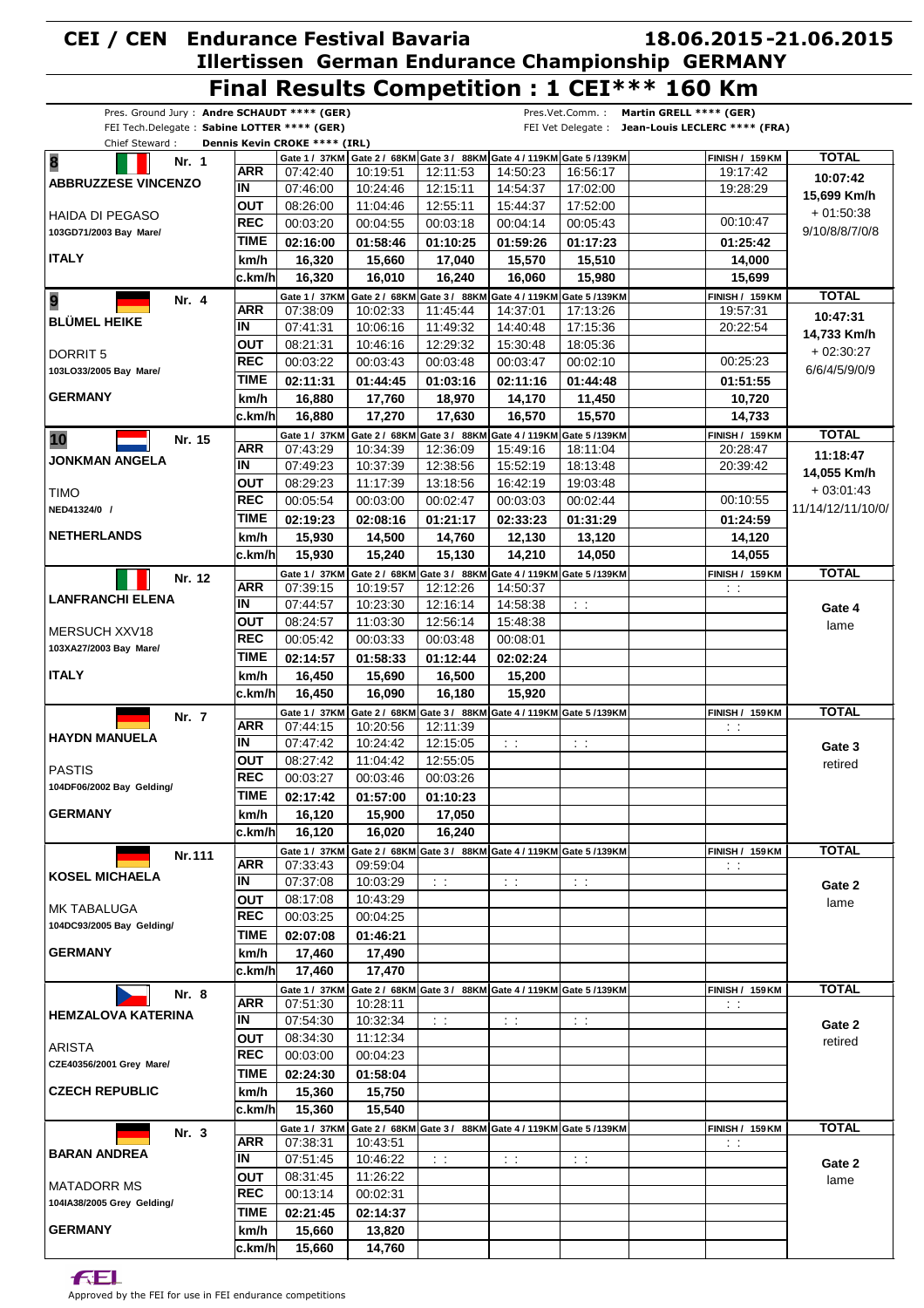# **CEI / CEN Endurance Festival Bavaria Illertissen German Endurance Championship GERMANY 18.06.2015 21.06.2015 - Final Results Competition : 1 CEI\*\*\* 160 Km**

| Pres. Ground Jury: Andre SCHAUDT **** (GER) |                          |                               |                      |                      |                                                                                 | Pres.Vet.Comm.:                   | Martin GRELL **** (GER)                          |                   |
|---------------------------------------------|--------------------------|-------------------------------|----------------------|----------------------|---------------------------------------------------------------------------------|-----------------------------------|--------------------------------------------------|-------------------|
| FEI Tech.Delegate: Sabine LOTTER **** (GER) |                          |                               |                      |                      |                                                                                 |                                   | FEI Vet Delegate : Jean-Louis LECLERC **** (FRA) |                   |
| Chief Steward:                              |                          | Dennis Kevin CROKE **** (IRL) |                      |                      |                                                                                 |                                   |                                                  |                   |
| 8<br>Nr. 1                                  |                          |                               |                      |                      | Gate 1 / 37KM   Gate 2 / 68KM   Gate 3 / 88KM   Gate 4 / 119KM   Gate 5 / 139KM |                                   | <b>FINISH / 159 KM</b>                           | <b>TOTAL</b>      |
| <b>ABBRUZZESE VINCENZO</b>                  | <b>ARR</b><br>IN         | 07:42:40<br>07:46:00          | 10:19:51             | 12:11:53             | 14:50:23                                                                        | 16:56:17                          | 19:17:42                                         | 10:07:42          |
|                                             |                          |                               | 10:24:46             | 12:15:11             | 14:54:37                                                                        | 17:02:00                          | 19:28:29                                         | 15,699 Km/h       |
| <b>HAIDA DI PEGASO</b>                      | <b>OUT</b><br><b>REC</b> | 08:26:00<br>00:03:20          | 11:04:46<br>00:04:55 | 12:55:11<br>00:03:18 | 15:44:37<br>00:04:14                                                            | 17:52:00<br>00:05:43              | 00:10:47                                         | $+01:50:38$       |
| 103GD71/2003 Bay Mare/                      | <b>TIME</b>              |                               |                      |                      |                                                                                 |                                   |                                                  | 9/10/8/8/7/0/8    |
| <b>ITALY</b>                                | km/h                     | 02:16:00<br>16,320            | 01:58:46<br>15,660   | 01:10:25<br>17,040   | 01:59:26<br>15,570                                                              | 01:17:23<br>15,510                | 01:25:42<br>14,000                               |                   |
|                                             | c.km/hl                  | 16,320                        | 16,010               | 16,240               | 16,060                                                                          | 15,980                            | 15,699                                           |                   |
|                                             |                          | Gate 1 / 37KM                 |                      |                      | Gate 2 / 68KM Gate 3 / 88KM Gate 4 / 119KM Gate 5 /139KM                        |                                   | <b>FINISH / 159 KM</b>                           | <b>TOTAL</b>      |
| 9<br>Nr. 4                                  | ARR                      | 07:38:09                      | 10:02:33             | 11:45:44             | 14:37:01                                                                        | 17:13:26                          | 19:57:31                                         |                   |
| <b>BLÜMEL HEIKE</b>                         | IN                       | 07:41:31                      | 10:06:16             | 11:49:32             | 14:40:48                                                                        | 17:15:36                          | 20:22:54                                         | 10:47:31          |
|                                             | <b>OUT</b>               | 08:21:31                      | 10:46:16             | 12:29:32             | 15:30:48                                                                        | 18:05:36                          |                                                  | 14,733 Km/h       |
| DORRIT <sub>5</sub>                         | <b>REC</b>               | 00:03:22                      | 00:03:43             | 00:03:48             | 00:03:47                                                                        | 00:02:10                          | 00:25:23                                         | $+02:30:27$       |
| 103LO33/2005 Bay Mare/                      | TIME                     | 02:11:31                      | 01:44:45             | 01:03:16             | 02:11:16                                                                        | 01:44:48                          | 01:51:55                                         | 6/6/4/5/9/0/9     |
| <b>GERMANY</b>                              | km/h                     | 16,880                        | 17,760               | 18,970               | 14,170                                                                          | 11,450                            | 10,720                                           |                   |
|                                             | c.km/h                   | 16,880                        | 17,270               | 17,630               | 16,570                                                                          | 15,570                            | 14,733                                           |                   |
| 10<br>Nr. 15                                |                          | Gate 1 / 37KM                 |                      |                      | Gate 2 / 68KM Gate 3 / 88KM Gate 4 / 119KM Gate 5 /139KM                        |                                   | <b>FINISH / 159 KM</b>                           | <b>TOTAL</b>      |
|                                             | <b>ARR</b>               | 07:43:29                      | 10:34:39             | 12:36:09             | 15:49:16                                                                        | 18:11:04                          | 20:28:47                                         | 11:18:47          |
| <b>JONKMAN ANGELA</b>                       | IN                       | 07:49:23                      | 10:37:39             | 12:38:56             | 15:52:19                                                                        | 18:13:48                          | 20:39:42                                         | 14,055 Km/h       |
| <b>TIMO</b>                                 | <b>OUT</b>               | 08:29:23                      | 11:17:39             | 13:18:56             | 16:42:19                                                                        | 19:03:48                          |                                                  | $+03:01:43$       |
| NED41324/0 /                                | <b>REC</b>               | 00:05:54                      | 00:03:00             | 00:02:47             | 00:03:03                                                                        | 00:02:44                          | 00:10:55                                         | 11/14/12/11/10/0/ |
|                                             | <b>TIME</b>              | 02:19:23                      | 02:08:16             | 01:21:17             | 02:33:23                                                                        | 01:31:29                          | 01:24:59                                         |                   |
| <b>NETHERLANDS</b>                          | km/h                     | 15,930                        | 14,500               | 14,760               | 12,130                                                                          | 13,120                            | 14,120                                           |                   |
|                                             | c.km/h                   | 15,930                        | 15,240               | 15,130               | 14,210                                                                          | 14,050                            | 14,055                                           |                   |
| Nr. 12                                      |                          | Gate 1 / 37KM                 |                      |                      | Gate 2 / 68KM Gate 3 / 88KM Gate 4 / 119KM Gate 5 /139KM                        |                                   | <b>FINISH / 159 KM</b>                           | <b>TOTAL</b>      |
| <b>LANFRANCHI ELENA</b>                     | ARR<br>IN                | 07:39:15                      | 10:19:57             | 12:12:26             | 14:50:37                                                                        |                                   | $\sim$ $\sim$                                    |                   |
|                                             | <b>OUT</b>               | 07:44:57<br>08:24:57          | 10:23:30<br>11:03:30 | 12:16:14<br>12:56:14 | 14:58:38<br>15:48:38                                                            | $\sim 10$                         |                                                  | Gate 4            |
| <b>MERSUCH XXV18</b>                        | <b>REC</b>               | 00:05:42                      | 00:03:33             | 00:03:48             | 00:08:01                                                                        |                                   |                                                  | lame              |
| 103XA27/2003 Bay Mare/                      | <b>TIME</b>              | 02:14:57                      | 01:58:33             |                      | 02:02:24                                                                        |                                   |                                                  |                   |
| <b>ITALY</b>                                | km/h                     | 16,450                        | 15,690               | 01:12:44<br>16,500   | 15,200                                                                          |                                   |                                                  |                   |
|                                             | c.km/h                   | 16,450                        | 16,090               | 16,180               | 15,920                                                                          |                                   |                                                  |                   |
|                                             |                          | Gate 1 / 37KM                 |                      |                      | Gate 2 / 68KM Gate 3 / 88KM Gate 4 / 119KM Gate 5 / 139KM                       |                                   | <b>FINISH / 159 KM</b>                           | <b>TOTAL</b>      |
| Nr. 7                                       | <b>ARR</b>               | 07:44:15                      | 10:20:56             | 12:11:39             |                                                                                 |                                   | $\sim$ 1                                         |                   |
| <b>HAYDN MANUELA</b>                        | IN                       | 07:47:42                      | 10:24:42             | 12:15:05             | $\sim$ $\sim$                                                                   | $\sim 1$                          |                                                  | Gate 3            |
|                                             | <b>OUT</b>               | 08:27:42                      | 11:04:42             | 12:55:05             |                                                                                 |                                   |                                                  | retired           |
| <b>PASTIS</b>                               | <b>REC</b>               | 00:03:27                      | 00:03:46             | 00:03:26             |                                                                                 |                                   |                                                  |                   |
| 104DF06/2002 Bay Gelding/                   | <b>TIME</b>              | 02:17:42                      | 01:57:00             | 01:10:23             |                                                                                 |                                   |                                                  |                   |
| <b>GERMANY</b>                              | km/h                     | 16,120                        | 15,900               | 17,050               |                                                                                 |                                   |                                                  |                   |
|                                             | c.km/h                   | 16,120                        | 16,020               | 16,240               |                                                                                 |                                   |                                                  |                   |
| Nr. 111                                     |                          | Gate 1 / 37KM                 |                      |                      | Gate 2 / 68KM Gate 3 / 88KM Gate 4 / 119KM Gate 5 / 139KM                       |                                   | <b>FINISH / 159 KM</b>                           | <b>TOTAL</b>      |
| <b>KOSEL MICHAELA</b>                       | ARR                      | 07:33:43                      | 09:59:04             |                      |                                                                                 |                                   | $\sim$ 1                                         |                   |
|                                             | IN                       | 07:37:08                      | 10:03:29             | $\sim 10$            | $\sim$ $\sim$                                                                   | $\sim 10$                         |                                                  | Gate 2            |
| <b>MK TABALUGA</b>                          | <b>OUT</b>               | 08:17:08                      | 10:43:29             |                      |                                                                                 |                                   |                                                  | lame              |
| 104DC93/2005 Bay Gelding/                   | <b>REC</b>               | 00:03:25                      | 00:04:25             |                      |                                                                                 |                                   |                                                  |                   |
|                                             | TIME                     | 02:07:08                      | 01:46:21             |                      |                                                                                 |                                   |                                                  |                   |
| <b>GERMANY</b>                              | km/h                     | 17,460                        | 17,490               |                      |                                                                                 |                                   |                                                  |                   |
|                                             | c.km/h                   | 17.460                        | 17,470               |                      |                                                                                 |                                   |                                                  |                   |
| Nr. 8                                       | ARR                      | Gate 1 / 37KM<br>07:51:30     | 10:28:11             |                      | Gate 2 / 68KM Gate 3 / 88KM Gate 4 / 119KM Gate 5 / 139KM                       |                                   | <b>FINISH / 159 KM</b><br>$\sim$ 1               | <b>TOTAL</b>      |
| <b>HEMZALOVA KATERINA</b>                   | IN                       | 07:54:30                      | 10:32:34             | $\sim 10$            | $\sim 10$                                                                       | $\mathcal{L} \subset \mathcal{L}$ |                                                  |                   |
|                                             | <b>OUT</b>               | 08:34:30                      | 11:12:34             |                      |                                                                                 |                                   |                                                  | Gate 2<br>retired |
| ARISTA                                      | <b>REC</b>               | 00:03:00                      | 00:04:23             |                      |                                                                                 |                                   |                                                  |                   |
| CZE40356/2001 Grey Mare/                    | <b>TIME</b>              | 02:24:30                      | 01:58:04             |                      |                                                                                 |                                   |                                                  |                   |
| <b>CZECH REPUBLIC</b>                       | km/h                     | 15,360                        | 15,750               |                      |                                                                                 |                                   |                                                  |                   |
|                                             | c.km/h                   | 15,360                        | 15,540               |                      |                                                                                 |                                   |                                                  |                   |
| Nr. 3                                       |                          | Gate 1 / 37KM                 |                      |                      | Gate 2 / 68KM Gate 3 / 88KM Gate 4 / 119KM Gate 5 /139KM                        |                                   | <b>FINISH / 159 KM</b>                           | <b>TOTAL</b>      |
|                                             | ARR                      | 07:38:31                      | 10:43:51             |                      |                                                                                 |                                   | $\sim$                                           |                   |
| <b>BARAN ANDREA</b>                         | IN                       | 07:51:45                      | 10:46:22             | $\sim 10$            | $\sim 10$                                                                       | $\sim 10$                         |                                                  | Gate 2            |
| <b>MATADORR MS</b>                          | <b>OUT</b>               | 08:31:45                      | 11:26:22             |                      |                                                                                 |                                   |                                                  | lame              |
| 104IA38/2005 Grey Gelding/                  | <b>REC</b>               | 00:13:14                      | 00:02:31             |                      |                                                                                 |                                   |                                                  |                   |
|                                             | <b>TIME</b>              | 02:21:45                      | 02:14:37             |                      |                                                                                 |                                   |                                                  |                   |
| <b>GERMANY</b>                              | km/h                     | 15,660                        | 13,820               |                      |                                                                                 |                                   |                                                  |                   |
|                                             | c.km/h                   | 15,660                        | 14,760               |                      |                                                                                 |                                   |                                                  |                   |

**FEL**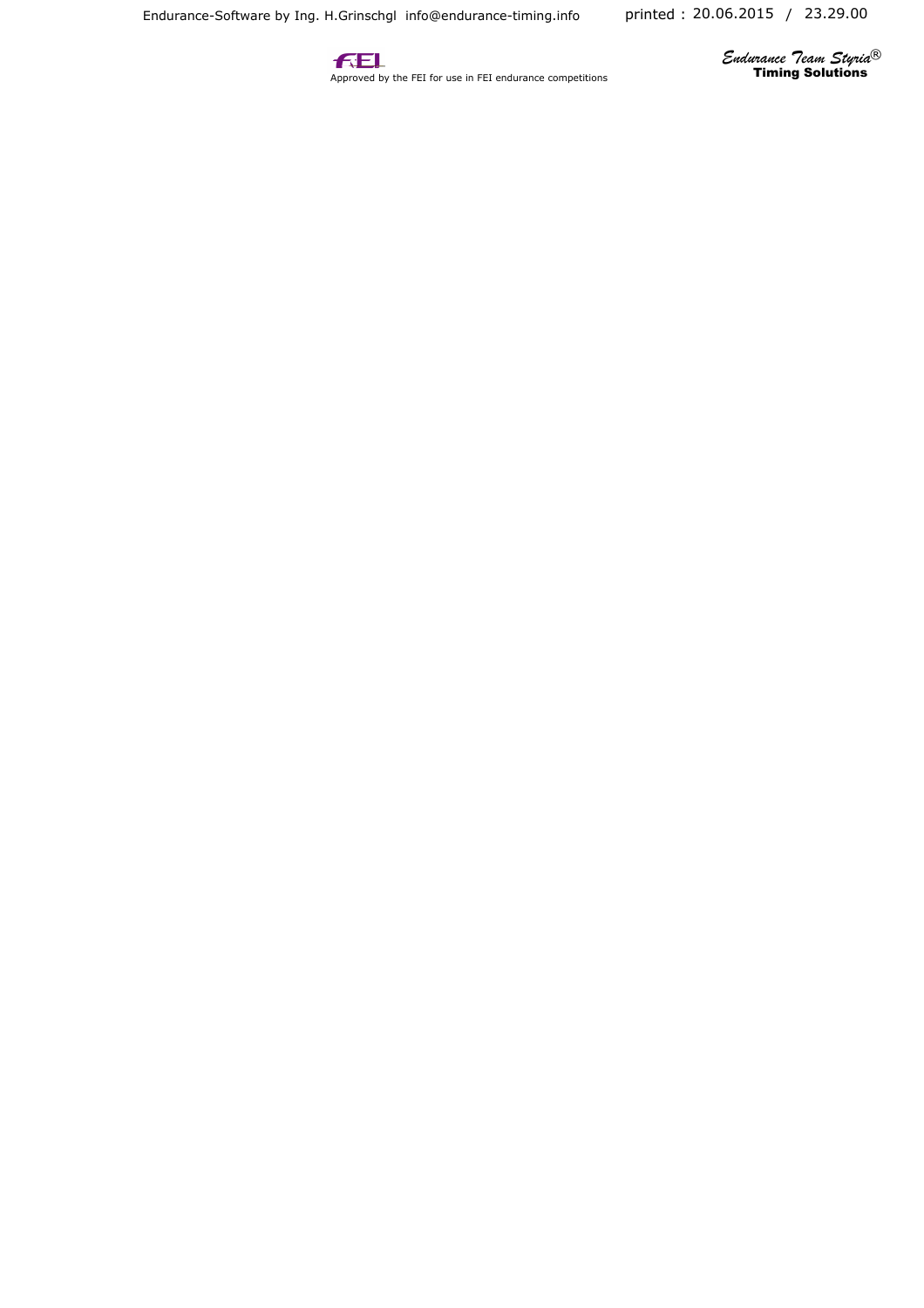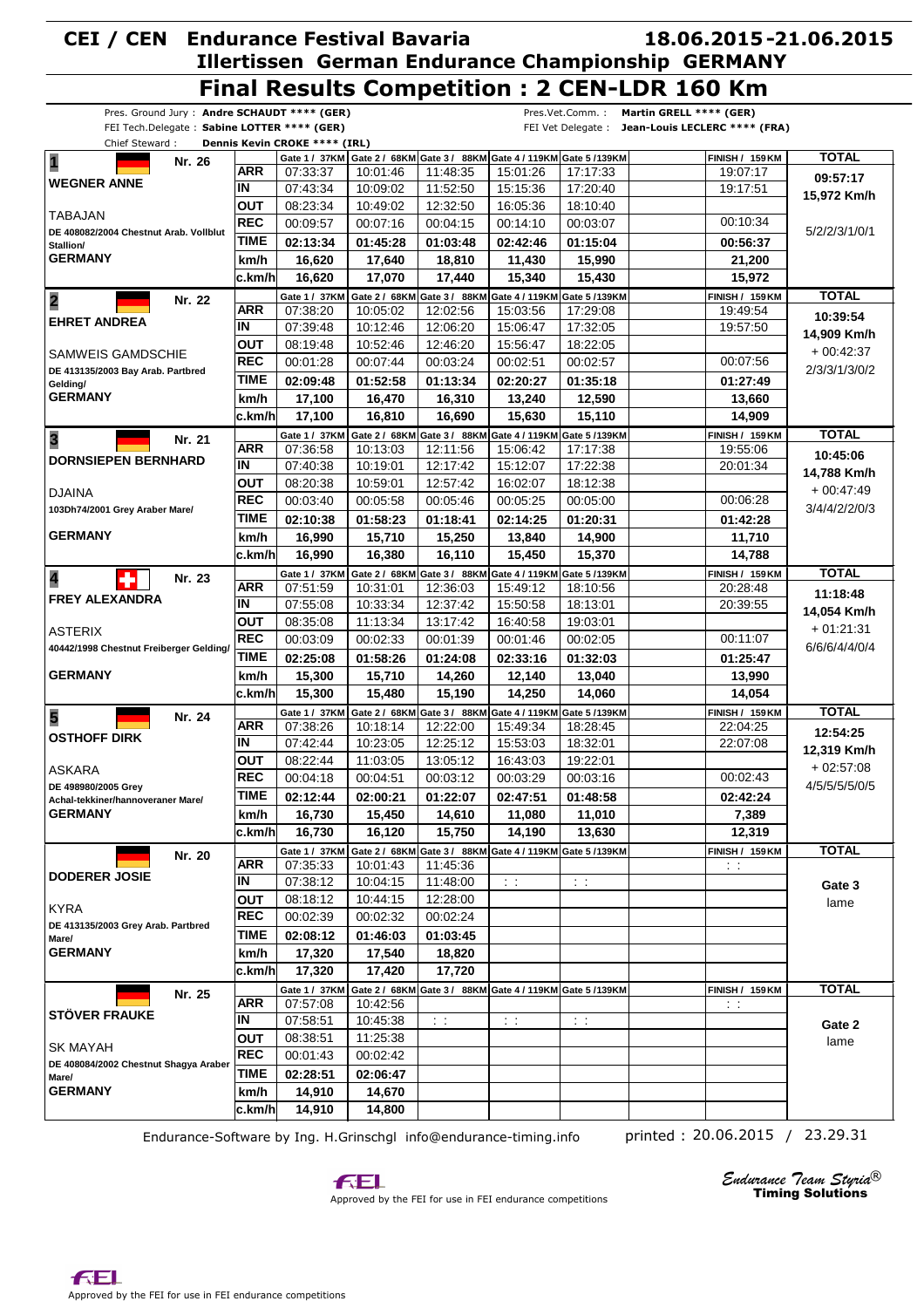#### **CEI / CEN Endurance Festival Bavaria Illertissen German Endurance Championship GERMANY 18.06.2015 21.06.2015 - Final Results Competition : 2 CEN-LDR 160 Km**

|                                                               |             |                               | ---      |          |                                                                                 |                            |                               |               |
|---------------------------------------------------------------|-------------|-------------------------------|----------|----------|---------------------------------------------------------------------------------|----------------------------|-------------------------------|---------------|
| Pres. Ground Jury: Andre SCHAUDT **** (GER)                   |             |                               |          |          |                                                                                 | Pres.Vet.Comm.:            | Martin GRELL **** (GER)       |               |
| FEI Tech.Delegate: Sabine LOTTER **** (GER)<br>Chief Steward: |             | Dennis Kevin CROKE **** (IRL) |          |          |                                                                                 | FEI Vet Delegate:          | Jean-Louis LECLERC **** (FRA) |               |
|                                                               |             |                               |          |          | Gate 1 / 37KM   Gate 2 / 68KM   Gate 3 / 88KM   Gate 4 / 119KM   Gate 5 / 139KM |                            | <b>FINISH / 159 KM</b>        | <b>TOTAL</b>  |
| $\overline{\mathbf{1}}$<br>Nr. 26                             | <b>ARR</b>  | 07:33:37                      | 10:01:46 | 11:48:35 | 15:01:26                                                                        | 17:17:33                   | 19:07:17                      |               |
| <b>WEGNER ANNE</b>                                            | ΙN          | 07:43:34                      | 10:09:02 | 11:52:50 | 15:15:36                                                                        | 17:20:40                   | 19:17:51                      | 09:57:17      |
|                                                               | <b>OUT</b>  | 08:23:34                      | 10:49:02 | 12:32:50 | 16:05:36                                                                        | 18:10:40                   |                               | 15,972 Km/h   |
| TABAJAN                                                       | <b>REC</b>  | 00:09:57                      | 00:07:16 | 00:04:15 | 00:14:10                                                                        | 00:03:07                   | 00:10:34                      |               |
| DE 408082/2004 Chestnut Arab. Vollblut                        | <b>TIME</b> |                               |          |          |                                                                                 |                            |                               | 5/2/2/3/1/0/1 |
| Stallion/                                                     |             | 02:13:34                      | 01:45:28 | 01:03:48 | 02:42:46                                                                        | 01:15:04                   | 00:56:37                      |               |
| <b>GERMANY</b>                                                | km/h        | 16,620                        | 17,640   | 18,810   | 11,430                                                                          | 15,990                     | 21,200                        |               |
|                                                               | c.km/h      | 16,620                        | 17,070   | 17,440   | 15,340                                                                          | 15,430                     | 15,972                        |               |
| 2<br>Nr. 22                                                   |             | Gate 1 / 37KM                 |          |          | Gate 2 / 68KM Gate 3 / 88KM Gate 4 / 119KM Gate 5 / 139KM                       |                            | <b>FINISH / 159 KM</b>        | <b>TOTAL</b>  |
| <b>EHRET ANDREA</b>                                           | ARR         | 07:38:20                      | 10:05:02 | 12:02:56 | 15:03:56                                                                        | 17:29:08                   | 19:49:54                      | 10:39:54      |
|                                                               | IN          | 07:39:48                      | 10:12:46 | 12:06:20 | 15:06:47                                                                        | 17:32:05                   | 19:57:50                      | 14,909 Km/h   |
| SAMWEIS GAMDSCHIE                                             | <b>OUT</b>  | 08:19:48                      | 10:52:46 | 12:46:20 | 15:56:47                                                                        | 18:22:05                   |                               | $+00:42:37$   |
| DE 413135/2003 Bay Arab. Partbred                             | <b>REC</b>  | 00:01:28                      | 00:07:44 | 00:03:24 | 00:02:51                                                                        | 00:02:57                   | 00:07:56                      | 2/3/3/1/3/0/2 |
| Gelding/                                                      | <b>TIME</b> | 02:09:48                      | 01:52:58 | 01:13:34 | 02:20:27                                                                        | 01:35:18                   | 01:27:49                      |               |
| <b>GERMANY</b>                                                | km/h        | 17,100                        | 16,470   | 16,310   | 13,240                                                                          | 12,590                     | 13,660                        |               |
|                                                               | c.km/h      | 17,100                        | 16,810   | 16,690   | 15,630                                                                          | 15,110                     | 14,909                        |               |
|                                                               |             | Gate 1 / 37KM                 |          |          | Gate 2 / 68KM Gate 3 / 88KM Gate 4 / 119KM Gate 5 /139KM                        |                            | <b>FINISH / 159 KM</b>        | <b>TOTAL</b>  |
| 3<br>Nr. 21                                                   | ARR         | 07:36:58                      | 10:13:03 | 12:11:56 | 15:06:42                                                                        | 17:17:38                   | 19:55:06                      |               |
| <b>DORNSIEPEN BERNHARD</b>                                    | ΙN          | 07:40:38                      | 10:19:01 | 12:17:42 | 15:12:07                                                                        | 17:22:38                   | 20:01:34                      | 10:45:06      |
|                                                               | OUT         | 08:20:38                      | 10:59:01 | 12:57:42 | 16:02:07                                                                        | 18:12:38                   |                               | 14,788 Km/h   |
| <b>DJAINA</b>                                                 | <b>REC</b>  | 00:03:40                      | 00:05:58 | 00:05:46 | 00:05:25                                                                        | 00:05:00                   | 00:06:28                      | $+00:47:49$   |
| 103Dh74/2001 Grey Araber Mare/                                | <b>TIME</b> |                               |          |          |                                                                                 |                            |                               | 3/4/4/2/2/0/3 |
|                                                               |             | 02:10:38                      | 01:58:23 | 01:18:41 | 02:14:25                                                                        | 01:20:31                   | 01:42:28                      |               |
| <b>GERMANY</b>                                                | km/h        | 16,990                        | 15,710   | 15,250   | 13,840                                                                          | 14,900                     | 11,710                        |               |
|                                                               | c.km/h      | 16,990                        | 16,380   | 16,110   | 15,450                                                                          | 15,370                     | 14,788                        |               |
| 4<br>Nr. 23                                                   |             | Gate 1 / 37KM                 |          |          | Gate 2 / 68KM Gate 3 / 88KM Gate 4 / 119KM Gate 5 /139KM                        |                            | <b>FINISH / 159 KM</b>        | <b>TOTAL</b>  |
| <b>FREY ALEXANDRA</b>                                         | ARR         | 07:51:59                      | 10:31:01 | 12:36:03 | 15:49:12                                                                        | 18:10:56                   | 20:28:48                      | 11:18:48      |
|                                                               | ΙN          | 07:55:08                      | 10:33:34 | 12:37:42 | 15:50:58                                                                        | 18:13:01                   | 20:39:55                      | 14,054 Km/h   |
| <b>ASTERIX</b>                                                | <b>OUT</b>  | 08:35:08                      | 11:13:34 | 13:17:42 | 16:40:58                                                                        | 19:03:01                   |                               | $+01:21:31$   |
| 40442/1998 Chestnut Freiberger Gelding/                       | <b>REC</b>  | 00:03:09                      | 00:02:33 | 00:01:39 | 00:01:46                                                                        | 00:02:05                   | 00:11:07                      | 6/6/6/4/4/0/4 |
|                                                               | <b>TIME</b> | 02:25:08                      | 01:58:26 | 01:24:08 | 02:33:16                                                                        | 01:32:03                   | 01:25:47                      |               |
| <b>GERMANY</b>                                                | km/h        | 15,300                        | 15,710   | 14,260   | 12,140                                                                          | 13,040                     | 13,990                        |               |
|                                                               | c.km/h      | 15,300                        | 15,480   | 15,190   | 14,250                                                                          | 14,060                     | 14,054                        |               |
| 5<br>Nr. 24                                                   |             | Gate 1 / 37KM                 |          |          | Gate 2 / 68KM Gate 3 / 88KM Gate 4 / 119KM Gate 5 /139KM                        |                            | <b>FINISH / 159 KM</b>        | <b>TOTAL</b>  |
|                                                               | <b>ARR</b>  | 07:38:26                      | 10:18:14 | 12:22:00 | 15:49:34                                                                        | 18:28:45                   | 22:04:25                      | 12:54:25      |
| <b>OSTHOFF DIRK</b>                                           | ΙN          | 07:42:44                      | 10:23:05 | 12:25:12 | 15:53:03                                                                        | 18:32:01                   | 22:07:08                      | 12,319 Km/h   |
|                                                               | OUT         | 08:22:44                      | 11:03:05 | 13:05:12 | 16:43:03                                                                        | 19:22:01                   |                               |               |
| ASKARA                                                        | <b>REC</b>  | 00:04:18                      | 00:04:51 | 00:03:12 | 00:03:29                                                                        | 00:03:16                   | 00:02:43                      | $+02:57:08$   |
| DE 498980/2005 Grey                                           | <b>TIME</b> | 02:12:44                      | 02:00:21 | 01:22:07 | 02:47:51                                                                        | 01:48:58                   | 02:42:24                      | 4/5/5/5/5/0/5 |
| Achal-tekkiner/hannoveraner Mare/<br><b>GERMANY</b>           | km/h        | 16,730                        | 15,450   | 14,610   | 11,080                                                                          | 11,010                     | 7,389                         |               |
|                                                               | c.km/h      | 16.730                        | 16,120   | 15,750   | 14,190                                                                          | 13,630                     | 12,319                        |               |
|                                                               |             |                               |          |          |                                                                                 |                            |                               |               |
| Nr. 20                                                        | <b>ARR</b>  | Gate 1 / 37KM<br>07:35:33     | 10:01:43 | 11:45:36 | Gate 2 / 68KM Gate 3 / 88KM Gate 4 / 119KM Gate 5 /139KM                        |                            | <b>FINISH / 159 KM</b>        | <b>TOTAL</b>  |
| <b>DODERER JOSIE</b>                                          | IN          | 07:38:12                      | 10:04:15 | 11:48:00 | $\sim$ 1                                                                        | $\mathcal{L}(\mathcal{A})$ | $\sim$ $\sim$                 |               |
|                                                               |             |                               |          |          |                                                                                 |                            |                               | Gate 3        |
| <b>KYRA</b>                                                   | OUT         | 08:18:12                      | 10:44:15 | 12:28:00 |                                                                                 |                            |                               | lame          |
| DE 413135/2003 Grey Arab. Partbred                            | <b>REC</b>  | 00:02:39                      | 00:02:32 | 00:02:24 |                                                                                 |                            |                               |               |
| Mare/                                                         | TIME        | 02:08:12                      | 01:46:03 | 01:03:45 |                                                                                 |                            |                               |               |
| <b>GERMANY</b>                                                | km/h        | 17,320                        | 17,540   | 18,820   |                                                                                 |                            |                               |               |
|                                                               | c.km/h      | 17,320                        | 17,420   | 17,720   |                                                                                 |                            |                               |               |
| Nr. 25                                                        |             | Gate 1 / 37KM                 |          |          | Gate 2 / 68KM Gate 3 / 88KM Gate 4 / 119KM Gate 5 / 139KM                       |                            | <b>FINISH / 159 KM</b>        | <b>TOTAL</b>  |
|                                                               | <b>ARR</b>  | 07:57:08                      | 10:42:56 |          |                                                                                 |                            | $\sim$ 1                      |               |
| <b>STÖVER FRAUKE</b>                                          | IN          | 07:58:51                      | 10:45:38 | $\sim 1$ | $\sim 1$                                                                        | $\sim$ $\pm$               |                               | Gate 2        |
|                                                               | OUT         | 08:38:51                      | 11:25:38 |          |                                                                                 |                            |                               | lame          |
| <b>SK MAYAH</b>                                               | <b>REC</b>  | 00:01:43                      | 00:02:42 |          |                                                                                 |                            |                               |               |
| DE 408084/2002 Chestnut Shagya Araber                         | <b>TIME</b> | 02:28:51                      | 02:06:47 |          |                                                                                 |                            |                               |               |
| Mare/<br><b>GERMANY</b>                                       | km/h        | 14,910                        | 14,670   |          |                                                                                 |                            |                               |               |
|                                                               |             |                               |          |          |                                                                                 |                            |                               |               |
|                                                               | c.km/h      | 14,910                        | 14,800   |          |                                                                                 |                            |                               |               |

Endurance-Software by Ing. H.Grinschgl info@endurance-timing.info printed : 20.06.2015 / 23.29.31

**FEL** 

Approved by the FEI for use in FEI endurance competitions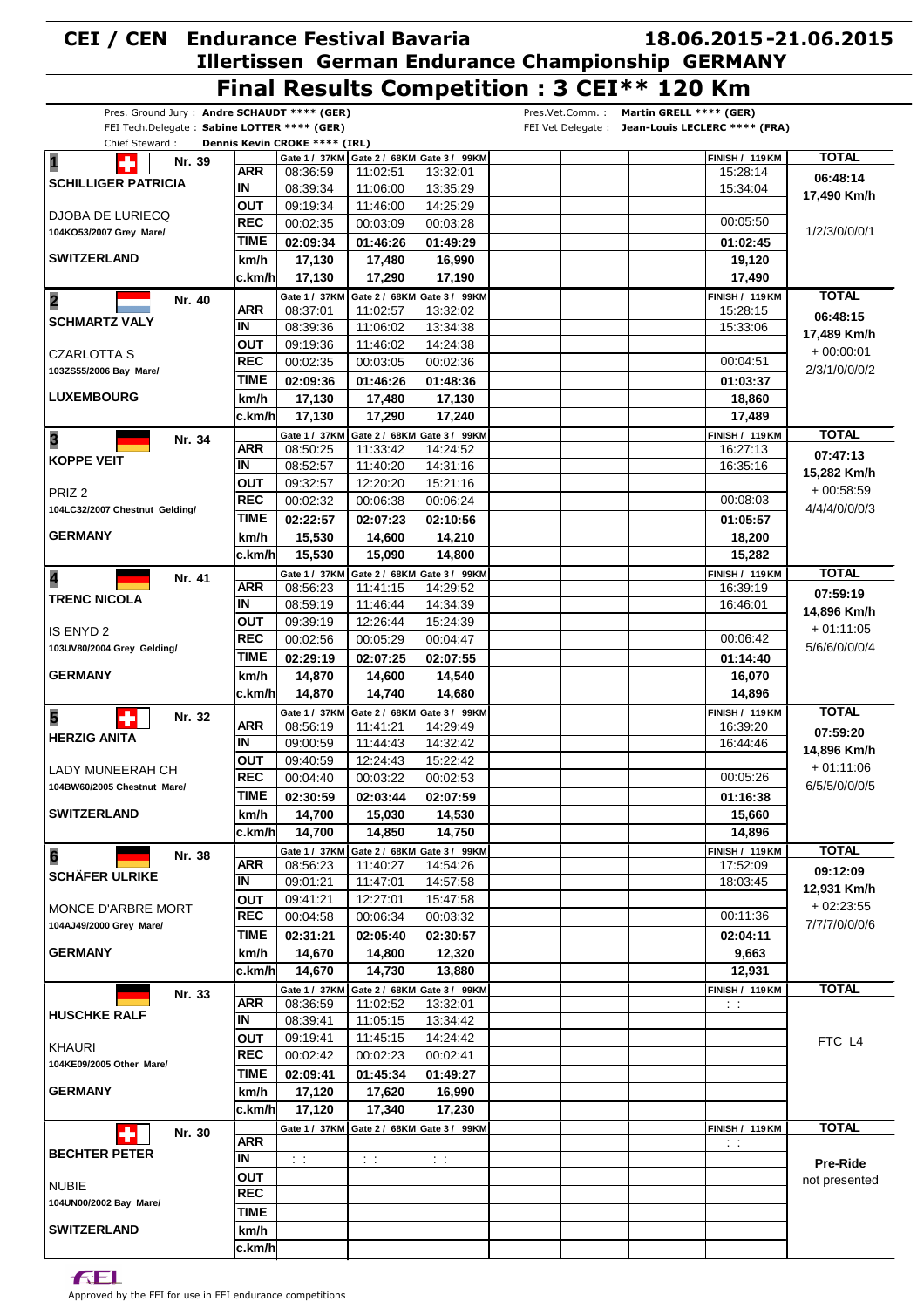#### **CEI / CEN Endurance Festival Bavaria Illertissen German Endurance Championship GERMANY 18.06.2015 21.06.2015 - Final Results Competition : 3 CEI\*\* 120 Km**

| Pres. Ground Jury: Andre SCHAUDT **** (GER) |             |                               |                            |                                               | Pres.Vet.Comm.:<br>Martin GRELL **** (GER)       |                        |               |
|---------------------------------------------|-------------|-------------------------------|----------------------------|-----------------------------------------------|--------------------------------------------------|------------------------|---------------|
| FEI Tech.Delegate: Sabine LOTTER **** (GER) |             |                               |                            |                                               | FEI Vet Delegate : Jean-Louis LECLERC **** (FRA) |                        |               |
| Chief Steward:                              |             | Dennis Kevin CROKE **** (IRL) |                            | Gate 1 / 37KM Gate 2 / 68KM Gate 3 / 99KM     |                                                  | <b>FINISH / 119 KM</b> | <b>TOTAL</b>  |
| $\overline{\mathbf{1}}$<br>Nr. 39           | ARR         | 08:36:59                      | 11:02:51                   | 13:32:01                                      |                                                  | 15:28:14               |               |
| <b>SCHILLIGER PATRICIA</b>                  | IN          | 08:39:34                      | 11:06:00                   | 13:35:29                                      |                                                  | 15:34:04               | 06:48:14      |
|                                             | OUT         | 09:19:34                      | 11:46:00                   | 14:25:29                                      |                                                  |                        | 17,490 Km/h   |
| DJOBA DE LURIECQ                            | <b>REC</b>  | 00:02:35                      | 00:03:09                   | 00:03:28                                      |                                                  | 00:05:50               |               |
| 104KO53/2007 Grey Mare/                     | TIME        | 02:09:34                      | 01:46:26                   | 01:49:29                                      |                                                  | 01:02:45               | 1/2/3/0/0/0/1 |
| <b>SWITZERLAND</b>                          |             |                               |                            |                                               |                                                  |                        |               |
|                                             | km/h        | 17,130                        | 17,480                     | 16,990                                        |                                                  | 19,120                 |               |
|                                             | c.km/h      | 17,130                        | 17,290                     | 17,190                                        |                                                  | 17,490                 |               |
| $\overline{\mathbf{2}}$<br>Nr. 40           |             | Gate 1 / 37KM                 |                            | Gate 2 / 68KM Gate 3 / 99KM                   |                                                  | <b>FINISH / 119 KM</b> | <b>TOTAL</b>  |
| <b>SCHMARTZ VALY</b>                        | ARR<br>IN   | 08:37:01                      | 11:02:57                   | 13:32:02                                      |                                                  | 15:28:15               | 06:48:15      |
|                                             |             | 08:39:36                      | 11:06:02                   | 13:34:38                                      |                                                  | 15:33:06               | 17,489 Km/h   |
| <b>CZARLOTTA S</b>                          | ουτ         | 09:19:36                      | 11:46:02                   | 14:24:38                                      |                                                  |                        | $+00:00:01$   |
| 103ZS55/2006 Bay Mare/                      | <b>REC</b>  | 00:02:35                      | 00:03:05                   | 00:02:36                                      |                                                  | 00:04:51               | 2/3/1/0/0/0/2 |
|                                             | TIME        | 02:09:36                      | 01:46:26                   | 01:48:36                                      |                                                  | 01:03:37               |               |
| <b>LUXEMBOURG</b>                           | km/h        | 17,130                        | 17,480                     | 17,130                                        |                                                  | 18,860                 |               |
|                                             | c.km/h      | 17,130                        | 17,290                     | 17,240                                        |                                                  | 17,489                 |               |
| 3<br>Nr. 34                                 |             | Gate 1 / 37KM                 |                            | Gate 2 / 68KM Gate 3 / 99KM                   |                                                  | <b>FINISH / 119 KM</b> | <b>TOTAL</b>  |
|                                             | <b>ARR</b>  | 08:50:25                      | 11:33:42                   | 14:24:52                                      |                                                  | 16:27:13               | 07:47:13      |
| <b>KOPPE VEIT</b>                           | IN          | 08:52:57                      | 11:40:20                   | 14:31:16                                      |                                                  | 16:35:16               | 15,282 Km/h   |
|                                             | OUT         | 09:32:57                      | 12:20:20                   | 15:21:16                                      |                                                  |                        | $+00.58.59$   |
| PRIZ <sub>2</sub>                           | <b>REC</b>  | 00:02:32                      | 00:06:38                   | 00:06:24                                      |                                                  | 00:08:03               |               |
| 104LC32/2007 Chestnut Gelding/              | TIME        | 02:22:57                      | 02:07:23                   | 02:10:56                                      |                                                  | 01:05:57               | 4/4/4/0/0/0/3 |
| <b>GERMANY</b>                              | km/h        | 15,530                        | 14,600                     | 14,210                                        |                                                  | 18,200                 |               |
|                                             | c.km/h      | 15,530                        | 15,090                     | 14,800                                        |                                                  | 15,282                 |               |
|                                             |             |                               |                            | Gate 1 / 37KM Gate 2 / 68KM Gate 3 / 99KM     |                                                  | <b>FINISH / 119 KM</b> | <b>TOTAL</b>  |
| 4<br>Nr. 41                                 | <b>ARR</b>  | 08:56:23                      | 11:41:15                   | 14:29:52                                      |                                                  | 16:39:19               |               |
| <b>TRENC NICOLA</b>                         | ΙN          | 08:59:19                      | 11:46:44                   | 14:34:39                                      |                                                  | 16:46:01               | 07:59:19      |
|                                             | <b>OUT</b>  | 09:39:19                      | 12:26:44                   | 15:24:39                                      |                                                  |                        | 14,896 Km/h   |
| IS ENYD 2                                   | <b>REC</b>  | 00:02:56                      | 00:05:29                   | 00:04:47                                      |                                                  | 00:06:42               | $+01:11:05$   |
| 103UV80/2004 Grey Gelding/                  | TIME        | 02:29:19                      |                            |                                               |                                                  | 01:14:40               | 5/6/6/0/0/0/4 |
| <b>GERMANY</b>                              |             |                               | 02:07:25                   | 02:07:55                                      |                                                  |                        |               |
|                                             | km/h        | 14,870                        | 14,600                     | 14,540                                        |                                                  | 16,070                 |               |
|                                             | c.km/hl     | 14,870                        | 14,740                     | 14,680                                        |                                                  | 14,896                 |               |
| 5<br>Nr. 32                                 |             | Gate 1 / 37KM                 |                            | Gate 2 / 68KM Gate 3 / 99KM                   |                                                  | <b>FINISH / 119 KM</b> | <b>TOTAL</b>  |
| <b>HERZIG ANITA</b>                         | <b>ARR</b>  | 08:56:19                      | 11:41:21                   | 14:29:49                                      |                                                  | 16:39:20               | 07:59:20      |
|                                             | ΙN          | 09:00:59                      | 11:44:43                   | 14:32:42                                      |                                                  | 16:44:46               | 14,896 Km/h   |
| LADY MUNEERAH CH                            | <b>OUT</b>  | 09:40:59                      | 12:24:43                   | 15:22:42                                      |                                                  |                        | $+01:11.06$   |
| 104BW60/2005 Chestnut Mare/                 | <b>REC</b>  | 00:04:40                      | 00:03:22                   | 00:02:53                                      |                                                  | 00:05:26               | 6/5/5/0/0/0/5 |
|                                             | TIME        | 02:30:59                      | 02:03:44                   | 02:07:59                                      |                                                  | 01:16:38               |               |
| <b>SWITZERLAND</b>                          | km/h        | 14,700                        | 15,030                     | 14,530                                        |                                                  | 15,660                 |               |
|                                             | ∣c.km/hl    | 14,700                        | 14,850                     | 14,750                                        |                                                  | 14,896                 |               |
| $6\overline{6}$<br>Nr. 38                   |             |                               |                            | Gate 1 / 37KM Gate 2 / 68KM Gate 3 / 99KM     |                                                  | <b>FINISH / 119 KM</b> | <b>TOTAL</b>  |
|                                             | <b>ARR</b>  | 08:56:23                      | 11:40:27                   | 14:54:26                                      |                                                  | 17:52:09               | 09:12:09      |
| <b>SCHÄFER ULRIKE</b>                       | IN          | 09:01:21                      | 11:47:01                   | 14:57:58                                      |                                                  | 18:03:45               | 12,931 Km/h   |
| MONCE D'ARBRE MORT                          | <b>OUT</b>  | 09:41:21                      | 12:27:01                   | 15:47:58                                      |                                                  |                        | $+02:23:55$   |
|                                             | <b>REC</b>  | 00:04:58                      | 00:06:34                   | 00:03:32                                      |                                                  | 00:11:36               | 7/7/7/0/0/0/6 |
| 104AJ49/2000 Grey Mare/                     | TIME        | 02:31:21                      | 02:05:40                   | 02:30:57                                      |                                                  | 02:04:11               |               |
| <b>GERMANY</b>                              | km/h        | 14,670                        | 14,800                     | 12,320                                        |                                                  | 9,663                  |               |
|                                             | c.km/hl     | 14,670                        | 14,730                     | 13,880                                        |                                                  | 12,931                 |               |
|                                             |             |                               |                            | Gate 1 / 37KM Gate 2 / 68KM Gate 3 / 99KM     |                                                  | <b>FINISH / 119 KM</b> | <b>TOTAL</b>  |
| Nr. 33                                      | <b>ARR</b>  | 08:36:59                      | 11:02:52                   | 13:32:01                                      |                                                  | $\sim$                 |               |
| <b>HUSCHKE RALF</b>                         | IN          | 08:39:41                      | 11:05:15                   | 13:34:42                                      |                                                  |                        |               |
|                                             | ουτ         | 09:19:41                      | 11:45:15                   | 14:24:42                                      |                                                  |                        | FTC L4        |
| <b>KHAURI</b>                               | <b>REC</b>  | 00:02:42                      | 00:02:23                   | 00:02:41                                      |                                                  |                        |               |
| 104KE09/2005 Other Mare/                    | <b>TIME</b> | 02:09:41                      | 01:45:34                   | 01:49:27                                      |                                                  |                        |               |
|                                             |             |                               |                            |                                               |                                                  |                        |               |
| <b>GERMANY</b>                              | km/h        | 17,120                        | 17,620                     | 16,990                                        |                                                  |                        |               |
|                                             | c.km/h      | 17,120                        | 17,340                     | 17,230                                        |                                                  |                        |               |
| Nr. 30                                      |             |                               |                            | Gate 1 / 37KM   Gate 2 / 68KM   Gate 3 / 99KM |                                                  | <b>FINISH / 119 KM</b> | <b>TOTAL</b>  |
| <b>BECHTER PETER</b>                        | <b>ARR</b>  |                               |                            |                                               |                                                  | $\sim$                 |               |
|                                             | IN          | $\sim$                        | $\mathcal{L}(\mathcal{A})$ | $\sim 1$                                      |                                                  |                        | Pre-Ride      |
| <b>NUBIE</b>                                | ΟUΤ         |                               |                            |                                               |                                                  |                        | not presented |
| 104UN00/2002 Bay Mare/                      | <b>REC</b>  |                               |                            |                                               |                                                  |                        |               |
|                                             | <b>TIME</b> |                               |                            |                                               |                                                  |                        |               |
| <b>SWITZERLAND</b>                          | km/h        |                               |                            |                                               |                                                  |                        |               |
|                                             | ∣c.km/h∣    |                               |                            |                                               |                                                  |                        |               |

**FEL**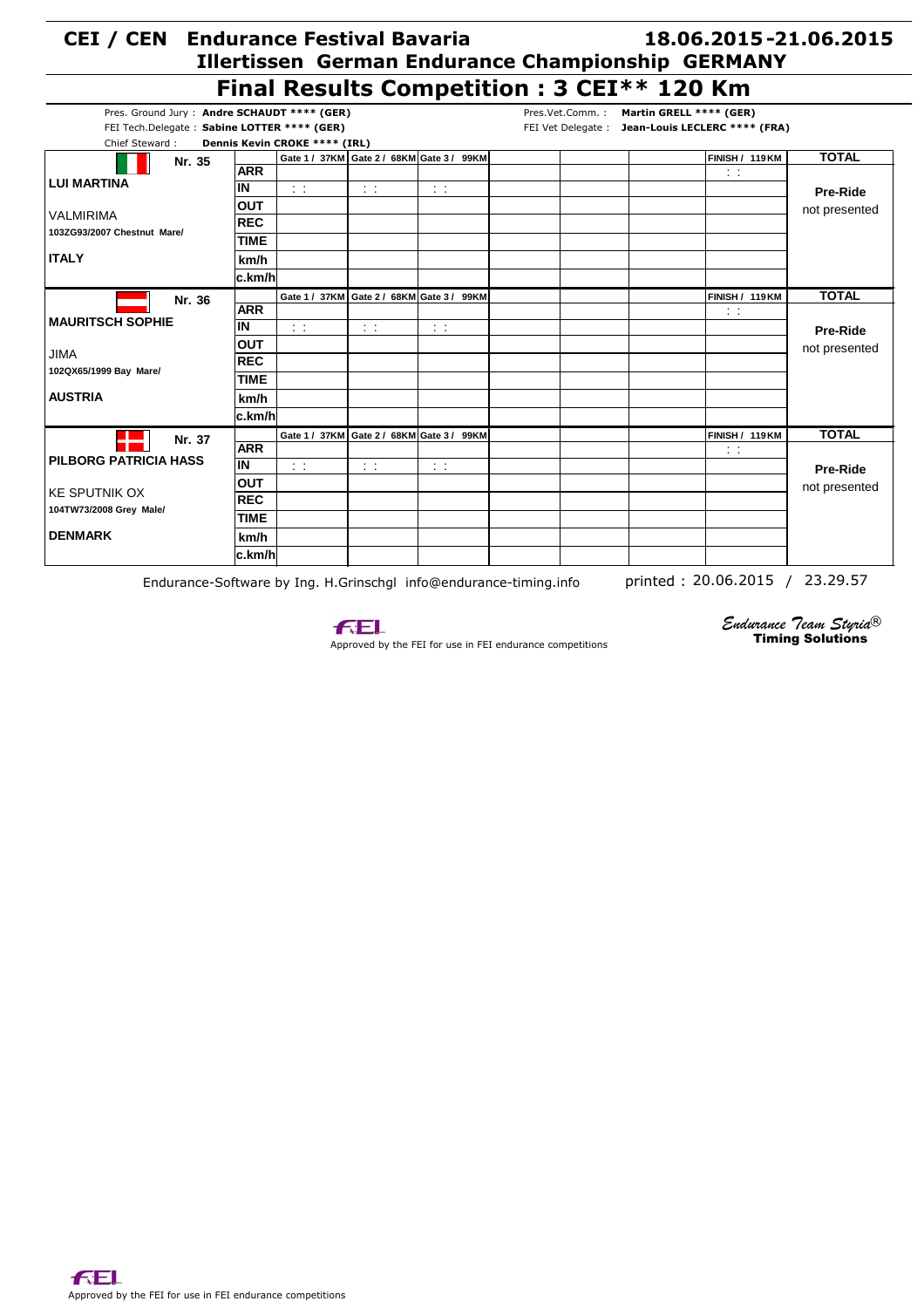#### **CEI / CEN Endurance Festival Bavaria Illertissen German Endurance Championship GERMANY 18.06.2015 21.06.2015 - Final Results Competition : 3 CEI\*\* 120 Km**

| Pres. Ground Jury: Andre SCHAUDT **** (GER) |             |                               |           |                                               | Pres.Vet.Comm.:   | Martin GRELL **** (GER)       |               |
|---------------------------------------------|-------------|-------------------------------|-----------|-----------------------------------------------|-------------------|-------------------------------|---------------|
| FEI Tech.Delegate: Sabine LOTTER **** (GER) |             |                               |           |                                               | FEI Vet Delegate: | Jean-Louis LECLERC **** (FRA) |               |
| Chief Steward:                              |             | Dennis Kevin CROKE **** (IRL) |           |                                               |                   |                               |               |
| Nr. 35                                      |             |                               |           | Gate 1 / 37KM   Gate 2 / 68KM   Gate 3 / 99KM |                   | FINISH / 119KM                | <b>TOTAL</b>  |
|                                             | <b>ARR</b>  |                               |           |                                               |                   | $\sim$ 1                      |               |
| <b>LUI MARTINA</b>                          | İΝ          | $\sim 10$                     | $\sim 10$ | $\sim$ $\sim$                                 |                   |                               | Pre-Ride      |
|                                             | <b>OUT</b>  |                               |           |                                               |                   |                               | not presented |
| <b>VALMIRIMA</b>                            | <b>REC</b>  |                               |           |                                               |                   |                               |               |
| 103ZG93/2007 Chestnut Mare/                 | <b>TIME</b> |                               |           |                                               |                   |                               |               |
| <b>ITALY</b>                                | km/h        |                               |           |                                               |                   |                               |               |
|                                             | lc.km/hl    |                               |           |                                               |                   |                               |               |
| Nr. 36                                      |             |                               |           | Gate 1 / 37KM Gate 2 / 68KM Gate 3 / 99KM     |                   | FINISH / 119KM                | <b>TOTAL</b>  |
|                                             | <b>ARR</b>  |                               |           |                                               |                   | $\sim$ 1                      |               |
| <b>MAURITSCH SOPHIE</b>                     | <b>IN</b>   | $\sim 1$                      | $\sim$    | $\sim$ 1                                      |                   |                               | Pre-Ride      |
|                                             | <b>OUT</b>  |                               |           |                                               |                   |                               | not presented |
| <b>JIMA</b>                                 | <b>REC</b>  |                               |           |                                               |                   |                               |               |
| 102QX65/1999 Bay Mare/                      | <b>TIME</b> |                               |           |                                               |                   |                               |               |
| <b>AUSTRIA</b>                              | km/h        |                               |           |                                               |                   |                               |               |
|                                             | lc.km/hl    |                               |           |                                               |                   |                               |               |
| Nr. 37                                      |             |                               |           | Gate 1 / 37KM Gate 2 / 68KM Gate 3 / 99KM     |                   | <b>FINISH / 119 KM</b>        | <b>TOTAL</b>  |
|                                             | <b>ARR</b>  |                               |           |                                               |                   | $\sim$ 1                      |               |
| <b>PILBORG PATRICIA HASS</b>                | <b>IN</b>   | $\sim$ $\sim$                 | $\sim$ 1  | $\sim$ $\pm$                                  |                   |                               | Pre-Ride      |
|                                             | <b>OUT</b>  |                               |           |                                               |                   |                               | not presented |
| <b>KE SPUTNIK OX</b>                        | <b>REC</b>  |                               |           |                                               |                   |                               |               |
| 104TW73/2008 Grey Male/                     | <b>TIME</b> |                               |           |                                               |                   |                               |               |
| <b>DENMARK</b>                              | km/h        |                               |           |                                               |                   |                               |               |
|                                             | c.km/h      |                               |           |                                               |                   |                               |               |

Endurance-Software by Ing. H.Grinschgl info@endurance-timing.info printed : 20.06.2015 / 23.29.57



Approved by the FEI for use in FEI endurance competitions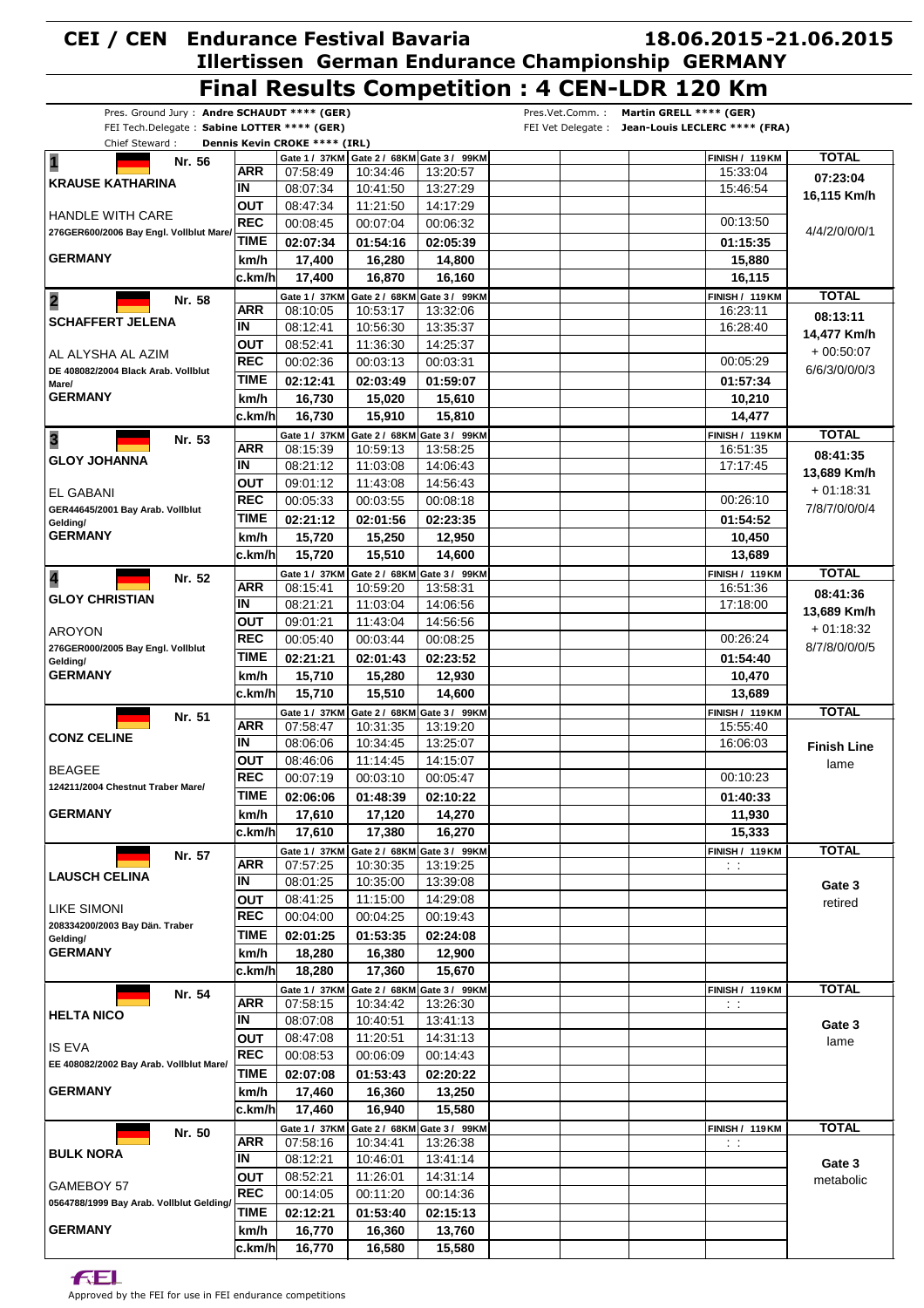# **CEI / CEN Endurance Festival Bavaria Illertissen German Endurance Championship GERMANY 18.06.2015 21.06.2015 - Final Results Competition : 4 CEN-LDR 120 Km**

| Pres. Ground Jury: Andre SCHAUDT **** (GER)<br>FEI Tech.Delegate: Sabine LOTTER **** (GER) |             |                               |          |                                               | Pres.Vet.Comm.:<br>FEI Vet Delegate: | Martin GRELL **** (GER)<br>Jean-Louis LECLERC **** (FRA) |                    |
|--------------------------------------------------------------------------------------------|-------------|-------------------------------|----------|-----------------------------------------------|--------------------------------------|----------------------------------------------------------|--------------------|
| Chief Steward:                                                                             |             | Dennis Kevin CROKE **** (IRL) |          |                                               |                                      |                                                          |                    |
| $\overline{\mathbf{1}}$<br>Nr. 56                                                          |             |                               |          | Gate 1 / 37KM   Gate 2 / 68KM   Gate 3 / 99KM |                                      | <b>FINISH / 119 KM</b>                                   | <b>TOTAL</b>       |
| <b>KRAUSE KATHARINA</b>                                                                    | ARR         | 07:58:49                      | 10:34:46 | 13:20:57                                      |                                      | 15:33:04                                                 | 07:23:04           |
|                                                                                            | IN          | 08:07:34                      | 10:41:50 | 13:27:29                                      |                                      | 15:46:54                                                 | 16,115 Km/h        |
| <b>HANDLE WITH CARE</b>                                                                    | <b>OUT</b>  | 08:47:34                      | 11:21:50 | 14:17:29                                      |                                      |                                                          |                    |
| 276GER600/2006 Bay Engl. Vollblut Mare                                                     | <b>REC</b>  | 00:08:45                      | 00:07:04 | 00:06:32                                      |                                      | 00:13:50                                                 | 4/4/2/0/0/0/1      |
|                                                                                            | <b>TIME</b> | 02:07:34                      | 01:54:16 | 02:05:39                                      |                                      | 01:15:35                                                 |                    |
| <b>GERMANY</b>                                                                             | km/h        | 17,400                        | 16.280   | 14,800                                        |                                      | 15,880                                                   |                    |
|                                                                                            | c.km/h      | 17,400                        | 16,870   | 16,160                                        |                                      | 16.115                                                   |                    |
| $\overline{\mathbf{2}}$<br>Nr. 58                                                          |             | Gate 1 / 37KM                 |          | Gate 2 / 68KM Gate 3 / 99KM                   |                                      | <b>FINISH / 119 KM</b>                                   | <b>TOTAL</b>       |
| <b>SCHAFFERT JELENA</b>                                                                    | <b>ARR</b>  | 08:10:05                      | 10:53:17 | 13:32:06                                      |                                      | 16:23:11                                                 | 08:13:11           |
|                                                                                            | IN          | 08:12:41                      | 10:56:30 | 13:35:37                                      |                                      | 16:28:40                                                 | 14,477 Km/h        |
| AL ALYSHA AL AZIM                                                                          | <b>OUT</b>  | 08:52:41                      | 11:36:30 | 14:25:37                                      |                                      |                                                          | $+00:50:07$        |
| DE 408082/2004 Black Arab. Vollblut                                                        | <b>REC</b>  | 00:02:36                      | 00:03:13 | 00:03:31                                      |                                      | 00:05:29                                                 | 6/6/3/0/0/0/3      |
| Mare/                                                                                      | <b>TIME</b> | 02:12:41                      | 02:03:49 | 01:59:07                                      |                                      | 01:57:34                                                 |                    |
| <b>GERMANY</b>                                                                             | km/h        | 16,730                        | 15,020   | 15,610                                        |                                      | 10,210                                                   |                    |
|                                                                                            | c.km/h      | 16,730                        | 15,910   | 15,810                                        |                                      | 14.477                                                   |                    |
| 3<br>Nr. 53                                                                                |             | Gate 1 / 37KM                 |          | Gate 2 / 68KM Gate 3 / 99KM                   |                                      | <b>FINISH / 119 KM</b>                                   | <b>TOTAL</b>       |
|                                                                                            | <b>ARR</b>  | 08:15:39                      | 10:59:13 | 13:58:25                                      |                                      | 16:51:35                                                 | 08:41:35           |
| <b>GLOY JOHANNA</b>                                                                        | IN          | 08:21:12                      | 11:03:08 | 14:06:43                                      |                                      | 17:17:45                                                 | 13,689 Km/h        |
| <b>EL GABANI</b>                                                                           | <b>OUT</b>  | 09:01:12                      | 11:43:08 | 14:56:43                                      |                                      |                                                          | $+01:18:31$        |
| GER44645/2001 Bay Arab. Vollblut                                                           | <b>REC</b>  | 00:05:33                      | 00:03:55 | 00:08:18                                      |                                      | 00:26:10                                                 | 7/8/7/0/0/0/4      |
| Gelding/                                                                                   | <b>TIME</b> | 02:21:12                      | 02:01:56 | 02:23:35                                      |                                      | 01:54:52                                                 |                    |
| <b>GERMANY</b>                                                                             | km/h        | 15,720                        | 15,250   | 12,950                                        |                                      | 10,450                                                   |                    |
|                                                                                            | c.km/h      | 15,720                        | 15,510   | 14,600                                        |                                      | 13,689                                                   |                    |
| $\overline{\mathbf{4}}$<br>Nr. 52                                                          |             | Gate 1 / 37KM                 |          | Gate 2 / 68KM Gate 3 / 99KM                   |                                      | <b>FINISH / 119 KM</b>                                   | <b>TOTAL</b>       |
|                                                                                            | ARR         | 08:15:41                      | 10:59:20 | 13:58:31                                      |                                      | 16:51:36                                                 | 08:41:36           |
| <b>GLOY CHRISTIAN</b>                                                                      | IN          | 08:21:21                      | 11:03:04 | 14:06:56                                      |                                      | 17:18:00                                                 | 13,689 Km/h        |
|                                                                                            | OUT         | 09:01:21                      | 11:43:04 | 14:56:56                                      |                                      |                                                          |                    |
| <b>AROYON</b>                                                                              | <b>REC</b>  | 00:05:40                      | 00:03:44 | 00:08:25                                      |                                      | 00:26:24                                                 | $+01:18:32$        |
| 276GER000/2005 Bay Engl. Vollblut<br>Gelding/                                              | TIME        | 02:21:21                      | 02:01:43 | 02:23:52                                      |                                      | 01:54:40                                                 | 8/7/8/0/0/0/5      |
| <b>GERMANY</b>                                                                             | km/h        | 15,710                        | 15,280   | 12,930                                        |                                      | 10,470                                                   |                    |
|                                                                                            | c.km/h      | 15,710                        | 15,510   | 14,600                                        |                                      | 13,689                                                   |                    |
|                                                                                            |             | Gate 1 / 37KM                 |          | Gate 2 / 68KM Gate 3 / 99KM                   |                                      | <b>FINISH / 119 KM</b>                                   | <b>TOTAL</b>       |
| Nr. 51                                                                                     | ARR         | 07:58:47                      | 10:31:35 | 13:19:20                                      |                                      | 15:55:40                                                 |                    |
| <b>CONZ CELINE</b>                                                                         | IN          | 08:06:06                      | 10:34:45 | 13:25:07                                      |                                      | 16:06:03                                                 | <b>Finish Line</b> |
|                                                                                            | OUT         | 08:46:06                      | 11:14:45 | 14:15:07                                      |                                      |                                                          |                    |
| <b>BEAGEE</b>                                                                              | <b>REC</b>  | 00:07:19                      | 00:03:10 | 00:05:47                                      |                                      | 00:10:23                                                 | lame               |
| 124211/2004 Chestnut Traber Mare/                                                          | <b>TIME</b> | 02:06:06                      | 01:48:39 | 02:10:22                                      |                                      | 01:40:33                                                 |                    |
| <b>GERMANY</b>                                                                             | km/h        | 17,610                        | 17,120   | 14,270                                        |                                      | 11,930                                                   |                    |
|                                                                                            |             | 17.610                        |          |                                               |                                      |                                                          |                    |
|                                                                                            | c.km/h      |                               | 17,380   | 16,270                                        |                                      | 15,333                                                   |                    |
| Nr. 57                                                                                     | <b>ARR</b>  | Gate 1 / 37KM<br>07:57:25     | 10:30:35 | Gate 2 / 68KM Gate 3 / 99KM<br>13:19:25       |                                      | FINISH / 119 KM                                          | <b>TOTAL</b>       |
| <b>LAUSCH CELINA</b>                                                                       | IN          | 08:01:25                      | 10:35:00 | 13:39:08                                      |                                      | $\sim$ $\sim$                                            |                    |
|                                                                                            | <b>OUT</b>  | 08:41:25                      |          | 14:29:08                                      |                                      |                                                          | Gate 3             |
| <b>LIKE SIMONI</b>                                                                         | <b>REC</b>  | 00:04:00                      | 11:15:00 | 00:19:43                                      |                                      |                                                          | retired            |
| 208334200/2003 Bay Dän. Traber                                                             |             |                               | 00:04:25 |                                               |                                      |                                                          |                    |
| Gelding/                                                                                   | TIME        | 02:01:25                      | 01:53:35 | 02:24:08                                      |                                      |                                                          |                    |
| <b>GERMANY</b>                                                                             | km/h        | 18,280                        | 16,380   | 12,900                                        |                                      |                                                          |                    |
|                                                                                            | c.km/h      | 18,280                        | 17,360   | 15,670                                        |                                      |                                                          |                    |
| Nr. 54                                                                                     |             | Gate 1 / 37KM                 |          | Gate 2 / 68KM Gate 3 / 99KM                   |                                      | <b>FINISH / 119 KM</b>                                   | <b>TOTAL</b>       |
| <b>HELTA NICO</b>                                                                          | ARR         | 07:58:15                      | 10:34:42 | 13:26:30                                      |                                      | $\sim$ 1                                                 |                    |
|                                                                                            | IN          | 08:07:08                      | 10:40:51 | 13:41:13                                      |                                      |                                                          | Gate 3             |
| <b>IS EVA</b>                                                                              | OUT         | 08:47:08                      | 11:20:51 | 14:31:13                                      |                                      |                                                          | lame               |
| EE 408082/2002 Bay Arab. Vollblut Mare/                                                    | <b>REC</b>  | 00:08:53                      | 00:06:09 | 00:14:43                                      |                                      |                                                          |                    |
|                                                                                            | <b>TIME</b> | 02:07:08                      | 01:53:43 | 02:20:22                                      |                                      |                                                          |                    |
| <b>GERMANY</b>                                                                             | km/h        | 17,460                        | 16,360   | 13,250                                        |                                      |                                                          |                    |
|                                                                                            | c.km/h      | 17,460                        | 16,940   | 15,580                                        |                                      |                                                          |                    |
| Nr. 50                                                                                     |             | Gate 1 / 37KM                 |          | Gate 2 / 68KM Gate 3 / 99KM                   |                                      | <b>FINISH / 119 KM</b>                                   | <b>TOTAL</b>       |
|                                                                                            | ARR         | 07:58:16                      | 10:34:41 | 13:26:38                                      |                                      | $\sim$ 1                                                 |                    |
| <b>BULK NORA</b>                                                                           | IN          | 08:12:21                      | 10:46:01 | 13:41:14                                      |                                      |                                                          | Gate 3             |
| GAMEBOY 57                                                                                 | OUT         | 08:52:21                      | 11:26:01 | 14:31:14                                      |                                      |                                                          | metabolic          |
| 0564788/1999 Bay Arab. Vollblut Gelding,                                                   | <b>REC</b>  | 00:14:05                      | 00:11:20 | 00:14:36                                      |                                      |                                                          |                    |
|                                                                                            | <b>TIME</b> | 02:12:21                      | 01:53:40 | 02:15:13                                      |                                      |                                                          |                    |
| <b>GERMANY</b>                                                                             | km/h        | 16,770                        | 16,360   | 13,760                                        |                                      |                                                          |                    |
|                                                                                            | c.km/h      | 16,770                        | 16,580   | 15,580                                        |                                      |                                                          |                    |

**FEL**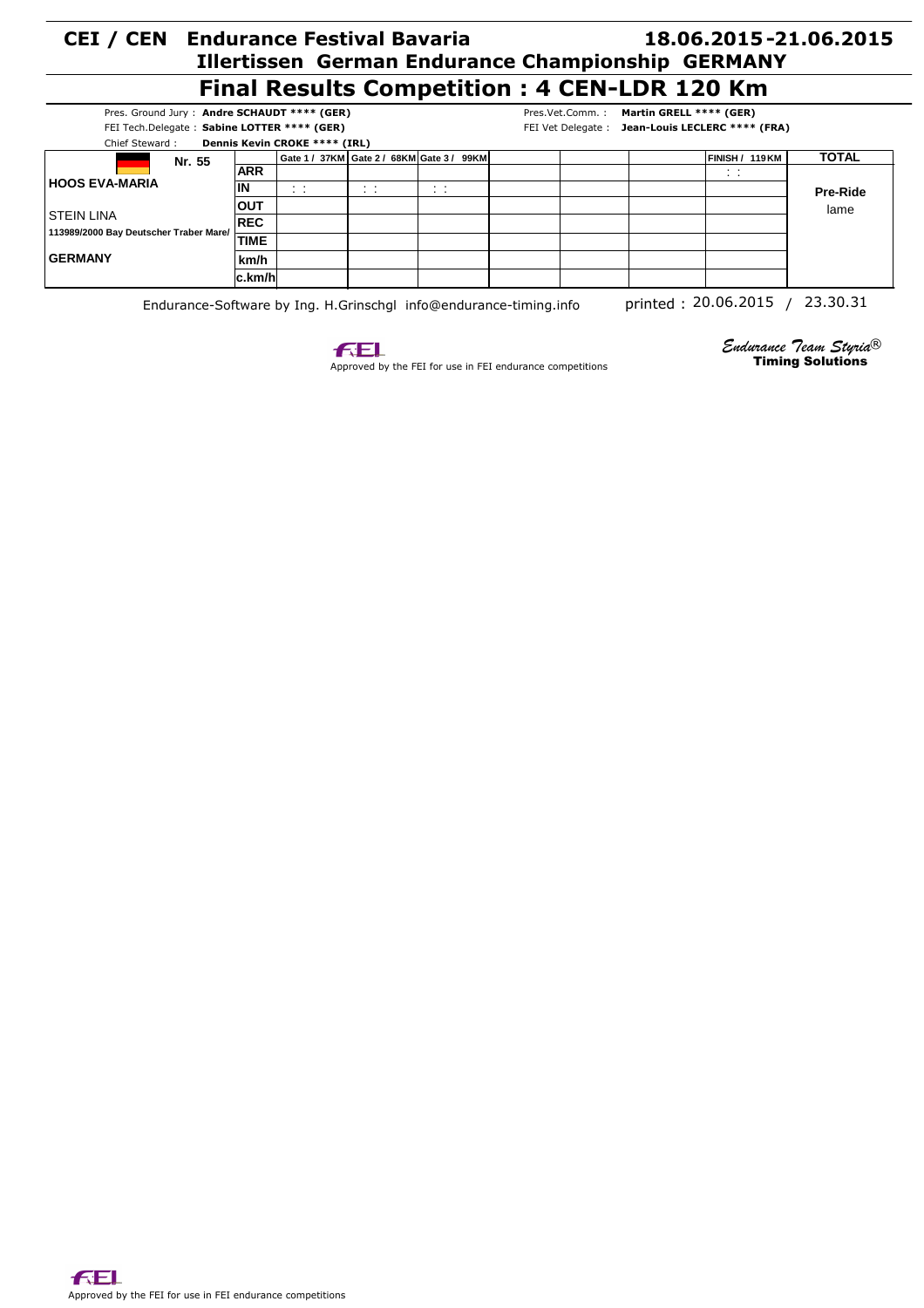#### **CEI / CEN Endurance Festival Bavaria Illertissen German Endurance Championship GERMANY 18.06.2015 21.06.2015 - Final Results Competition : 4 CEN-LDR 120 Km**

|                                             |                                               |                               |                  |                           |  |                 | <u>I Mai Results competition : T CEN EDR IZO RIN</u> |                                                  |                 |
|---------------------------------------------|-----------------------------------------------|-------------------------------|------------------|---------------------------|--|-----------------|------------------------------------------------------|--------------------------------------------------|-----------------|
| Pres. Ground Jury: Andre SCHAUDT **** (GER) |                                               |                               |                  |                           |  | Pres.Vet.Comm.: | Martin GRELL **** (GER)                              |                                                  |                 |
| FEI Tech.Delegate: Sabine LOTTER **** (GER) |                                               |                               |                  |                           |  |                 |                                                      | FEI Vet Delegate : Jean-Louis LECLERC **** (FRA) |                 |
| Chief Steward:                              |                                               | Dennis Kevin CROKE **** (IRL) |                  |                           |  |                 |                                                      |                                                  |                 |
| Nr. 55                                      | Gate 1 / 37KM   Gate 2 / 68KM   Gate 3 / 99KM |                               |                  |                           |  |                 |                                                      | FINISH / 119 KM                                  | <b>TOTAL</b>    |
|                                             | <b>ARR</b>                                    |                               |                  |                           |  |                 |                                                      | $\sim$<br>$\sim$                                 |                 |
| <b>HOOS EVA-MARIA</b>                       | IN                                            | $\sim$<br>$\sim$ 100 $\pm$    | $\sim$<br>$\sim$ | $\cdot$ $\cdot$<br>$\sim$ |  |                 |                                                      |                                                  | <b>Pre-Ride</b> |
|                                             | lout                                          |                               |                  |                           |  |                 |                                                      |                                                  | lame            |
| ISTEIN LINA                                 | <b>REC</b>                                    |                               |                  |                           |  |                 |                                                      |                                                  |                 |
| 113989/2000 Bay Deutscher Traber Mare/      | <b>TIME</b>                                   |                               |                  |                           |  |                 |                                                      |                                                  |                 |
| <b>GERMANY</b>                              | km/h                                          |                               |                  |                           |  |                 |                                                      |                                                  |                 |
|                                             | ∣c.km/h∣                                      |                               |                  |                           |  |                 |                                                      |                                                  |                 |

Endurance-Software by Ing. H.Grinschgl info@endurance-timing.info printed : 20.06.2015 / 23.30.31



Approved by the FEI for use in FEI endurance competitions

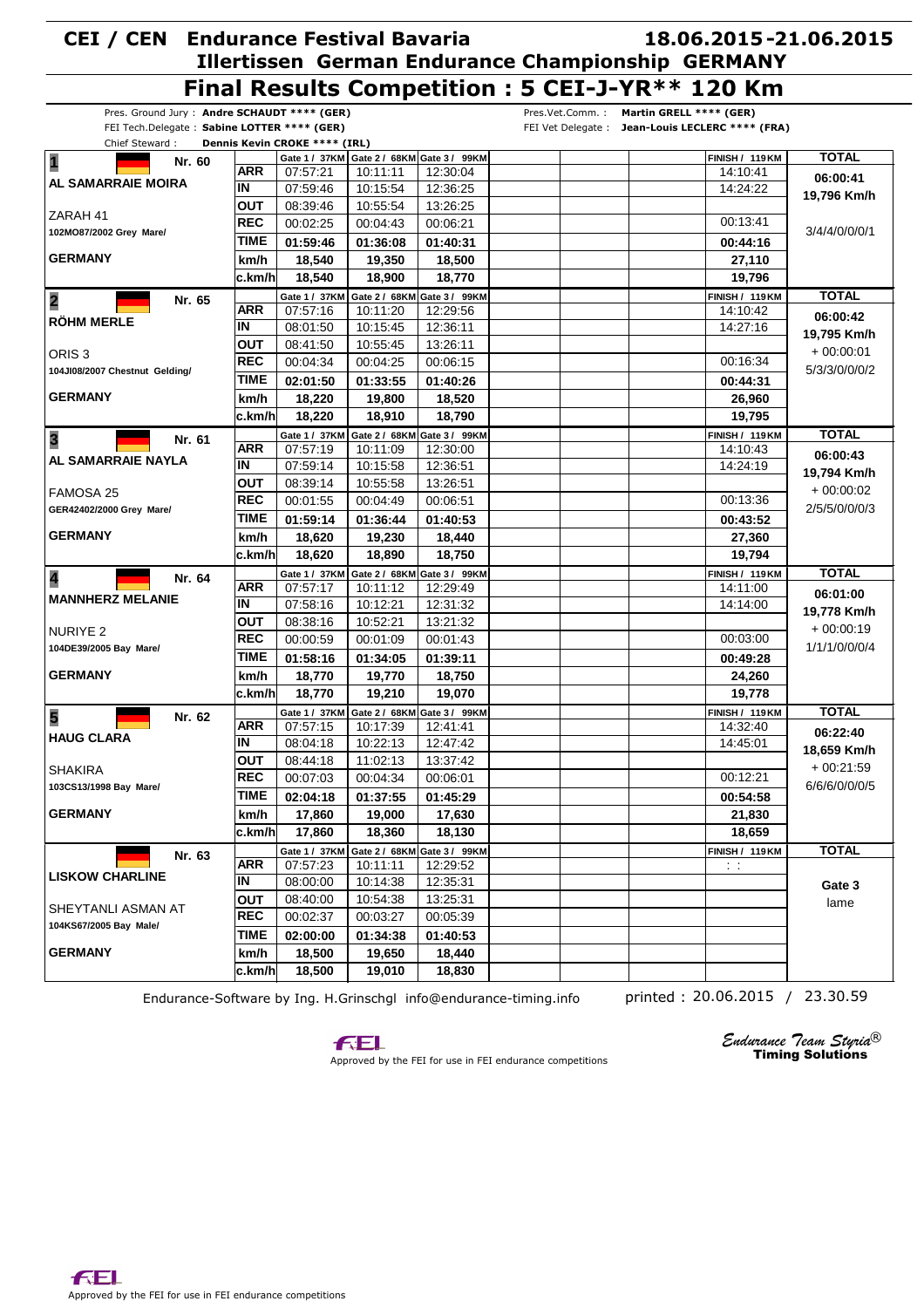## **CEI / CEN Endurance Festival Bavaria Illertissen German Endurance Championship GERMANY 18.06.2015 21.06.2015 - Final Results Competition : 5 CEI-J-YR\*\* 120 Km**

| Pres. Ground Jury: Andre SCHAUDT **** (GER) |             |                               |                                               |          | Pres.Vet.Comm.: | Martin GRELL **** (GER)                          |               |
|---------------------------------------------|-------------|-------------------------------|-----------------------------------------------|----------|-----------------|--------------------------------------------------|---------------|
| FEI Tech.Delegate: Sabine LOTTER **** (GER) |             |                               |                                               |          |                 | FEI Vet Delegate : Jean-Louis LECLERC **** (FRA) |               |
| Chief Steward:                              |             | Dennis Kevin CROKE **** (IRL) |                                               |          |                 |                                                  |               |
| $\overline{\mathbf{1}}$<br>Nr. 60           |             |                               | Gate 1 / 37KM   Gate 2 / 68KM   Gate 3 / 99KM |          |                 | <b>FINISH / 119 KM</b>                           | <b>TOTAL</b>  |
| <b>AL SAMARRAIE MOIRA</b>                   | ARR         | 07:57:21                      | 10:11:11                                      | 12:30:04 |                 | 14:10:41                                         | 06:00:41      |
|                                             | IN          | 07:59:46                      | 10:15:54                                      | 12:36:25 |                 | 14:24:22                                         | 19,796 Km/h   |
| IZARAH 41                                   | <b>OUT</b>  | 08:39:46                      | 10:55:54                                      | 13:26:25 |                 |                                                  |               |
| 102MO87/2002 Grey Mare/                     | <b>REC</b>  | 00:02:25                      | 00:04:43                                      | 00:06:21 |                 | 00:13:41                                         | 3/4/4/0/0/0/1 |
|                                             | <b>TIME</b> | 01:59:46                      | 01:36:08                                      | 01:40:31 |                 | 00:44:16                                         |               |
| <b>GERMANY</b>                              | km/h        | 18,540                        | 19,350                                        | 18,500   |                 | 27,110                                           |               |
|                                             | c.km/h      | 18,540                        | 18.900                                        | 18.770   |                 | 19.796                                           |               |
| $\overline{\mathbf{2}}$<br>Nr. 65           |             |                               | Gate 1 / 37KM Gate 2 / 68KM Gate 3 / 99KM     |          |                 | <b>FINISH / 119 KM</b>                           | <b>TOTAL</b>  |
|                                             | <b>ARR</b>  | 07:57:16                      | 10:11:20                                      | 12:29:56 |                 | 14:10:42                                         | 06:00:42      |
| <b>RÖHM MERLE</b>                           | IN          | 08:01:50                      | 10:15:45                                      | 12:36:11 |                 | 14:27:16                                         | 19,795 Km/h   |
|                                             | <b>OUT</b>  | 08:41:50                      | 10:55:45                                      | 13:26:11 |                 |                                                  | $+00:00:01$   |
| ORIS <sub>3</sub>                           | <b>REC</b>  | 00:04:34                      | 00:04:25                                      | 00:06:15 |                 | 00:16:34                                         |               |
| 104Jl08/2007 Chestnut Gelding/              | TIME        | 02:01:50                      | 01:33:55                                      | 01:40:26 |                 | 00:44:31                                         | 5/3/3/0/0/0/2 |
| <b>GERMANY</b>                              | km/h        | 18,220                        | 19,800                                        | 18,520   |                 | 26,960                                           |               |
|                                             | c.km/h      | 18,220                        | 18,910                                        | 18,790   |                 | 19,795                                           |               |
|                                             |             | Gate 1 / 37KM                 | Gate 2 / 68KM Gate 3 / 99KM                   |          |                 | <b>FINISH / 119 KM</b>                           | <b>TOTAL</b>  |
| 3<br>Nr. 61                                 | <b>ARR</b>  | 07:57:19                      | 10:11:09                                      | 12:30:00 |                 | 14:10:43                                         |               |
| <b>AL SAMARRAIE NAYLA</b>                   | ΙN          | 07:59:14                      | 10:15:58                                      | 12:36:51 |                 | 14:24:19                                         | 06:00:43      |
|                                             | <b>OUT</b>  | 08:39:14                      | 10:55:58                                      | 13:26:51 |                 |                                                  | 19,794 Km/h   |
| <b>FAMOSA 25</b>                            | <b>REC</b>  | 00:01:55                      | 00:04:49                                      | 00:06:51 |                 | 00:13:36                                         | $+00:00:02$   |
| GER42402/2000 Grey Mare/                    | <b>TIME</b> | 01:59:14                      | 01:36:44                                      | 01:40:53 |                 | 00:43:52                                         | 2/5/5/0/0/0/3 |
| <b>GERMANY</b>                              | km/h        | 18,620                        | 19,230                                        | 18,440   |                 | 27,360                                           |               |
|                                             | c.km/h      | 18,620                        | 18,890                                        | 18,750   |                 | 19,794                                           |               |
|                                             |             |                               | Gate 1 / 37KM Gate 2 / 68KM Gate 3 / 99KM     |          |                 |                                                  | <b>TOTAL</b>  |
| $\overline{\mathbf{4}}$<br>Nr. 64           | ARR         | 07:57:17                      | 10:11:12                                      | 12:29:49 |                 | <b>FINISH / 119 KM</b><br>14:11:00               |               |
| <b>MANNHERZ MELANIE</b>                     | ΙN          | 07:58:16                      | 10:12:21                                      | 12:31:32 |                 | 14:14:00                                         | 06:01:00      |
|                                             | OUT         | 08:38:16                      | 10:52:21                                      | 13:21:32 |                 |                                                  | 19,778 Km/h   |
| NURIYE 2                                    | <b>REC</b>  | 00:00:59                      | 00:01:09                                      | 00:01:43 |                 | 00:03:00                                         | $+00:00:19$   |
| 104DE39/2005 Bay Mare/                      | <b>TIME</b> | 01:58:16                      | 01:34:05                                      | 01:39:11 |                 | 00:49:28                                         | 1/1/1/0/0/0/4 |
| GERMANY                                     | km/h        | 18,770                        |                                               | 18,750   |                 | 24,260                                           |               |
|                                             | c.km/h      | 18,770                        | 19,770<br>19,210                              | 19,070   |                 | 19,778                                           |               |
|                                             |             |                               |                                               |          |                 |                                                  |               |
| 5<br>Nr. 62                                 | <b>ARR</b>  | Gate 1 / 37KM<br>07:57:15     | Gate 2 / 68KM Gate 3 / 99KM<br>10:17:39       | 12:41:41 |                 | <b>FINISH / 119 KM</b><br>14:32:40               | <b>TOTAL</b>  |
| <b>HAUG CLARA</b>                           | ΙN          | 08:04:18                      | 10:22:13                                      | 12:47:42 |                 | 14:45:01                                         | 06:22:40      |
|                                             | <b>OUT</b>  | 08:44:18                      | 11:02:13                                      | 13:37:42 |                 |                                                  | 18,659 Km/h   |
| SHAKIRA                                     | <b>REC</b>  | 00:07:03                      | 00:04:34                                      | 00:06:01 |                 | 00:12:21                                         | $+00:21:59$   |
| 103CS13/1998 Bay Mare/                      |             | TIME 02:04:18                 | 01:37:55                                      | 01:45:29 |                 | 00:54:58                                         | 6/6/6/0/0/0/5 |
|                                             |             |                               |                                               |          |                 |                                                  |               |
| <b>GERMANY</b>                              | km/h        | 17,860                        | 19,000                                        | 17,630   |                 | 21,830                                           |               |
|                                             | c.km/h      | 17,860                        | 18,360                                        | 18,130   |                 | 18,659                                           |               |
| Nr. 63                                      | ARR         | Gate 1 / 37KM<br>07:57:23     | Gate 2 / 68KM Gate 3 / 99KM<br>10:11:11       | 12:29:52 |                 | <b>FINISH / 119 KM</b>                           | <b>TOTAL</b>  |
| <b>LISKOW CHARLINE</b>                      | IN          | 08:00:00                      | 10:14:38                                      | 12:35:31 |                 | $\sim 10$                                        |               |
|                                             | <b>OUT</b>  | 08:40:00                      | 10:54:38                                      |          |                 |                                                  | Gate 3        |
| SHEYTANLI ASMAN AT                          | <b>REC</b>  |                               |                                               | 13:25:31 |                 |                                                  | lame          |
| 104KS67/2005 Bay Male/                      |             | 00:02:37                      | 00:03:27                                      | 00:05:39 |                 |                                                  |               |
|                                             | <b>TIME</b> | 02:00:00                      | 01:34:38                                      | 01:40:53 |                 |                                                  |               |
| <b>GERMANY</b>                              | km/h        | 18,500                        | 19,650                                        | 18,440   |                 |                                                  |               |
|                                             | ∣c.km/h     | 18,500                        | 19,010                                        | 18,830   |                 |                                                  |               |

Endurance-Software by Ing. H.Grinschgl info@endurance-timing.info printed : 20.06.2015 / 23.30.59

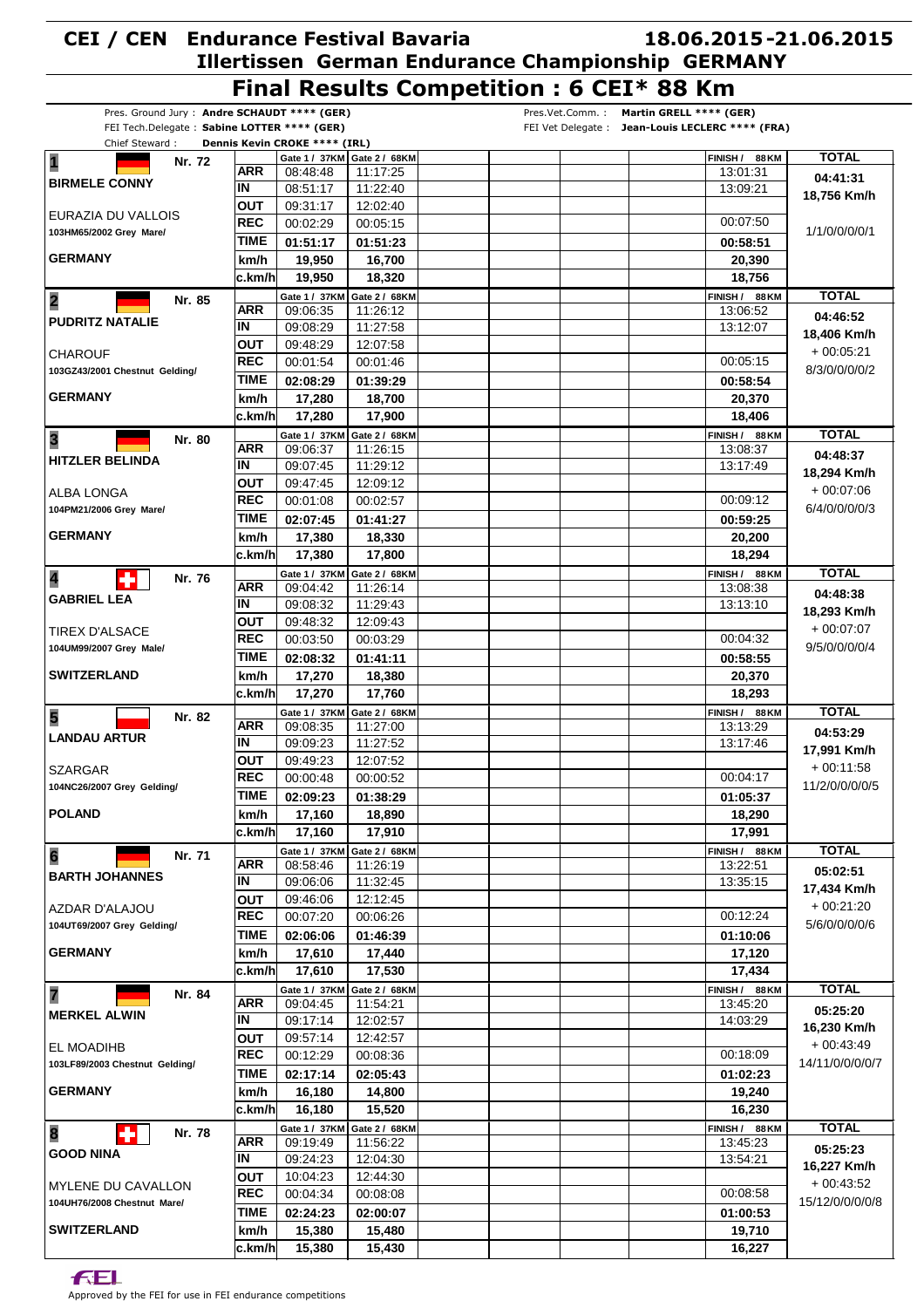# **CEI / CEN Endurance Festival Bavaria Illertissen German Endurance Championship GERMANY 18.06.2015 21.06.2015 - Final Results Competition : 6 CEI\* 88 Km**

| Pres. Ground Jury: Andre SCHAUDT **** (GER) |        |                  |                               |                           | Pres.Vet.Comm.: | Martin GRELL **** (GER)                          |                            |                 |
|---------------------------------------------|--------|------------------|-------------------------------|---------------------------|-----------------|--------------------------------------------------|----------------------------|-----------------|
| FEI Tech.Delegate: Sabine LOTTER **** (GER) |        |                  |                               |                           |                 | FEI Vet Delegate : Jean-Louis LECLERC **** (FRA) |                            |                 |
| Chief Steward:                              |        |                  | Dennis Kevin CROKE **** (IRL) |                           |                 |                                                  |                            |                 |
| $\overline{\mathbf{1}}$                     | Nr. 72 |                  | Gate 1 / 37KM Gate 2 / 68KM   |                           |                 |                                                  | FINISH / 88 KM             | <b>TOTAL</b>    |
| <b>BIRMELE CONNY</b>                        |        | <b>ARR</b><br>IN | 08:48:48                      | 11:17:25                  |                 |                                                  | 13:01:31                   | 04:41:31        |
|                                             |        |                  | 08:51:17                      | 11:22:40                  |                 |                                                  | 13:09:21                   | 18,756 Km/h     |
| EURAZIA DU VALLOIS                          |        | <b>OUT</b>       | 09:31:17                      | 12:02:40                  |                 |                                                  |                            |                 |
| 103HM65/2002 Grey Mare/                     |        | <b>REC</b>       | 00:02:29                      | 00:05:15                  |                 |                                                  | 00:07:50                   | 1/1/0/0/0/0/1   |
|                                             |        | <b>TIME</b>      | 01:51:17                      | 01:51:23                  |                 |                                                  | 00:58:51                   |                 |
| <b>GERMANY</b>                              |        | km/h             | 19,950                        | 16,700                    |                 |                                                  | 20,390                     |                 |
|                                             |        | c.km/h           | 19,950                        | 18,320                    |                 |                                                  | 18,756                     |                 |
| $\overline{\mathbf{2}}$                     | Nr. 85 |                  | Gate 1 / 37KM                 | Gate 2 / 68KM             |                 |                                                  | FINISH / 88 KM             | <b>TOTAL</b>    |
| <b>PUDRITZ NATALIE</b>                      |        | ARR              | 09:06:35                      | 11:26:12                  |                 |                                                  | 13:06:52                   | 04:46:52        |
|                                             |        | IN               | 09:08:29                      | 11:27:58                  |                 |                                                  | 13:12:07                   | 18,406 Km/h     |
| <b>CHAROUF</b>                              |        | OUT              | 09:48:29                      | 12:07:58                  |                 |                                                  |                            | $+00:05:21$     |
| 103GZ43/2001 Chestnut Gelding/              |        | <b>REC</b>       | 00:01:54                      | 00:01:46                  |                 |                                                  | 00:05:15                   | 8/3/0/0/0/0/2   |
|                                             |        | <b>TIME</b>      | 02:08:29                      | 01:39:29                  |                 |                                                  | 00:58:54                   |                 |
| <b>GERMANY</b>                              |        | km/h             | 17,280                        | 18,700                    |                 |                                                  | 20,370                     |                 |
|                                             |        | c.km/h           | 17,280                        | 17,900                    |                 |                                                  | 18,406                     |                 |
| 3                                           | Nr. 80 |                  | Gate 1 / 37KM                 | Gate 2 / 68KM             |                 |                                                  | FINISH / 88 KM             | <b>TOTAL</b>    |
| <b>HITZLER BELINDA</b>                      |        | <b>ARR</b>       | 09:06:37                      | 11:26:15                  |                 |                                                  | 13:08:37                   | 04:48:37        |
|                                             |        | IN               | 09:07:45                      | 11:29:12                  |                 |                                                  | 13:17:49                   | 18,294 Km/h     |
| <b>ALBA LONGA</b>                           |        | <b>OUT</b>       | 09:47:45                      | 12:09:12                  |                 |                                                  |                            | $+00:07:06$     |
| 104PM21/2006 Grey Mare/                     |        | <b>REC</b>       | 00:01:08                      | 00:02:57                  |                 |                                                  | 00:09:12                   | 6/4/0/0/0/0/3   |
|                                             |        | <b>TIME</b>      | 02:07:45                      | 01:41:27                  |                 |                                                  | 00:59:25                   |                 |
| <b>GERMANY</b>                              |        | km/h             | 17,380                        | 18,330                    |                 |                                                  | 20,200                     |                 |
|                                             |        | c.km/h           | 17,380                        | 17,800                    |                 |                                                  | 18,294                     |                 |
| $\overline{\mathbf{4}}$                     | Nr. 76 |                  | Gate 1 / 37KM                 | Gate 2 / 68KM             |                 |                                                  | FINISH / 88 KM             | <b>TOTAL</b>    |
|                                             |        | ARR              | 09:04:42                      | 11:26:14                  |                 |                                                  | 13:08:38                   | 04:48:38        |
| <b>GABRIEL LEA</b>                          |        | IN               | 09:08:32                      | 11:29:43                  |                 |                                                  | 13:13:10                   | 18,293 Km/h     |
|                                             |        | <b>OUT</b>       | 09:48:32                      | 12:09:43                  |                 |                                                  |                            | $+00:07:07$     |
| <b>TIREX D'ALSACE</b>                       |        | <b>REC</b>       | 00:03:50                      | 00:03:29                  |                 |                                                  | 00:04:32                   |                 |
| 104UM99/2007 Grey Male/                     |        | <b>TIME</b>      | 02:08:32                      | 01:41:11                  |                 |                                                  | 00:58:55                   | 9/5/0/0/0/0/4   |
| <b>SWITZERLAND</b>                          |        | km/h             | 17,270                        | 18,380                    |                 |                                                  | 20,370                     |                 |
|                                             |        | c.km/h           | 17,270                        | 17,760                    |                 |                                                  | 18,293                     |                 |
|                                             | Nr. 82 |                  | Gate 1 / 37KM                 | Gate 2 / 68KM             |                 |                                                  | FINISH / 88 KM             | <b>TOTAL</b>    |
| 5                                           |        | <b>ARR</b>       | 09:08:35                      | 11:27:00                  |                 |                                                  | 13:13:29                   |                 |
| <b>LANDAU ARTUR</b>                         |        | IN               | 09:09:23                      | 11:27:52                  |                 |                                                  | 13:17:46                   | 04:53:29        |
|                                             |        | <b>OUT</b>       | 09:49:23                      | 12:07:52                  |                 |                                                  |                            | 17,991 Km/h     |
| <b>SZARGAR</b>                              |        | <b>REC</b>       | 00:00:48                      | 00:00:52                  |                 |                                                  | 00:04:17                   | $+00:11:58$     |
| 104NC26/2007 Grey Gelding/                  |        | <b>TIME</b>      | 02:09:23                      | 01:38:29                  |                 |                                                  | 01:05:37                   | 11/2/0/0/0/0/5  |
| <b>POLAND</b>                               |        | km/h             | 17,160                        | 18,890                    |                 |                                                  | 18,290                     |                 |
|                                             |        | c.km/h           | 17,160                        | 17,910                    |                 |                                                  | 17,991                     |                 |
|                                             |        |                  | Gate 1 / 37KM                 | Gate 2 / 68KM             |                 |                                                  | FINISH / 88 KM             | <b>TOTAL</b>    |
| $6\phantom{a}$                              | Nr. 71 | ARR              | 08:58:46                      | 11:26:19                  |                 |                                                  | 13:22:51                   |                 |
| <b>BARTH JOHANNES</b>                       |        | IN               | 09:06:06                      | 11:32:45                  |                 |                                                  | 13:35:15                   | 05:02:51        |
|                                             |        | OUT              | 09:46:06                      | 12:12:45                  |                 |                                                  |                            | 17,434 Km/h     |
| AZDAR D'ALAJOU                              |        | <b>REC</b>       | 00:07:20                      | 00:06:26                  |                 |                                                  | 00:12:24                   | $+00:21:20$     |
| 104UT69/2007 Grey Gelding/                  |        | <b>TIME</b>      | 02:06:06                      | 01:46:39                  |                 |                                                  | 01:10:06                   | 5/6/0/0/0/0/6   |
| <b>GERMANY</b>                              |        | km/h             | 17,610                        | 17,440                    |                 |                                                  | 17,120                     |                 |
|                                             |        | c.km/h           | 17,610                        | 17,530                    |                 |                                                  | 17,434                     |                 |
|                                             |        |                  | Gate 1 / 37KM                 | Gate 2 / 68KM             |                 |                                                  | FINISH / 88 KM             | <b>TOTAL</b>    |
| $\overline{7}$                              | Nr. 84 | <b>ARR</b>       | 09:04:45                      | 11:54:21                  |                 |                                                  | 13:45:20                   |                 |
| <b>MERKEL ALWIN</b>                         |        | IN               | 09:17:14                      | 12:02:57                  |                 |                                                  | 14:03:29                   | 05:25:20        |
|                                             |        | <b>OUT</b>       | 09:57:14                      | 12:42:57                  |                 |                                                  |                            | 16,230 Km/h     |
| EL MOADIHB                                  |        | <b>REC</b>       | 00:12:29                      | 00:08:36                  |                 |                                                  | 00:18:09                   | $+00:43:49$     |
| 103LF89/2003 Chestnut Gelding/              |        | <b>TIME</b>      | 02:17:14                      | 02:05:43                  |                 |                                                  | 01:02:23                   | 14/11/0/0/0/0/7 |
| <b>GERMANY</b>                              |        | km/h             | 16,180                        | 14,800                    |                 |                                                  | 19,240                     |                 |
|                                             |        | c.km/h           | 16,180                        | 15,520                    |                 |                                                  | 16,230                     |                 |
|                                             |        |                  |                               |                           |                 |                                                  |                            |                 |
| 8                                           | Nr. 78 | ARR              | Gate 1 / 37KM<br>09:19:49     | Gate 2 / 68KM<br>11:56:22 |                 |                                                  | FINISH / 88 KM<br>13:45:23 | <b>TOTAL</b>    |
| <b>GOOD NINA</b>                            |        | IN               | 09:24:23                      | 12:04:30                  |                 |                                                  | 13:54:21                   | 05:25:23        |
|                                             |        | <b>OUT</b>       | 10:04:23                      | 12:44:30                  |                 |                                                  |                            | 16,227 Km/h     |
| <b>MYLENE DU CAVALLON</b>                   |        | <b>REC</b>       | 00:04:34                      | 00:08:08                  |                 |                                                  | 00:08:58                   | $+00:43:52$     |
| 104UH76/2008 Chestnut Mare/                 |        |                  |                               |                           |                 |                                                  |                            | 15/12/0/0/0/0/8 |
|                                             |        | TIME             | 02:24:23                      | 02:00:07                  |                 |                                                  | 01:00:53                   |                 |
| <b>SWITZERLAND</b>                          |        | km/h             | 15,380                        | 15,480                    |                 |                                                  | 19,710                     |                 |
|                                             |        | c.km/h           | 15,380                        | 15,430                    |                 |                                                  | 16,227                     |                 |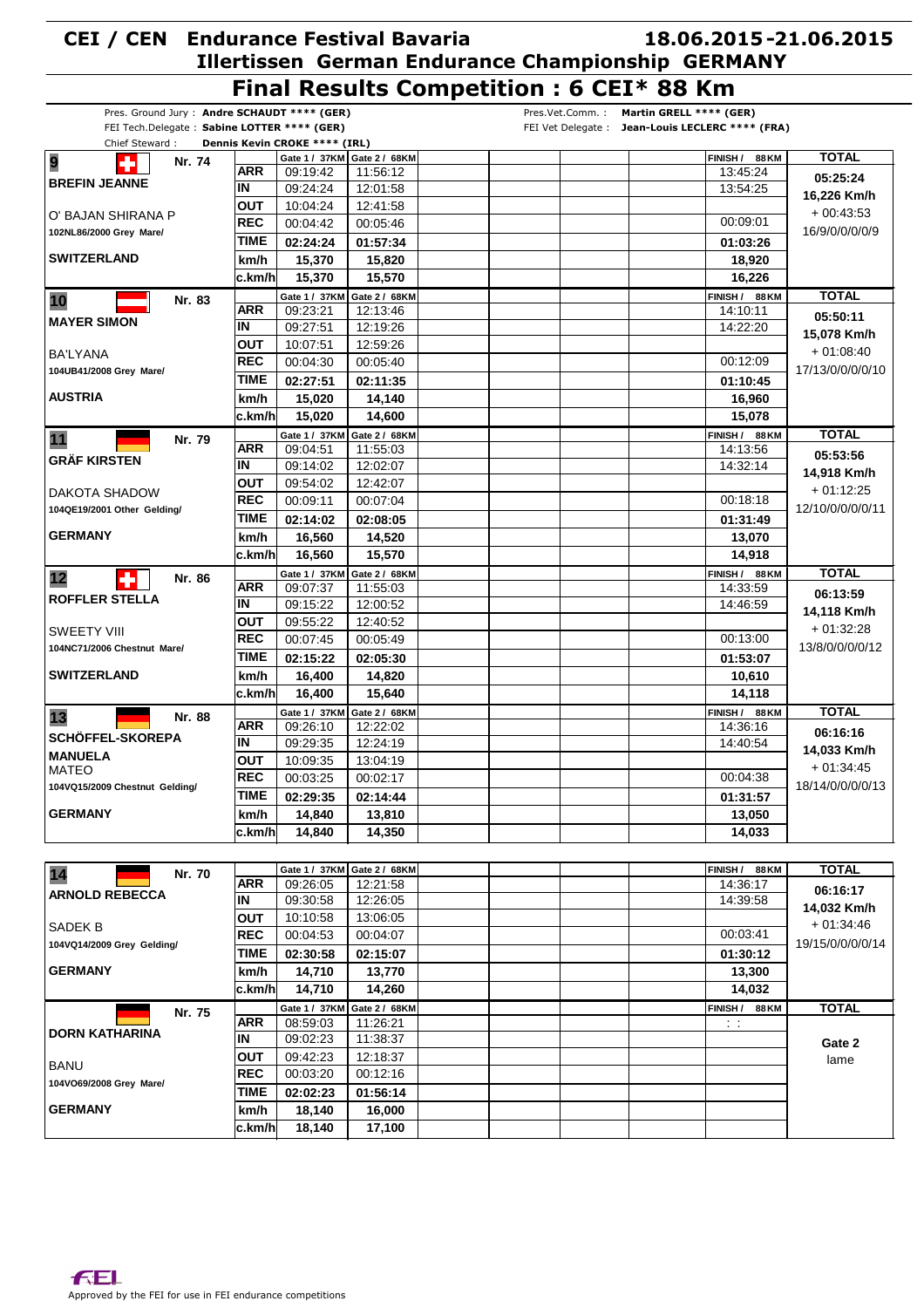# **CEI / CEN Endurance Festival Bavaria Illertissen German Endurance Championship GERMANY 18.06.2015 21.06.2015 - Final Results Competition : 6 CEI\* 88 Km**

| Pres. Ground Jury: Andre SCHAUDT **** (GER) |                               |               |                                         | Pres.Vet.Comm.: | Martin GRELL **** (GER)                          |                  |
|---------------------------------------------|-------------------------------|---------------|-----------------------------------------|-----------------|--------------------------------------------------|------------------|
| FEI Tech.Delegate: Sabine LOTTER **** (GER) |                               |               |                                         |                 | FEI Vet Delegate : Jean-Louis LECLERC **** (FRA) |                  |
| Chief Steward:                              | Dennis Kevin CROKE **** (IRL) |               |                                         |                 | FINISH / 88 KM                                   | <b>TOTAL</b>     |
| 9<br>Nr. 74                                 | <b>ARR</b>                    | 09:19:42      | Gate 1 / 37KM Gate 2 / 68KM<br>11:56:12 |                 | 13:45:24                                         |                  |
| <b>BREFIN JEANNE</b>                        | IN                            | 09:24:24      | 12:01:58                                |                 | 13:54:25                                         | 05:25:24         |
|                                             | <b>OUT</b>                    | 10:04:24      | 12:41:58                                |                 |                                                  | 16,226 Km/h      |
| O' BAJAN SHIRANA P                          | <b>REC</b>                    | 00:04:42      | 00:05:46                                |                 | 00:09:01                                         | $+00.43.53$      |
| 102NL86/2000 Grey Mare/                     |                               |               |                                         |                 |                                                  | 16/9/0/0/0/0/9   |
|                                             | TIME                          | 02:24:24      | 01:57:34                                |                 | 01:03:26                                         |                  |
| <b>SWITZERLAND</b>                          | km/h                          | 15,370        | 15,820                                  |                 | 18,920                                           |                  |
|                                             | c.km/h                        | 15,370        | 15,570                                  |                 | 16,226                                           |                  |
| 10<br>Nr. 83                                |                               | Gate 1 / 37KM | Gate 2 / 68KM                           |                 | FINISH / 88 KM                                   | <b>TOTAL</b>     |
| <b>MAYER SIMON</b>                          | <b>ARR</b>                    | 09:23:21      | 12:13:46                                |                 | 14:10:11                                         | 05:50:11         |
|                                             | IN                            | 09:27:51      | 12:19:26                                |                 | 14:22:20                                         | 15,078 Km/h      |
| BA'LYANA                                    | <b>OUT</b>                    | 10:07:51      | 12:59:26                                |                 |                                                  | $+01:08:40$      |
| 104UB41/2008 Grey Mare/                     | <b>REC</b>                    | 00:04:30      | 00:05:40                                |                 | 00:12:09                                         | 17/13/0/0/0/0/10 |
|                                             | TIME                          | 02:27:51      | 02:11:35                                |                 | 01:10:45                                         |                  |
| <b>AUSTRIA</b>                              | km/h                          | 15,020        | 14,140                                  |                 | 16,960                                           |                  |
|                                             | c.km/h                        | 15,020        | 14,600                                  |                 | 15,078                                           |                  |
| 11<br>Nr. 79                                |                               | Gate 1 / 37KM | Gate 2 / 68KM                           |                 | FINISH / 88 KM                                   | <b>TOTAL</b>     |
| <b>GRÄF KIRSTEN</b>                         | <b>ARR</b>                    | 09:04:51      | 11:55:03                                |                 | 14:13:56                                         | 05:53:56         |
|                                             | IN                            | 09:14:02      | 12:02:07                                |                 | 14:32:14                                         | 14,918 Km/h      |
|                                             | <b>OUT</b>                    | 09:54:02      | 12:42:07                                |                 |                                                  | $+01:12:25$      |
| <b>DAKOTA SHADOW</b>                        | <b>REC</b>                    | 00:09:11      | 00:07:04                                |                 | 00:18:18                                         | 12/10/0/0/0/0/11 |
| 104QE19/2001 Other Gelding/                 | <b>TIME</b>                   | 02:14:02      | 02:08:05                                |                 | 01:31:49                                         |                  |
| <b>GERMANY</b>                              | km/h                          | 16,560        | 14,520                                  |                 | 13.070                                           |                  |
|                                             | c.km/h                        | 16,560        | 15,570                                  |                 | 14,918                                           |                  |
| 12<br>Nr. 86                                |                               | Gate 1 / 37KM | Gate 2 / 68KM                           |                 | FINISH / 88 KM                                   | <b>TOTAL</b>     |
|                                             | ARR                           | 09:07:37      | 11:55:03                                |                 | 14:33:59                                         | 06:13:59         |
| <b>ROFFLER STELLA</b>                       | IN                            | 09:15:22      | 12:00:52                                |                 | 14:46:59                                         | 14,118 Km/h      |
|                                             | <b>OUT</b>                    | 09:55:22      | 12:40:52                                |                 |                                                  | $+01:32:28$      |
| <b>SWEETY VIII</b>                          | <b>REC</b>                    | 00:07:45      | 00:05:49                                |                 | 00:13:00                                         |                  |
| 104NC71/2006 Chestnut Mare/                 | <b>TIME</b>                   | 02:15:22      | 02:05:30                                |                 | 01:53:07                                         | 13/8/0/0/0/0/12  |
| <b>I SWITZERLAND</b>                        | km/h                          | 16,400        | 14,820                                  |                 | 10,610                                           |                  |
|                                             | c.km/h                        | 16,400        | 15,640                                  |                 | 14,118                                           |                  |
| 13<br>Nr. 88                                |                               | Gate 1 / 37KM | Gate 2 / 68KM                           |                 | FINISH / 88 KM                                   | <b>TOTAL</b>     |
|                                             | ARR                           | 09:26:10      | 12:22:02                                |                 | 14:36:16                                         | 06:16:16         |
| <b>SCHÖFFEL-SKOREPA</b>                     | IN                            | 09:29:35      | 12:24:19                                |                 | 14:40:54                                         | 14,033 Km/h      |
| <b>MANUELA</b>                              | <b>OUT</b>                    | 10:09:35      | 13:04:19                                |                 |                                                  |                  |
| <b>MATEO</b>                                | <b>REC</b>                    | 00:03:25      | 00:02:17                                |                 | 00:04:38                                         | $+01:34:45$      |
| 104VQ15/2009 Chestnut Gelding/              | <b>TIME</b>                   | 02:29:35      | 02:14:44                                |                 | 01:31:57                                         | 18/14/0/0/0/0/13 |
| <b>GERMANY</b>                              | km/h                          | 14,840        | 13,810                                  |                 | 13,050                                           |                  |
|                                             | c.km/h                        | 14,840        | 14,350                                  |                 | 14,033                                           |                  |
|                                             |                               |               |                                         |                 |                                                  |                  |
| 14                                          |                               | Gate 1 / 37KM | Gate 2 / 68KM                           |                 | FINISH /<br>88 KM                                | <b>TOTAL</b>     |
| Nr. 70                                      | <b>ARR</b>                    | 09:26:05      | 12:21:58                                |                 | 14:36:17                                         |                  |
| <b>ARNOLD REBECCA</b>                       | IN                            | 00.30.58      | 12.26.05                                |                 | $14.39 - 58$                                     | 06:16:17         |

| Nr. 70                     |             |          | Gale 17 S/NWIGALE 27 GONNI  |  |  | IFINIƏTI/ 00 N.WI                 | <b>UUML</b>      |
|----------------------------|-------------|----------|-----------------------------|--|--|-----------------------------------|------------------|
| 14                         | <b>ARR</b>  | 09:26:05 | 12:21:58                    |  |  | 14:36:17                          | 06:16:17         |
| <b>ARNOLD REBECCA</b>      | ΙN          | 09:30:58 | 12:26:05                    |  |  | 14:39:58                          | 14,032 Km/h      |
|                            | <b>OUT</b>  | 10:10:58 | 13:06:05                    |  |  |                                   | $+01:34:46$      |
| <b>SADEK B</b>             | <b>REC</b>  | 00:04:53 | 00:04:07                    |  |  | 00:03:41                          |                  |
| 104VQ14/2009 Grey Gelding/ | <b>TIME</b> | 02:30:58 | 02:15:07                    |  |  | 01:30:12                          | 19/15/0/0/0/0/14 |
| <b>GERMANY</b>             | km/h        | 14,710   | 13,770                      |  |  | 13,300                            |                  |
|                            | lc.km/hl    | 14,710   | 14,260                      |  |  | 14,032                            |                  |
| Nr. 75                     |             |          | Gate 1 / 37KM Gate 2 / 68KM |  |  | FINISH /<br>88 KM                 | <b>TOTAL</b>     |
|                            | <b>ARR</b>  | 08:59:03 | 11:26:21                    |  |  | $\cdot$ $\cdot$<br>$\sim$ $ \sim$ |                  |
| <b>DORN KATHARINA</b>      | ΙN          | 09:02:23 | 11:38:37                    |  |  |                                   | Gate 2           |
| l BANU                     | <b>OUT</b>  | 09:42:23 | 12:18:37                    |  |  |                                   | lame             |
| 104VO69/2008 Grey Mare/    | <b>REC</b>  | 00:03:20 | 00:12:16                    |  |  |                                   |                  |
|                            | <b>TIME</b> | 02:02:23 | 01:56:14                    |  |  |                                   |                  |
| <b>GERMANY</b>             | km/h        | 18,140   | 16,000                      |  |  |                                   |                  |
|                            |             |          |                             |  |  |                                   |                  |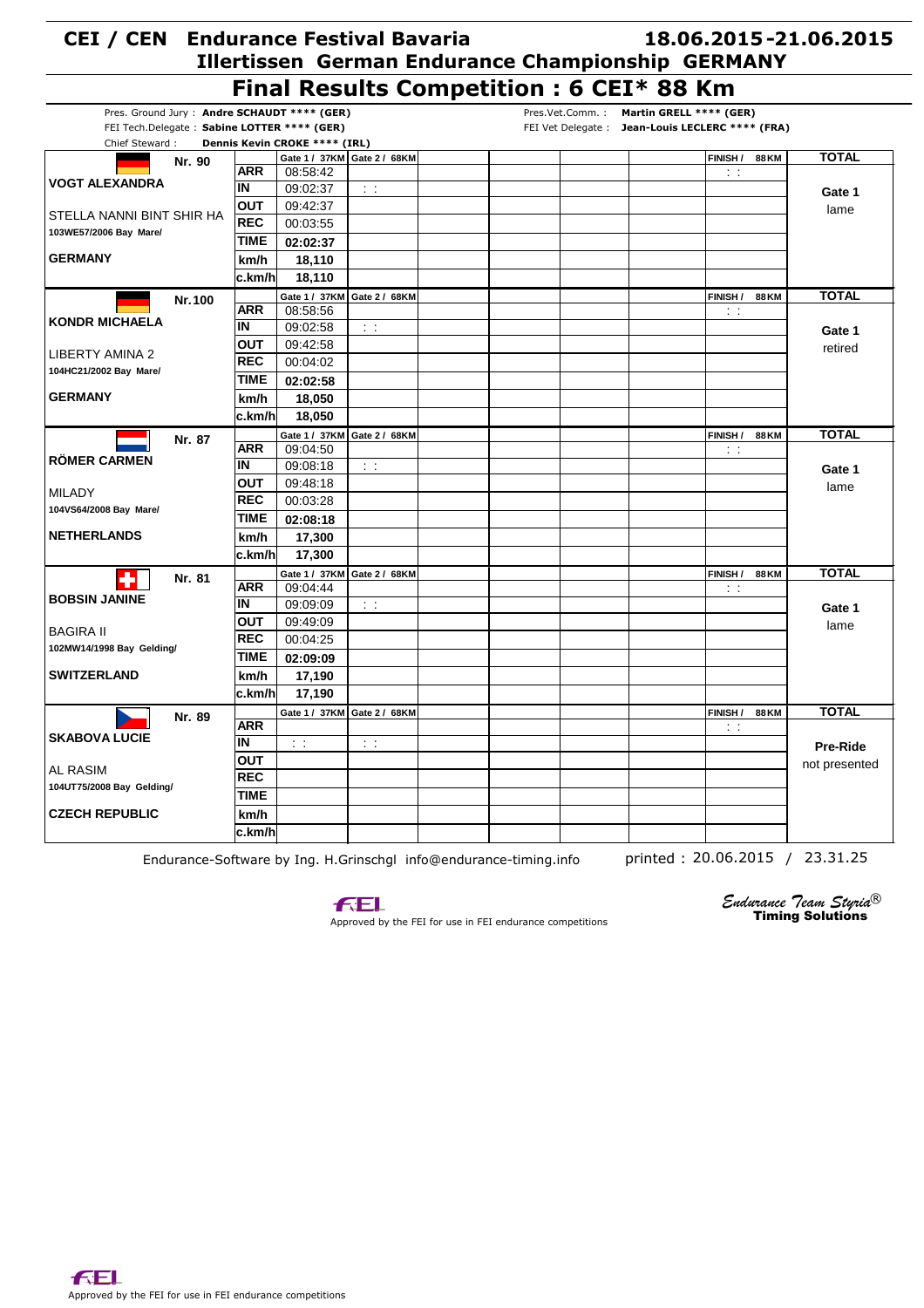## **CEI / CEN Endurance Festival Bavaria Illertissen German Endurance Championship GERMANY 18.06.2015 21.06.2015 - Final Results Competition : 6 CEI\* 88 Km**

| Pres. Ground Jury: Andre SCHAUDT **** (GER) |             |                               |                             |  | Pres.Vet.Comm.: | Martin GRELL **** (GER)                          |                |       |               |
|---------------------------------------------|-------------|-------------------------------|-----------------------------|--|-----------------|--------------------------------------------------|----------------|-------|---------------|
| FEI Tech.Delegate: Sabine LOTTER **** (GER) |             |                               |                             |  |                 | FEI Vet Delegate : Jean-Louis LECLERC **** (FRA) |                |       |               |
| Chief Steward:                              |             | Dennis Kevin CROKE **** (IRL) |                             |  |                 |                                                  |                |       |               |
| Nr. 90                                      |             |                               | Gate 1 / 37KM Gate 2 / 68KM |  |                 |                                                  | FINISH / 88 KM |       | <b>TOTAL</b>  |
| VOGT ALEXANDRA                              | ARR         | 08:58:42                      |                             |  |                 |                                                  | $\sim 10$      |       |               |
|                                             | IN          | 09:02:37                      | $\sim 10$                   |  |                 |                                                  |                |       | Gate 1        |
| STELLA NANNI BINT SHIR HA                   | <b>OUT</b>  | 09:42:37                      |                             |  |                 |                                                  |                |       | lame          |
| 103WE57/2006 Bay Mare/                      | <b>REC</b>  | 00:03:55                      |                             |  |                 |                                                  |                |       |               |
|                                             | TIME        | 02:02:37                      |                             |  |                 |                                                  |                |       |               |
| <b>GERMANY</b>                              | km/h        | 18,110                        |                             |  |                 |                                                  |                |       |               |
|                                             | c.km/h      | 18,110                        |                             |  |                 |                                                  |                |       |               |
| Nr.100                                      |             |                               | Gate 1 / 37KM Gate 2 / 68KM |  |                 |                                                  | FINISH /       | 88 KM | <b>TOTAL</b>  |
| <b>KONDR MICHAELA</b>                       | <b>ARR</b>  | 08:58:56                      |                             |  |                 |                                                  | $\sim 1$       |       |               |
|                                             | IN          | 09:02:58                      | $\sim 10$                   |  |                 |                                                  |                |       | Gate 1        |
| LIBERTY AMINA 2                             | <b>OUT</b>  | 09:42:58                      |                             |  |                 |                                                  |                |       | retired       |
| 104HC21/2002 Bay Mare/                      | <b>REC</b>  | 00:04:02                      |                             |  |                 |                                                  |                |       |               |
|                                             | TIME        | 02:02:58                      |                             |  |                 |                                                  |                |       |               |
| <b>GERMANY</b>                              | km/h        | 18,050                        |                             |  |                 |                                                  |                |       |               |
|                                             | ∣c.km/h     | 18,050                        |                             |  |                 |                                                  |                |       |               |
| Nr. 87                                      |             |                               | Gate 1 / 37KM Gate 2 / 68KM |  |                 |                                                  | FINISH / 88 KM |       | <b>TOTAL</b>  |
|                                             | <b>ARR</b>  | 09:04:50                      |                             |  |                 |                                                  | $\sim$ $\sim$  |       |               |
| <b>RÖMER CARMEN</b>                         | IN          | 09:08:18                      | $\pm \overline{1}$          |  |                 |                                                  |                |       | Gate 1        |
| <b>MILADY</b>                               | <b>OUT</b>  | 09:48:18                      |                             |  |                 |                                                  |                |       | lame          |
| 104VS64/2008 Bay Mare/                      | <b>REC</b>  | 00:03:28                      |                             |  |                 |                                                  |                |       |               |
|                                             | <b>TIME</b> | 02:08:18                      |                             |  |                 |                                                  |                |       |               |
| <b>NETHERLANDS</b>                          | km/h        | 17,300                        |                             |  |                 |                                                  |                |       |               |
|                                             | c.km/h      | 17,300                        |                             |  |                 |                                                  |                |       |               |
| Nr. 81                                      |             |                               | Gate 1 / 37KM Gate 2 / 68KM |  |                 |                                                  | FINISH / 88 KM |       | <b>TOTAL</b>  |
| <b>BOBSIN JANINE</b>                        | ARR         | 09:04:44                      |                             |  |                 |                                                  | $\sim$ $\sim$  |       |               |
|                                             | IN          | 09:09:09                      | $\sim 10$                   |  |                 |                                                  |                |       | Gate 1        |
| <b>BAGIRA II</b>                            | <b>OUT</b>  | 09:49:09                      |                             |  |                 |                                                  |                |       | lame          |
| 102MW14/1998 Bay Gelding/                   | <b>REC</b>  | 00:04:25                      |                             |  |                 |                                                  |                |       |               |
|                                             | TIME        | 02:09:09                      |                             |  |                 |                                                  |                |       |               |
| <b>SWITZERLAND</b>                          | km/h        | 17,190                        |                             |  |                 |                                                  |                |       |               |
|                                             | c.km/h      | 17,190                        |                             |  |                 |                                                  |                |       |               |
| Nr. 89                                      |             |                               | Gate 1 / 37KM Gate 2 / 68KM |  |                 |                                                  | FINISH / 88 KM |       | <b>TOTAL</b>  |
| <b>SKABOVA LUCIE</b>                        | <b>ARR</b>  |                               |                             |  |                 |                                                  | $\sim$ 1       |       |               |
|                                             | ΙN          | $\sim 10$                     | $\sim 10$                   |  |                 |                                                  |                |       | Pre-Ride      |
| <b>AL RASIM</b>                             | ΟUΤ         |                               |                             |  |                 |                                                  |                |       | not presented |
| 104UT75/2008 Bay Gelding/                   | <b>REC</b>  |                               |                             |  |                 |                                                  |                |       |               |
|                                             | <b>TIME</b> |                               |                             |  |                 |                                                  |                |       |               |
| <b>CZECH REPUBLIC</b>                       | km/h        |                               |                             |  |                 |                                                  |                |       |               |
|                                             | c.km/h      |                               |                             |  |                 |                                                  |                |       |               |

Endurance-Software by Ing. H.Grinschgl info@endurance-timing.info printed : 20.06.2015 / 23.31.25

**FEL** 

*Endurance Team Styria*  Timing Solutions ®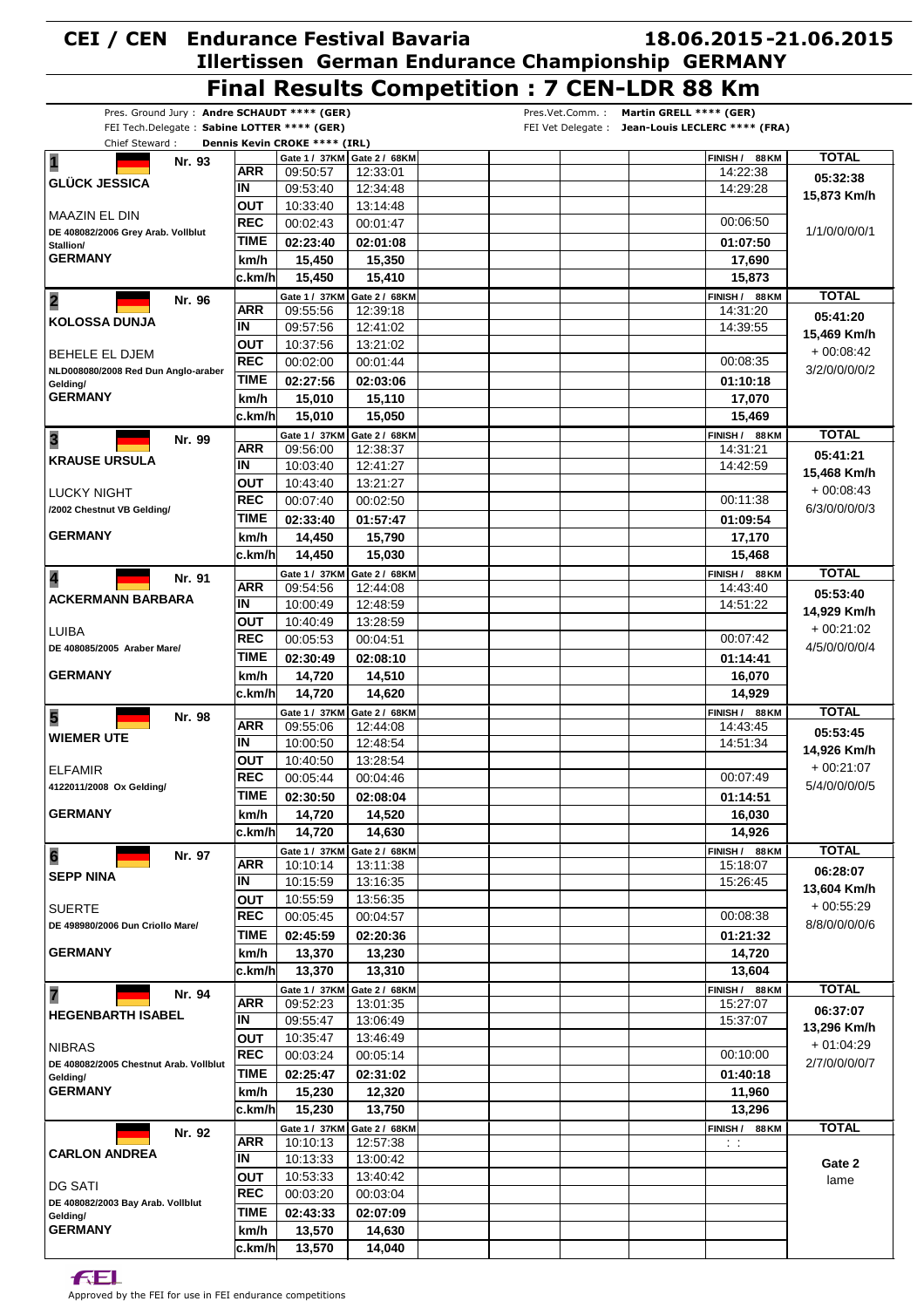# **CEI / CEN Endurance Festival Bavaria Illertissen German Endurance Championship GERMANY 18.06.2015 21.06.2015 - Final Results Competition : 7 CEN-LDR 88 Km**

| Pres. Ground Jury: Andre SCHAUDT **** (GER)<br>FEI Tech.Delegate: Sabine LOTTER **** (GER) |             |                               |                             | Martin GRELL **** (GER)<br>Pres.Vet.Comm.:<br>FEI Vet Delegate : Jean-Louis LECLERC **** (FRA) |               |
|--------------------------------------------------------------------------------------------|-------------|-------------------------------|-----------------------------|------------------------------------------------------------------------------------------------|---------------|
| Chief Steward:                                                                             |             | Dennis Kevin CROKE **** (IRL) |                             |                                                                                                |               |
| $\overline{\mathbf{1}}$                                                                    |             |                               | Gate 1 / 37KM Gate 2 / 68KM | FINISH / 88 KM                                                                                 | <b>TOTAL</b>  |
| Nr. 93                                                                                     | <b>ARR</b>  | 09:50:57                      | 12:33:01                    | 14:22:38                                                                                       |               |
| <b>GLÜCK JESSICA</b>                                                                       | IN          | 09:53:40                      | 12:34:48                    | 14:29:28                                                                                       | 05:32:38      |
|                                                                                            | <b>OUT</b>  | 10:33:40                      | 13:14:48                    |                                                                                                | 15,873 Km/h   |
| <b>MAAZIN EL DIN</b>                                                                       | <b>REC</b>  | 00:02:43                      | 00:01:47                    | 00:06:50                                                                                       |               |
| DE 408082/2006 Grey Arab. Vollblut                                                         | <b>TIME</b> | 02:23:40                      | 02:01:08                    | 01:07:50                                                                                       | 1/1/0/0/0/0/1 |
| Stallion/<br><b>GERMANY</b>                                                                |             |                               |                             |                                                                                                |               |
|                                                                                            | km/h        | 15,450                        | 15,350                      | 17,690                                                                                         |               |
|                                                                                            | c.km/h      | 15,450                        | 15,410                      | 15,873                                                                                         |               |
| $\overline{\mathbf{2}}$<br>Nr. 96                                                          |             | Gate 1 / 37KM                 | Gate 2 / 68KM               | FINISH / 88 KM                                                                                 | <b>TOTAL</b>  |
| <b>KOLOSSA DUNJA</b>                                                                       | ARR         | 09:55:56                      | 12:39:18                    | 14:31:20                                                                                       | 05:41:20      |
|                                                                                            | IN          | 09:57:56                      | 12:41:02                    | 14:39:55                                                                                       | 15,469 Km/h   |
| <b>BEHELE EL DJEM</b>                                                                      | <b>OUT</b>  | 10:37:56                      | 13:21:02                    |                                                                                                | $+00:08:42$   |
| NLD008080/2008 Red Dun Anglo-araber                                                        | <b>REC</b>  | 00:02:00                      | 00:01:44                    | 00:08:35                                                                                       | 3/2/0/0/0/0/2 |
| Gelding/                                                                                   | <b>TIME</b> | 02:27:56                      | 02:03:06                    | 01:10:18                                                                                       |               |
| <b>GERMANY</b>                                                                             | km/h        | 15,010                        | 15,110                      | 17,070                                                                                         |               |
|                                                                                            | c.km/h      | 15,010                        | 15,050                      | 15,469                                                                                         |               |
|                                                                                            |             | Gate 1 / 37KM                 | Gate 2 / 68KM               | FINISH / 88 KM                                                                                 | <b>TOTAL</b>  |
| 3<br>Nr. 99                                                                                | <b>ARR</b>  | 09:56:00                      | 12:38:37                    | 14:31:21                                                                                       |               |
| <b>KRAUSE URSULA</b>                                                                       | IN          | 10:03:40                      | 12:41:27                    | 14:42:59                                                                                       | 05:41:21      |
|                                                                                            | <b>OUT</b>  | 10:43:40                      |                             |                                                                                                | 15,468 Km/h   |
| <b>LUCKY NIGHT</b>                                                                         |             |                               | 13:21:27                    |                                                                                                | $+00:08:43$   |
| /2002 Chestnut VB Gelding/                                                                 | <b>REC</b>  | 00:07:40                      | 00:02:50                    | 00:11:38                                                                                       | 6/3/0/0/0/0/3 |
|                                                                                            | <b>TIME</b> | 02:33:40                      | 01:57:47                    | 01:09:54                                                                                       |               |
| <b>GERMANY</b>                                                                             | km/h        | 14,450                        | 15,790                      | 17,170                                                                                         |               |
|                                                                                            | c.km/h      | 14,450                        | 15,030                      | 15,468                                                                                         |               |
| 4<br>Nr. 91                                                                                |             | Gate 1 / 37KM                 | Gate 2 / 68KM               | FINISH / 88 KM                                                                                 | <b>TOTAL</b>  |
|                                                                                            | <b>ARR</b>  | 09:54:56                      | 12:44:08                    | 14:43:40                                                                                       | 05:53:40      |
| <b>ACKERMANN BARBARA</b>                                                                   | IN          | 10:00:49                      | 12:48:59                    | 14:51:22                                                                                       |               |
|                                                                                            | <b>OUT</b>  | 10:40:49                      | 13:28:59                    |                                                                                                | 14,929 Km/h   |
| LUIBA                                                                                      | <b>REC</b>  | 00:05:53                      | 00:04:51                    | 00:07:42                                                                                       | $+00:21:02$   |
| DE 408085/2005 Araber Mare/                                                                | <b>TIME</b> | 02:30:49                      | 02:08:10                    | 01:14:41                                                                                       | 4/5/0/0/0/0/4 |
| <b>GERMANY</b>                                                                             | km/h        | 14,720                        | 14,510                      |                                                                                                |               |
|                                                                                            |             |                               |                             | 16,070                                                                                         |               |
|                                                                                            | c.km/h      | 14,720                        | 14,620                      | 14,929                                                                                         |               |
| 5<br>Nr. 98                                                                                |             | Gate 1 / 37KM                 | Gate 2 / 68KM               | FINISH / 88 KM                                                                                 | <b>TOTAL</b>  |
| <b>WIEMER UTE</b>                                                                          | <b>ARR</b>  | 09:55:06                      | 12:44:08                    | 14:43:45                                                                                       | 05:53:45      |
|                                                                                            | IN          | 10:00:50                      | 12:48:54                    | 14:51:34                                                                                       | 14,926 Km/h   |
| <b>ELFAMIR</b>                                                                             | <b>OUT</b>  | 10:40:50                      | 13:28:54                    |                                                                                                | $+00:21:07$   |
| 4122011/2008 Ox Gelding/                                                                   | <b>REC</b>  | 00:05:44                      | 00:04:46                    | 00:07:49                                                                                       | 5/4/0/0/0/0/5 |
|                                                                                            |             | TIME 02:30:50                 | 02:08:04                    | 01:14:51                                                                                       |               |
| <b>GERMANY</b>                                                                             | km/h        | 14,720                        | 14,520                      | 16,030                                                                                         |               |
|                                                                                            | c.km/h      | 14,720                        | 14,630                      | 14,926                                                                                         |               |
|                                                                                            |             | Gate 1 / 37KM                 | Gate 2 / 68KM               | FINISH / 88 KM                                                                                 | <b>TOTAL</b>  |
| $6\phantom{a}$<br>Nr. 97                                                                   | ARR         | 10:10:14                      | 13:11:38                    | 15:18:07                                                                                       |               |
| <b>SEPP NINA</b>                                                                           | IN          | 10:15:59                      | 13:16:35                    | 15:26:45                                                                                       | 06:28:07      |
|                                                                                            | <b>OUT</b>  | 10:55:59                      | 13:56:35                    |                                                                                                | 13,604 Km/h   |
| <b>SUERTE</b>                                                                              | <b>REC</b>  | 00:05:45                      | 00:04:57                    | 00:08:38                                                                                       | $+00:55:29$   |
| DE 498980/2006 Dun Criollo Mare/                                                           | TIME        |                               |                             |                                                                                                | 8/8/0/0/0/0/6 |
| <b>GERMANY</b>                                                                             |             | 02:45:59                      | 02:20:36                    | 01:21:32                                                                                       |               |
|                                                                                            | km/h        | 13,370                        | 13,230                      | 14,720                                                                                         |               |
|                                                                                            | c.km/h      | 13,370                        | 13,310                      | 13,604                                                                                         |               |
| $\overline{\mathbf{z}}$<br>Nr. 94                                                          |             | Gate 1 / 37KM                 | Gate 2 / 68KM               | FINISH / 88 KM                                                                                 | <b>TOTAL</b>  |
| <b>HEGENBARTH ISABEL</b>                                                                   | <b>ARR</b>  | 09:52:23                      | 13:01:35                    | 15:27:07                                                                                       | 06:37:07      |
|                                                                                            | IN          | 09:55:47                      | 13:06:49                    | 15:37:07                                                                                       | 13,296 Km/h   |
| NIBRAS                                                                                     | <b>OUT</b>  | 10:35:47                      | 13:46:49                    |                                                                                                | $+01:04:29$   |
| DE 408082/2005 Chestnut Arab. Vollblut                                                     | <b>REC</b>  | 00:03:24                      | 00:05:14                    | 00:10:00                                                                                       | 2/7/0/0/0/0/7 |
| Gelding/                                                                                   | <b>TIME</b> | 02:25:47                      | 02:31:02                    | 01:40:18                                                                                       |               |
| <b>GERMANY</b>                                                                             | km/h        | 15,230                        | 12,320                      | 11,960                                                                                         |               |
|                                                                                            | c.km/h      | 15,230                        | 13,750                      | 13,296                                                                                         |               |
|                                                                                            |             | Gate 1 / 37KM                 | Gate 2 / 68KM               | FINISH /<br>88 KM                                                                              | <b>TOTAL</b>  |
| Nr. 92                                                                                     | ARR         | 10:10:13                      | 12:57:38                    | $\sim$                                                                                         |               |
| <b>CARLON ANDREA</b>                                                                       | IN          | 10:13:33                      | 13:00:42                    |                                                                                                |               |
|                                                                                            |             |                               |                             |                                                                                                | Gate 2        |
| <b>DG SATI</b>                                                                             | <b>OUT</b>  | 10:53:33                      | 13:40:42                    |                                                                                                | lame          |
| DE 408082/2003 Bay Arab. Vollblut                                                          | <b>REC</b>  | 00:03:20                      | 00:03:04                    |                                                                                                |               |
| Gelding/                                                                                   | <b>TIME</b> | 02:43:33                      | 02:07:09                    |                                                                                                |               |
| <b>GERMANY</b>                                                                             | km/h        | 13,570                        | 14,630                      |                                                                                                |               |
|                                                                                            | c.km/h      | 13,570                        | 14,040                      |                                                                                                |               |

**FEL**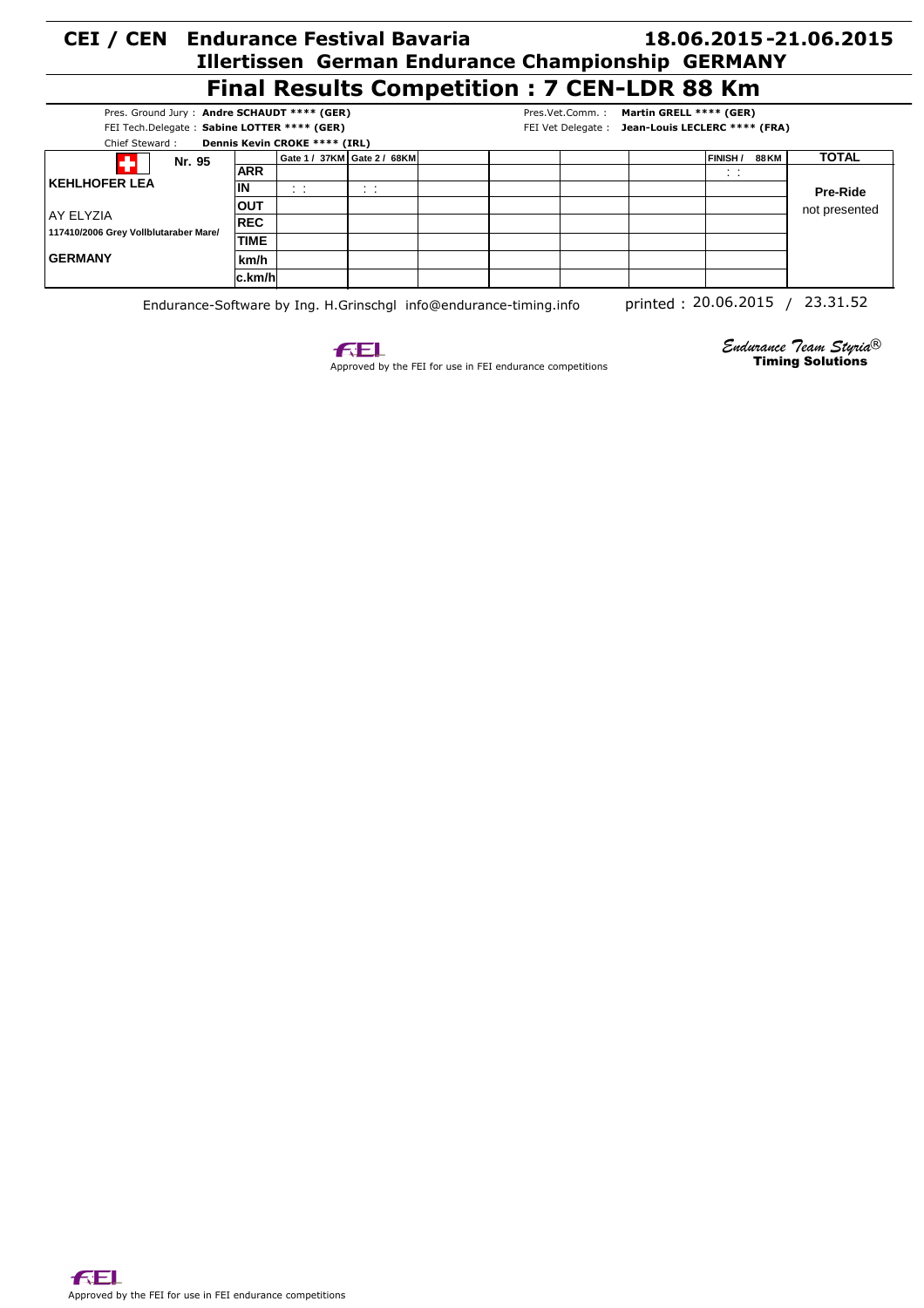#### **CEI / CEN Endurance Festival Bavaria Illertissen German Endurance Championship GERMANY 18.06.2015 21.06.2015 - Final Results Competition : 7 CEN-LDR 88 Km**

|                                             |                                             |                               |                              | <u>I Mai Results Competition . 7 CEN-EDR 00 RM</u> |                                            |  |                                                  |                                    |       |                 |
|---------------------------------------------|---------------------------------------------|-------------------------------|------------------------------|----------------------------------------------------|--------------------------------------------|--|--------------------------------------------------|------------------------------------|-------|-----------------|
| Pres. Ground Jury: Andre SCHAUDT **** (GER) |                                             |                               |                              |                                                    | Martin GRELL **** (GER)<br>Pres.Vet.Comm.: |  |                                                  |                                    |       |                 |
|                                             | FEI Tech.Delegate: Sabine LOTTER **** (GER) |                               |                              |                                                    |                                            |  | FEI Vet Delegate : Jean-Louis LECLERC **** (FRA) |                                    |       |                 |
| Chief Steward:                              |                                             | Dennis Kevin CROKE **** (IRL) |                              |                                                    |                                            |  |                                                  |                                    |       |                 |
| Nr. 95                                      |                                             |                               | Gate 1 / 37KM Gate 2 / 68KM  |                                                    |                                            |  |                                                  | FINISH /                           | 88 KM | <b>TOTAL</b>    |
|                                             | <b>ARR</b>                                  |                               |                              |                                                    |                                            |  |                                                  | $\cdot$ $\cdot$<br>$\sim$ 10 $\pm$ |       |                 |
| <b>KEHLHOFER LEA</b>                        | ίN                                          | $\sim$<br>$\sim$              | $\cdots$<br>$\sim$ 100 $\pm$ |                                                    |                                            |  |                                                  |                                    |       | <b>Pre-Ride</b> |
|                                             | <b>OUT</b>                                  |                               |                              |                                                    |                                            |  |                                                  |                                    |       | not presented   |
| <b>AY ELYZIA</b>                            | <b>REC</b>                                  |                               |                              |                                                    |                                            |  |                                                  |                                    |       |                 |
| 117410/2006 Grey Vollblutaraber Mare/       | <b>TIME</b>                                 |                               |                              |                                                    |                                            |  |                                                  |                                    |       |                 |
| <b>GERMANY</b>                              | km/h                                        |                               |                              |                                                    |                                            |  |                                                  |                                    |       |                 |
|                                             | c.km/hl                                     |                               |                              |                                                    |                                            |  |                                                  |                                    |       |                 |

Endurance-Software by Ing. H.Grinschgl info@endurance-timing.info printed : 20.06.2015 / 23.31.52



Approved by the FEI for use in FEI endurance competitions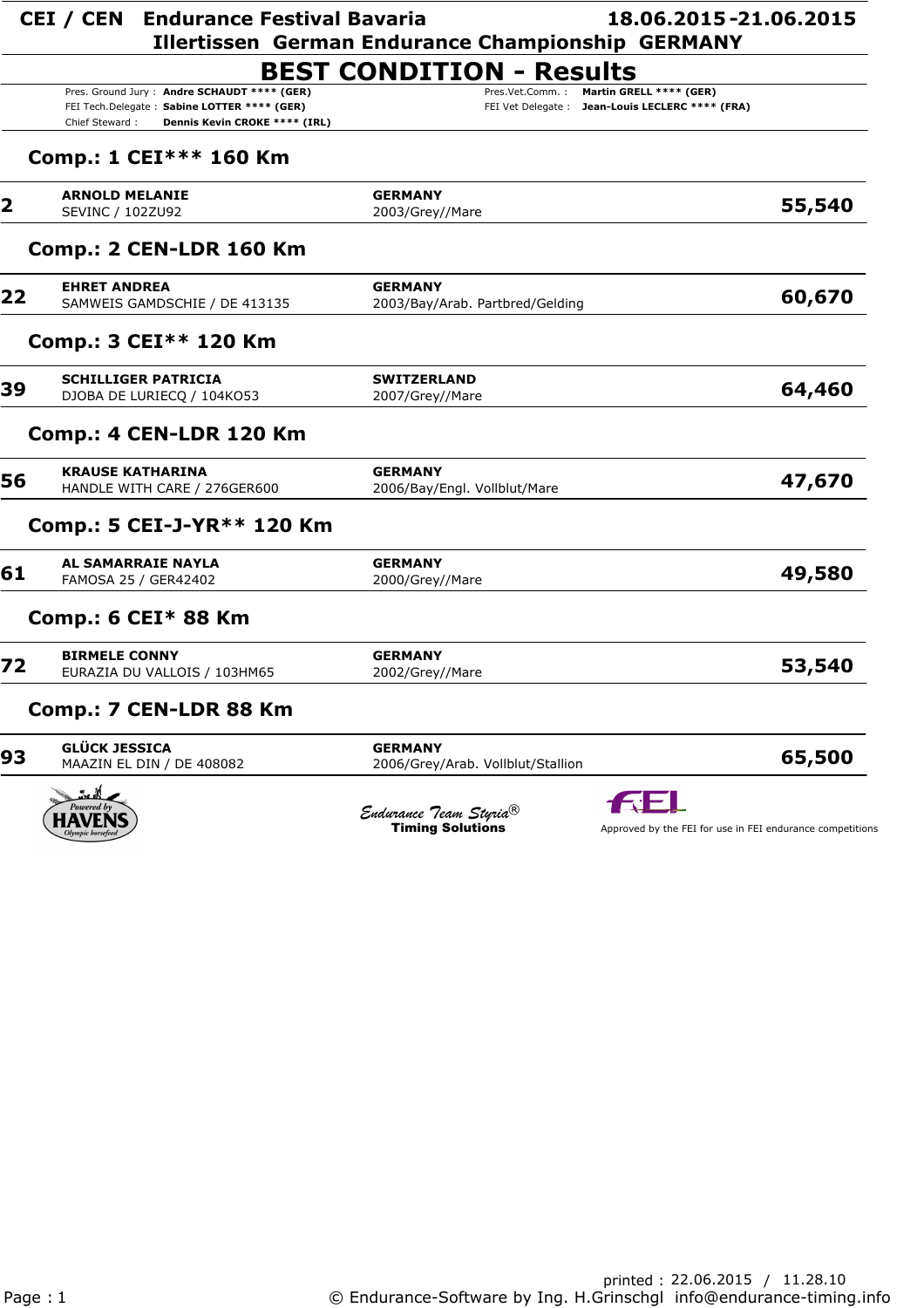|    | <b>CEI / CEN</b> Endurance Festival Bavaria                                                                                                   | <b>Illertissen German Endurance Championship GERMANY</b>                                    | 18.06.2015-21.06.2015                                            |
|----|-----------------------------------------------------------------------------------------------------------------------------------------------|---------------------------------------------------------------------------------------------|------------------------------------------------------------------|
|    |                                                                                                                                               | <b>BEST CONDITION - Results</b>                                                             |                                                                  |
|    | Pres. Ground Jury: Andre SCHAUDT **** (GER)<br>FEI Tech.Delegate: Sabine LOTTER **** (GER)<br>Chief Steward:<br>Dennis Kevin CROKE **** (IRL) | Pres.Vet.Comm.: Martin GRELL **** (GER)<br>FEI Vet Delegate : Jean-Louis LECLERC **** (FRA) |                                                                  |
|    | Comp.: 1 CEI*** 160 Km                                                                                                                        |                                                                                             |                                                                  |
| 2  | <b>ARNOLD MELANIE</b><br>SEVINC / 102ZU92                                                                                                     | <b>GERMANY</b><br>2003/Grey//Mare                                                           | 55,540                                                           |
|    | Comp.: 2 CEN-LDR 160 Km                                                                                                                       |                                                                                             |                                                                  |
| 22 | <b>EHRET ANDREA</b><br>SAMWEIS GAMDSCHIE / DE 413135                                                                                          | <b>GERMANY</b><br>2003/Bay/Arab. Partbred/Gelding                                           | 60,670                                                           |
|    | Comp.: 3 CEI** 120 Km                                                                                                                         |                                                                                             |                                                                  |
| 39 | <b>SCHILLIGER PATRICIA</b><br>DJOBA DE LURIECO / 104KO53                                                                                      | <b>SWITZERLAND</b><br>2007/Grey//Mare                                                       | 64,460                                                           |
|    | Comp.: 4 CEN-LDR 120 Km                                                                                                                       |                                                                                             |                                                                  |
| 56 | <b>KRAUSE KATHARINA</b><br>HANDLE WITH CARE / 276GER600                                                                                       | <b>GERMANY</b><br>2006/Bay/Engl. Vollblut/Mare                                              | 47,670                                                           |
|    | Comp.: 5 CEI-J-YR** 120 Km                                                                                                                    |                                                                                             |                                                                  |
| 61 | AL SAMARRAIE NAYLA<br>FAMOSA 25 / GER42402                                                                                                    | <b>GERMANY</b><br>2000/Grey//Mare                                                           | 49,580                                                           |
|    | <b>Comp.: 6 CEI* 88 Km</b>                                                                                                                    |                                                                                             |                                                                  |
| 72 | <b>BIRMELE CONNY</b><br>EURAZIA DU VALLOIS / 103HM65                                                                                          | <b>GERMANY</b><br>2002/Grey//Mare                                                           | 53,540                                                           |
|    | Comp.: 7 CEN-LDR 88 Km                                                                                                                        |                                                                                             |                                                                  |
| 93 | <b>GLÜCK JESSICA</b><br>MAAZIN EL DIN / DE 408082                                                                                             | <b>GERMANY</b><br>2006/Grey/Arab. Vollblut/Stallion                                         | 65,500                                                           |
|    | Powered by<br>HAVENS                                                                                                                          | Endurance Team Styria $^{\text{\textregistered}}$<br><b>Timing Solutions</b>                | f:Fl<br>Approved by the FEI for use in FEI endurance competitior |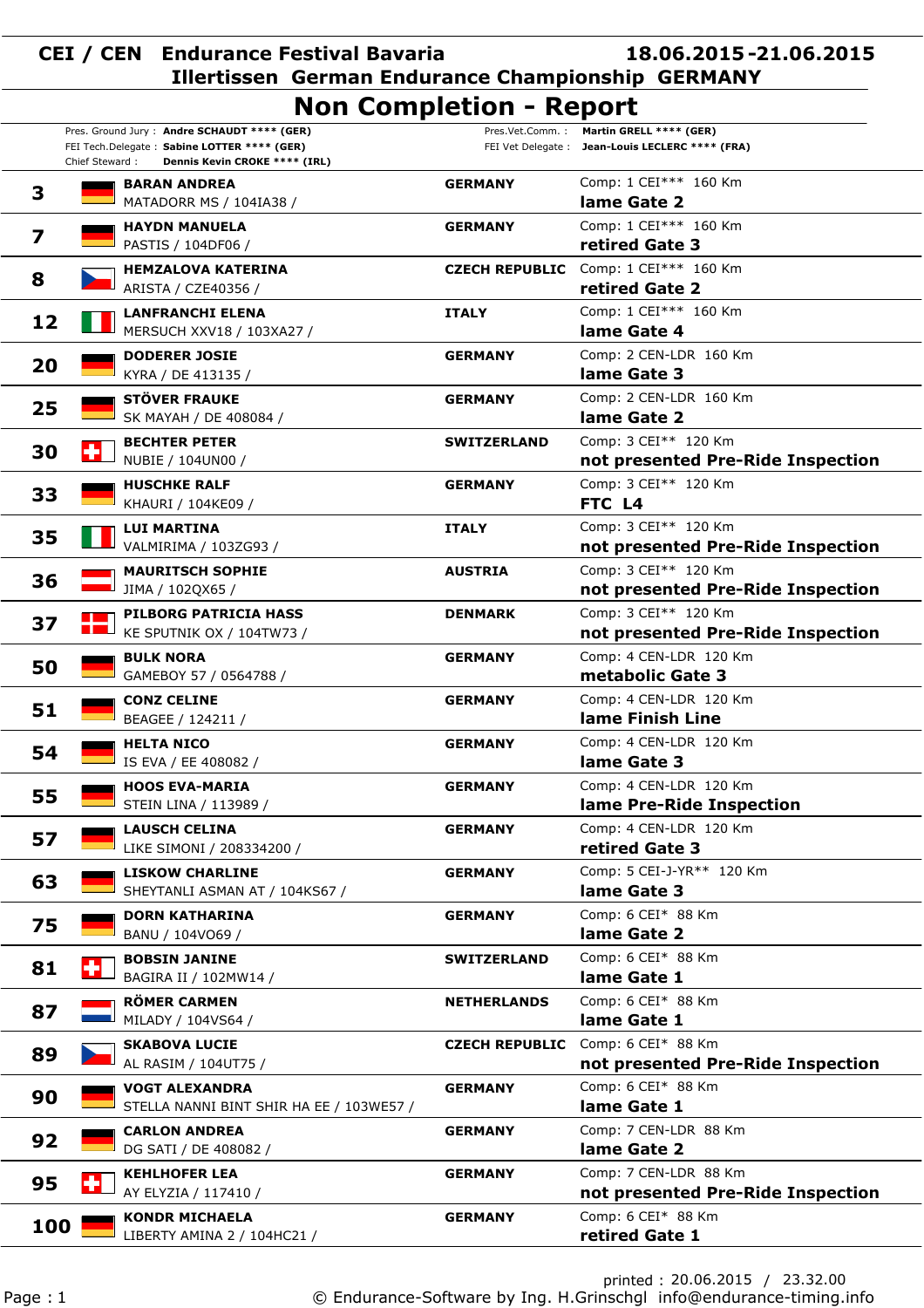#### **CEI / CEN Endurance Festival Bavaria Illertissen German Endurance Championship GERMANY 18.06.2015 21.06.2015 -**

# **Non Completion - Report**

Pres. Ground Jury : **Andre SCHAUDT \*\*\*\* (GER)**

Pres.Vet.Comm. : **Martin GRELL \*\*\*\* (GER)** FEI Vet Delegate : **Jean-Louis LECLERC \*\*\*\* (FRA)**

|            | Chief Steward: | FEI Tech.Delegate: Sabine LOTTER **** (GER)<br>Dennis Kevin CROKE **** (IRL) |                       | FEI Vet Delegate : Jean-Louis LECLERC **** (FRA)           |
|------------|----------------|------------------------------------------------------------------------------|-----------------------|------------------------------------------------------------|
|            |                | <b>BARAN ANDREA</b>                                                          | <b>GERMANY</b>        | Comp: 1 CEI*** 160 Km                                      |
| 3          |                | MATADORR MS / 104IA38 /                                                      |                       | lame Gate 2                                                |
|            |                | <b>HAYDN MANUELA</b>                                                         | <b>GERMANY</b>        | Comp: 1 CEI*** 160 Km                                      |
| 7          |                | PASTIS / 104DF06 /                                                           |                       | retired Gate 3                                             |
|            |                | <b>HEMZALOVA KATERINA</b>                                                    | <b>CZECH REPUBLIC</b> | Comp: 1 CEI*** 160 Km                                      |
| 8          |                | ARISTA / CZE40356 /                                                          |                       | retired Gate 2                                             |
| 12         |                | <b>LANFRANCHI ELENA</b>                                                      | <b>ITALY</b>          | Comp: 1 CEI*** 160 Km                                      |
|            |                | MERSUCH XXV18 / 103XA27 /                                                    |                       | lame Gate 4                                                |
| 20         |                | <b>DODERER JOSIE</b>                                                         | <b>GERMANY</b>        | Comp: 2 CEN-LDR 160 Km                                     |
|            |                | KYRA / DE 413135 /                                                           |                       | lame Gate 3                                                |
| 25         |                | STÖVER FRAUKE                                                                | <b>GERMANY</b>        | Comp: 2 CEN-LDR 160 Km                                     |
|            |                | SK MAYAH / DE 408084 /                                                       |                       | lame Gate 2                                                |
| 30         |                | <b>BECHTER PETER</b>                                                         | <b>SWITZERLAND</b>    | Comp: 3 CEI** 120 Km                                       |
|            |                | NUBIE / 104UN00 /                                                            |                       | not presented Pre-Ride Inspection                          |
| 33         |                | <b>HUSCHKE RALF</b>                                                          | <b>GERMANY</b>        | Comp: 3 CEI** 120 Km                                       |
|            |                | KHAURI / 104KE09 /                                                           |                       | FTC L4                                                     |
| 35         |                | <b>LUI MARTINA</b>                                                           | <b>ITALY</b>          | Comp: 3 CEI** 120 Km                                       |
|            |                | VALMIRIMA / 103ZG93 /                                                        |                       | not presented Pre-Ride Inspection                          |
| 36         |                | <b>MAURITSCH SOPHIE</b>                                                      | <b>AUSTRIA</b>        | Comp: 3 CEI** 120 Km                                       |
|            |                | JIMA / 102QX65 /                                                             |                       | not presented Pre-Ride Inspection                          |
| 37         |                | PILBORG PATRICIA HASS<br>KE SPUTNIK OX / 104TW73 /                           | <b>DENMARK</b>        | Comp: 3 CEI** 120 Km<br>not presented Pre-Ride Inspection  |
|            |                |                                                                              |                       |                                                            |
| 50         |                | <b>BULK NORA</b><br>GAMEBOY 57 / 0564788 /                                   | <b>GERMANY</b>        | Comp: 4 CEN-LDR 120 Km<br>metabolic Gate 3                 |
|            |                | <b>CONZ CELINE</b>                                                           |                       | Comp: 4 CEN-LDR 120 Km                                     |
| 51         |                | BEAGEE / 124211 /                                                            | <b>GERMANY</b>        | lame Finish Line                                           |
|            |                | <b>HELTA NICO</b>                                                            | <b>GERMANY</b>        | Comp: 4 CEN-LDR 120 Km                                     |
| 54         |                | IS EVA / EE 408082 /                                                         |                       | lame Gate 3                                                |
|            |                | <b>HOOS EVA-MARIA</b>                                                        | <b>GERMANY</b>        | Comp: 4 CEN-LDR 120 Km                                     |
| 55         |                | STEIN LINA / 113989 /                                                        |                       | lame Pre-Ride Inspection                                   |
|            |                | <b>LAUSCH CELINA</b>                                                         | <b>GERMANY</b>        | Comp: 4 CEN-LDR 120 Km                                     |
| 57         |                | LIKE SIMONI / 208334200 /                                                    |                       | retired Gate 3                                             |
|            |                | <b>LISKOW CHARLINE</b>                                                       | <b>GERMANY</b>        | Comp: 5 CEI-J-YR** 120 Km                                  |
| 63         |                | SHEYTANLI ASMAN AT / 104KS67 /                                               |                       | lame Gate 3                                                |
|            |                | <b>DORN KATHARINA</b>                                                        | <b>GERMANY</b>        | Comp: 6 CEI* 88 Km                                         |
| 75         |                | BANU / 104VO69 /                                                             |                       | lame Gate 2                                                |
| 81         |                | <b>BOBSIN JANINE</b>                                                         | <b>SWITZERLAND</b>    | Comp: 6 CEI* 88 Km                                         |
|            |                | BAGIRA II / 102MW14 /                                                        |                       | lame Gate 1                                                |
| 87         |                | <b>RÖMER CARMEN</b>                                                          | <b>NETHERLANDS</b>    | Comp: 6 CEI* 88 Km                                         |
|            |                | MILADY / 104VS64 /                                                           |                       | lame Gate 1                                                |
| 89         |                | <b>SKABOVA LUCIE</b>                                                         | <b>CZECH REPUBLIC</b> | Comp: 6 CEI* 88 Km                                         |
|            |                | AL RASIM / 104UT75 /                                                         |                       | not presented Pre-Ride Inspection                          |
| 90         |                | <b>VOGT ALEXANDRA</b>                                                        | <b>GERMANY</b>        | Comp: 6 CEI* 88 Km                                         |
|            |                | STELLA NANNI BINT SHIR HA EE / 103WE57 /                                     |                       | lame Gate 1                                                |
| 92         |                | <b>CARLON ANDREA</b>                                                         | <b>GERMANY</b>        | Comp: 7 CEN-LDR 88 Km                                      |
|            |                | DG SATI / DE 408082 /                                                        |                       | lame Gate 2                                                |
| 95         |                | <b>KEHLHOFER LEA</b><br>AY ELYZIA / 117410 /                                 | <b>GERMANY</b>        | Comp: 7 CEN-LDR 88 Km<br>not presented Pre-Ride Inspection |
|            |                |                                                                              |                       | Comp: 6 CEI* 88 Km                                         |
| <b>100</b> |                | <b>KONDR MICHAELA</b><br>LIBERTY AMINA 2 / 104HC21 /                         | <b>GERMANY</b>        | retired Gate 1                                             |
|            |                |                                                                              |                       |                                                            |

printed : 20.06.2015 / 23.32.00 Page : 1 © Endurance-Software by Ing. H.Grinschgl info@endurance-timing.info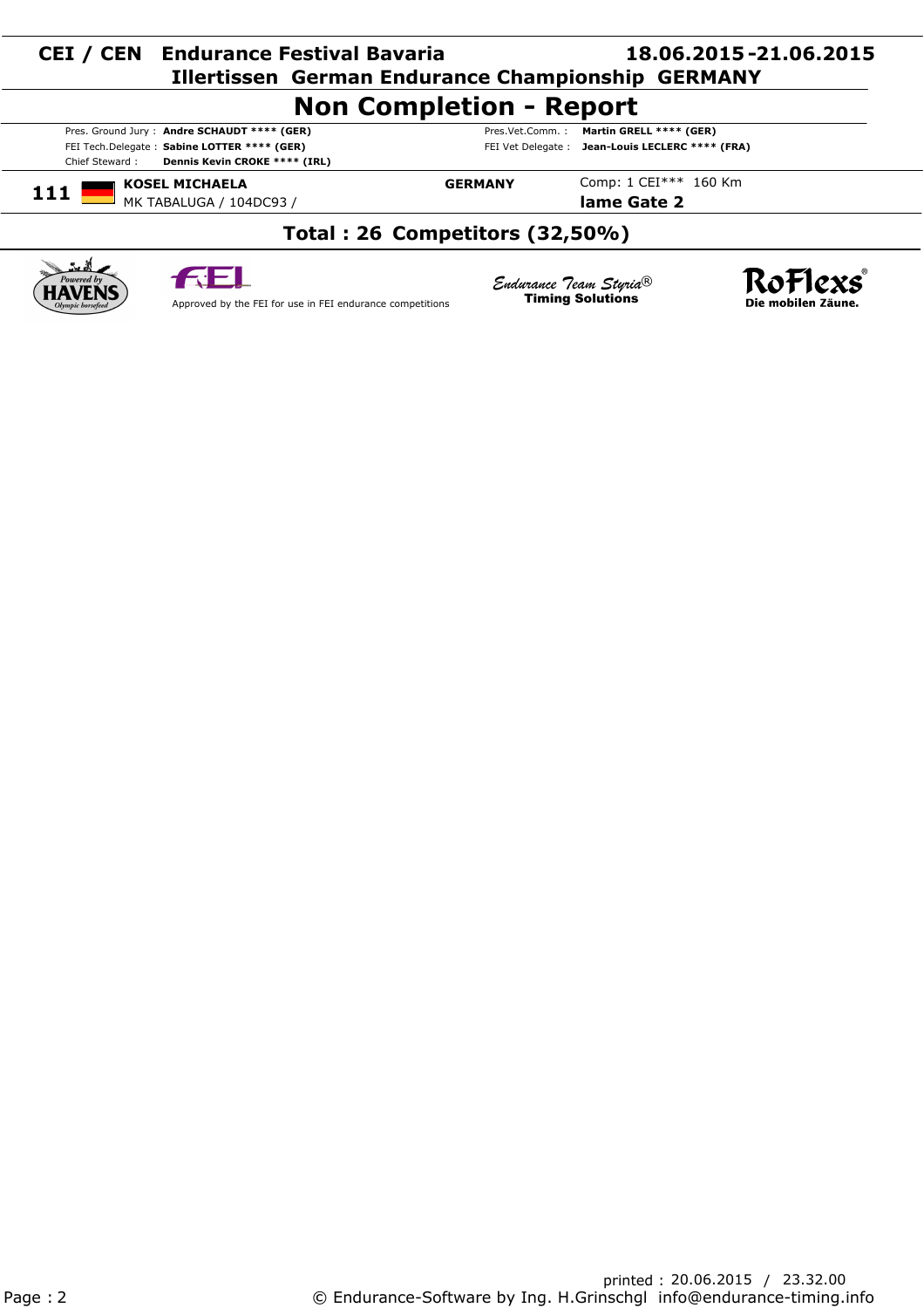#### **CEI / CEN Endurance Festival Bavaria Illertissen German Endurance Championship GERMANY 18.06.2015 21.06.2015 -**

# **Non Completion - Report**

Pres. Ground Jury : **Andre SCHAUDT \*\*\*\* (GER)** FEI Tech.Delegate : **Sabine LOTTER \*\*\*\* (GER)** Chief Steward : **Dennis Kevin CROKE \*\*\*\* (IRL)**

FEI Vet Delegate : **Jean-Louis LECLERC \*\*\*\* (FRA)**

Pres.Vet.Comm. : **Martin GRELL \*\*\*\* (GER)**

Comp: 1 CEI\*\*\* 160 Km

**111 KOSEL MICHAELA GERMANY** Comp: 1 CEI<sup>\*\*\*</sup><br>MK TABALUGA / 104DC93 / **lame Gate 2** 

# **Total : 26 Competitors (32,50%)**





Approved by the FEI for use in FEI endurance competitions

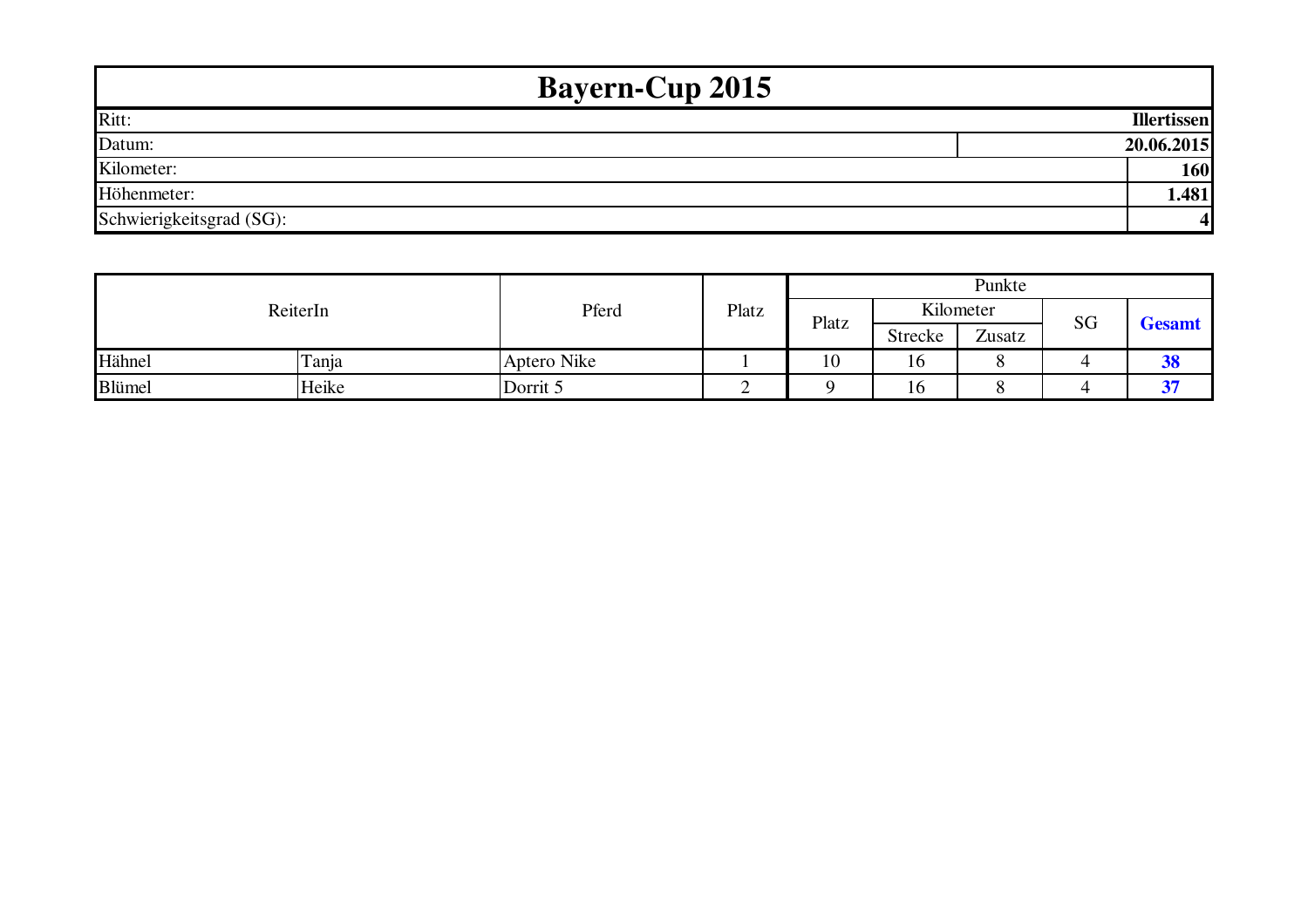| <b>Bayern-Cup 2015</b>   |                         |
|--------------------------|-------------------------|
| Ritt:                    | <b>Illertissen</b>      |
| Datum:                   | 20.06.2015              |
| Kilometer:               | <b>160</b>              |
| Höhenmeter:              | 1.481                   |
| Schwierigkeitsgrad (SG): | $\overline{\mathbf{4}}$ |

| ReiterIn      |       |             | Platz | Punkte |           |        |    |               |  |
|---------------|-------|-------------|-------|--------|-----------|--------|----|---------------|--|
|               |       | Pferd       |       | Platz  | Kilometer |        | SG |               |  |
|               |       |             |       |        | Strecke   | Zusatz |    | <b>Gesamt</b> |  |
| Hähnel        | Tanja | Aptero Nike |       | 10     | 10        |        |    | 38            |  |
| <b>Blümel</b> | Heike | Dorrit 5    | ∸     |        | 10        |        |    | ັບ /          |  |